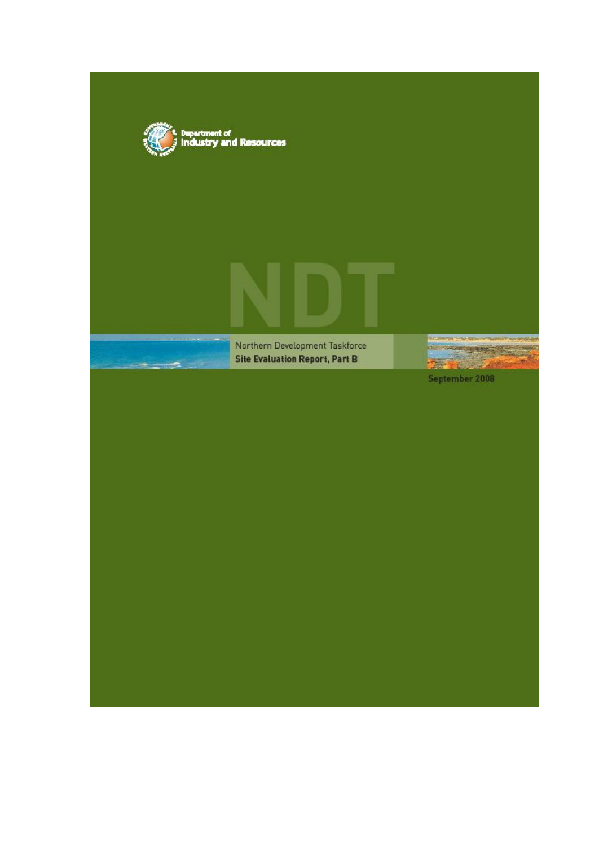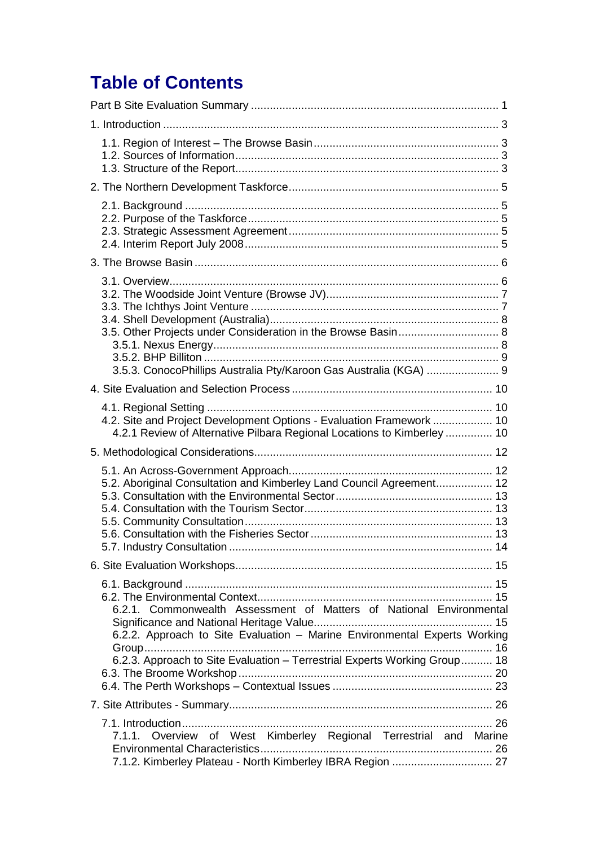# **Table of Contents**

| 3.5.3. ConocoPhillips Australia Pty/Karoon Gas Australia (KGA)  9                                                                                                                                                             |
|-------------------------------------------------------------------------------------------------------------------------------------------------------------------------------------------------------------------------------|
|                                                                                                                                                                                                                               |
| 4.2. Site and Project Development Options - Evaluation Framework  10<br>4.2.1 Review of Alternative Pilbara Regional Locations to Kimberley  10                                                                               |
|                                                                                                                                                                                                                               |
| 5.2. Aboriginal Consultation and Kimberley Land Council Agreement 12                                                                                                                                                          |
|                                                                                                                                                                                                                               |
| 6.2.1. Commonwealth Assessment of Matters of National Environmental<br>6.2.2. Approach to Site Evaluation - Marine Environmental Experts Working<br>6.2.3. Approach to Site Evaluation - Terrestrial Experts Working Group 18 |
|                                                                                                                                                                                                                               |
| 7.1.1. Overview of West Kimberley Regional Terrestrial and Marine<br>7.1.2. Kimberley Plateau - North Kimberley IBRA Region  27                                                                                               |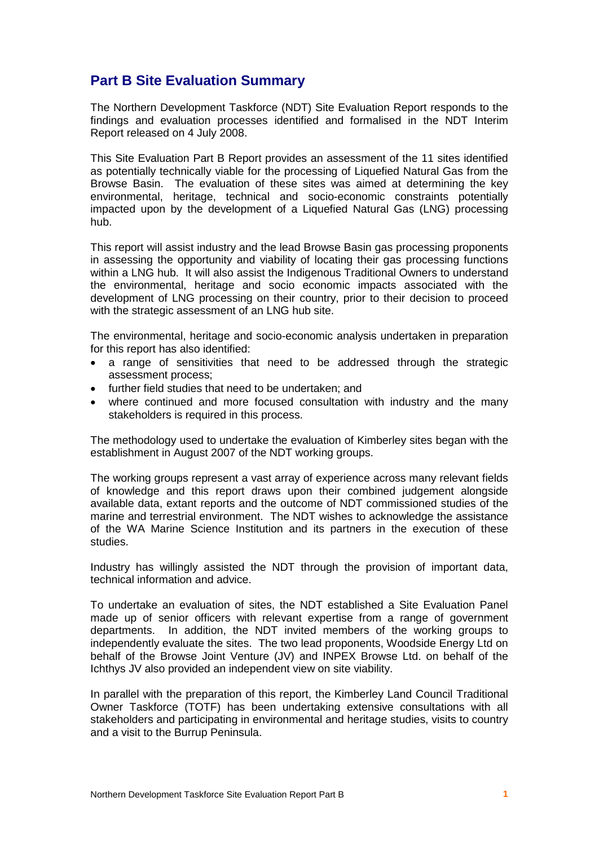## **Part B Site Evaluation Summary**

The Northern Development Taskforce (NDT) Site Evaluation Report responds to the findings and evaluation processes identified and formalised in the NDT Interim Report released on 4 July 2008.

This Site Evaluation Part B Report provides an assessment of the 11 sites identified as potentially technically viable for the processing of Liquefied Natural Gas from the Browse Basin. The evaluation of these sites was aimed at determining the key environmental, heritage, technical and socio-economic constraints potentially impacted upon by the development of a Liquefied Natural Gas (LNG) processing hub.

This report will assist industry and the lead Browse Basin gas processing proponents in assessing the opportunity and viability of locating their gas processing functions within a LNG hub. It will also assist the Indigenous Traditional Owners to understand the environmental, heritage and socio economic impacts associated with the development of LNG processing on their country, prior to their decision to proceed with the strategic assessment of an LNG hub site.

The environmental, heritage and socio-economic analysis undertaken in preparation for this report has also identified:

- a range of sensitivities that need to be addressed through the strategic assessment process;
- further field studies that need to be undertaken; and
- where continued and more focused consultation with industry and the many stakeholders is required in this process.

The methodology used to undertake the evaluation of Kimberley sites began with the establishment in August 2007 of the NDT working groups.

The working groups represent a vast array of experience across many relevant fields of knowledge and this report draws upon their combined judgement alongside available data, extant reports and the outcome of NDT commissioned studies of the marine and terrestrial environment. The NDT wishes to acknowledge the assistance of the WA Marine Science Institution and its partners in the execution of these studies.

Industry has willingly assisted the NDT through the provision of important data, technical information and advice.

To undertake an evaluation of sites, the NDT established a Site Evaluation Panel made up of senior officers with relevant expertise from a range of government departments. In addition, the NDT invited members of the working groups to independently evaluate the sites. The two lead proponents, Woodside Energy Ltd on behalf of the Browse Joint Venture (JV) and INPEX Browse Ltd. on behalf of the Ichthys JV also provided an independent view on site viability.

In parallel with the preparation of this report, the Kimberley Land Council Traditional Owner Taskforce (TOTF) has been undertaking extensive consultations with all stakeholders and participating in environmental and heritage studies, visits to country and a visit to the Burrup Peninsula.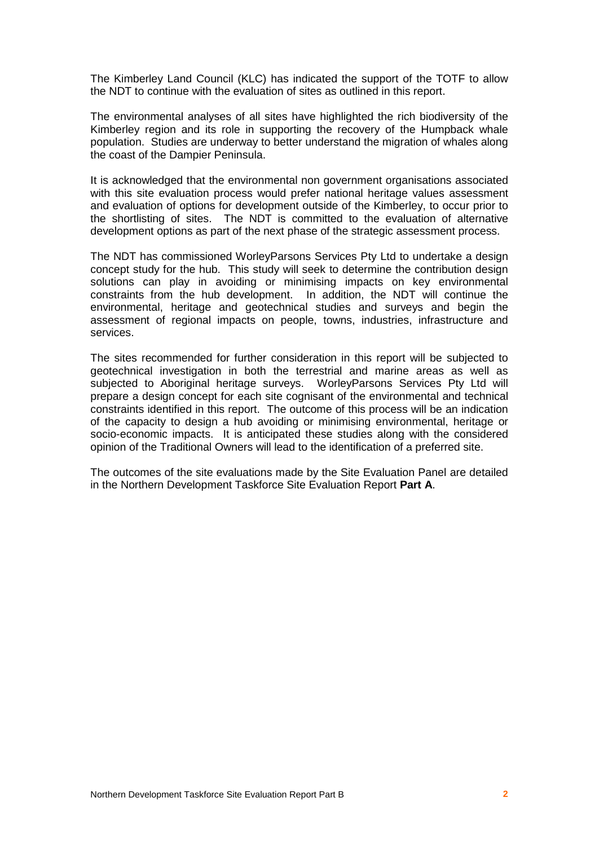The Kimberley Land Council (KLC) has indicated the support of the TOTF to allow the NDT to continue with the evaluation of sites as outlined in this report.

The environmental analyses of all sites have highlighted the rich biodiversity of the Kimberley region and its role in supporting the recovery of the Humpback whale population. Studies are underway to better understand the migration of whales along the coast of the Dampier Peninsula.

It is acknowledged that the environmental non government organisations associated with this site evaluation process would prefer national heritage values assessment and evaluation of options for development outside of the Kimberley, to occur prior to the shortlisting of sites. The NDT is committed to the evaluation of alternative development options as part of the next phase of the strategic assessment process.

The NDT has commissioned WorleyParsons Services Pty Ltd to undertake a design concept study for the hub. This study will seek to determine the contribution design solutions can play in avoiding or minimising impacts on key environmental constraints from the hub development. In addition, the NDT will continue the environmental, heritage and geotechnical studies and surveys and begin the assessment of regional impacts on people, towns, industries, infrastructure and services.

The sites recommended for further consideration in this report will be subjected to geotechnical investigation in both the terrestrial and marine areas as well as subjected to Aboriginal heritage surveys. WorleyParsons Services Pty Ltd will prepare a design concept for each site cognisant of the environmental and technical constraints identified in this report. The outcome of this process will be an indication of the capacity to design a hub avoiding or minimising environmental, heritage or socio-economic impacts. It is anticipated these studies along with the considered opinion of the Traditional Owners will lead to the identification of a preferred site.

The outcomes of the site evaluations made by the Site Evaluation Panel are detailed in the Northern Development Taskforce Site Evaluation Report **Part A**.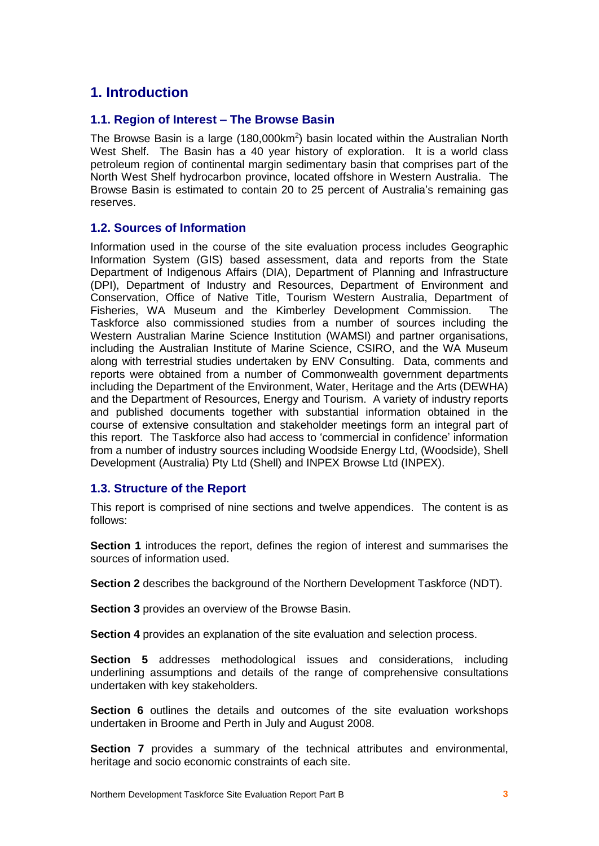## **1. Introduction**

## **1.1. Region of Interest ñ The Browse Basin**

The Browse Basin is a large (180,000km<sup>2</sup>) basin located within the Australian North West Shelf. The Basin has a 40 year history of exploration. It is a world class petroleum region of continental margin sedimentary basin thatcomprises part of the North West Shelf hydrocarbon province, located offshore in Western Australia. The Browse Basin is estimated to contain 20 to 25 percent of Australia's remaining gas reserves.

## **1.2. Sources of Information**

Information used in the course of the site evaluation process includes Geographic Information System (GIS) based assessment, data and reports from the State Department of Indigenous Affairs (DIA), Department of Planning and Infrastructure (DPI), Department of Industry and Resources, Department of Environment and Conservation, Office of Native Title, Tourism Western Australia, Department of Fisheries, WA Museum and the Kimberley Development Commission. The Taskforce also commissioned studies from a number of sources including the Western Australian Marine Science Institution (WAMSI) and partner organisations, including the Australian Institute of Marine Science, CSIRO, and the WA Museum along with terrestrial studies undertaken by ENV Consulting. Data, comments and reports were obtained from a number of Commonwealth government departments including the Department of the Environment, Water, Heritage and the Arts (DEWHA) and the Department of Resources, Energy and Tourism. A variety of industry reports and published documents together with substantial information obtained in the course of extensive consultation and stakeholder meetings form an integral part of this report. The Taskforce also had access to ëcommercial in confidenceí information from a number of industry sources including Woodside Energy Ltd, (Woodside), Shell Development (Australia) Pty Ltd (Shell) and INPEX Browse Ltd (INPEX).

## **1.3. Structure of the Report**

This report is comprised of nine sections and twelve appendices. The content is as follows:

**Section 1** introduces the report, defines the region of interest and summarises the sources of information used.

**Section 2** describes the background of the Northern Development Taskforce (NDT).

**Section 3** provides an overview of the Browse Basin.

**Section 4** provides an explanation of the site evaluation and selection process.

**Section 5** addresses methodological issues and considerations, including underlining assumptions and details of the range of comprehensive consultations undertaken with key stakeholders.

**Section 6** outlines the details and outcomes of the site evaluation workshops undertaken in Broome and Perth in July and August 2008.

**Section 7** provides a summary of the technical attributes and environmental, heritage and socio economic constraints of each site.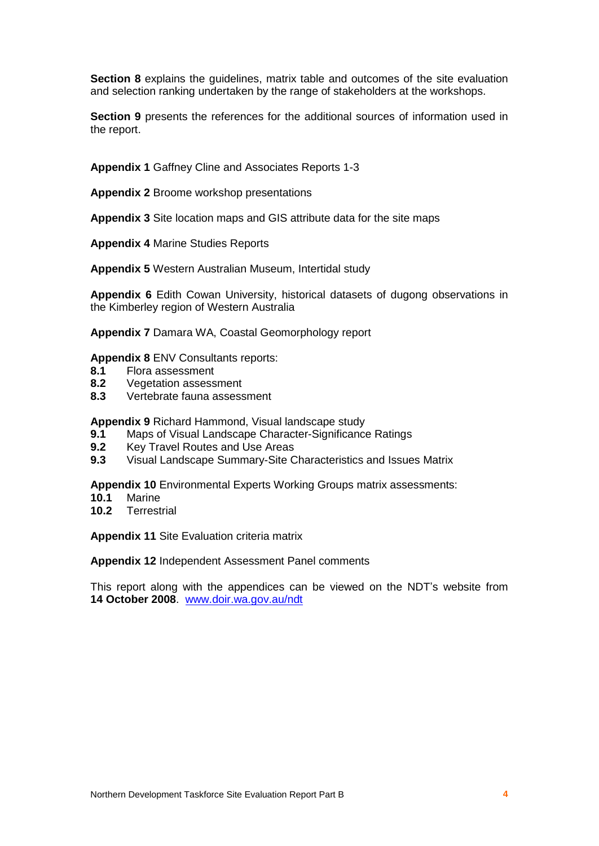**Section 8** explains the guidelines, matrix table and outcomes of the site evaluation and selection ranking undertaken by the range of stakeholders at the workshops.

**Section 9** presents the references for the additional sources of information used in the report.

**Appendix 1** Gaffney Cline and Associates Reports 1-3

**Appendix 2** Broome workshop presentations

**Appendix 3** Site location maps and GIS attribute data for the site maps

**Appendix 4** Marine Studies Reports

**Appendix 5** Western Australian Museum, Intertidal study

**Appendix 6** Edith Cowan University, historical datasets of dugong observations in the Kimberley region of Western Australia

**Appendix 7** Damara WA, Coastal Geomorphology report

#### **Appendix 8** ENV Consultants reports:

- **8.1** Flora assessment
- **8.2** Vegetation assessment
- **8.3** Vertebrate fauna assessment

**Appendix 9** Richard Hammond, Visual landscape study

- **9.1** Maps of Visual Landscape Character-Significance Ratings
- **9.2** Key Travel Routes and Use Areas
- **9.3** Visual Landscape Summary-Site Characteristics and Issues Matrix

**Appendix 10** Environmental Experts Working Groups matrix assessments:

- **10.1** Marine
- **10.2** Terrestrial

**Appendix 11** Site Evaluation criteria matrix

**Appendix 12** Independent Assessment Panel comments

This report along with the appendices can be viewed on the NDT's website from **14 October 2008**. [www.doir.wa.gov.au/ndt](http://www.doir.wa.gov.au/ndt)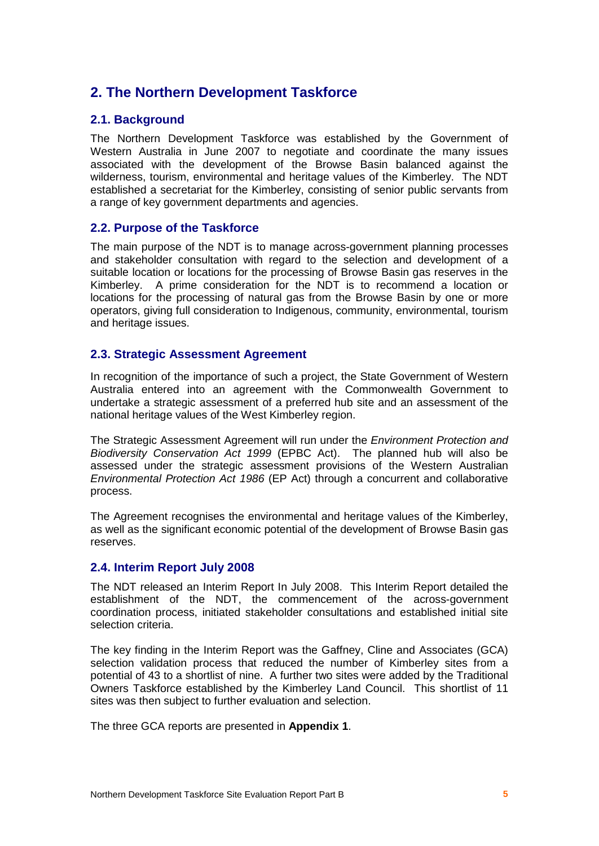## **2. The Northern Development Taskforce**

## **2.1. Background**

The Northern Development Taskforce was established by the Government of Western Australia in June 2007 to negotiate and coordinate the many issues associated with the development of the Browse Basin balanced against the wilderness, tourism, environmental and heritage values of the Kimberley. The NDT established a secretariat for the Kimberley, consisting of senior public servants from a range of key government departments and agencies.

## **2.2. Purpose of the Taskforce**

The main purpose of the NDT is to manage across-government planning processes and stakeholder consultation with regard to the selection and development of a suitable location or locations for the processing of Browse Basin gas reserves in the Kimberley. A prime consideration for the NDT is to recommend a location or locations for the processing of natural gas from the Browse Basin by one or more operators, giving full consideration to Indigenous, community, environmental, tourism and heritage issues.

## **2.3. Strategic Assessment Agreement**

In recognition of the importance of such a project, the State Government of Western Australia entered into an agreement with the Commonwealth Government to undertake a strategic assessment of a preferred hub site and an assessment of the national heritage values of the West Kimberley region.

The Strategic Assessment Agreement will run under the Environment Protection and Biodiversity Conservation Act 1999 (EPBC Act). The planned hub will also be assessed under the strategic assessment provisions of the Western Australian Environmental Protection Act 1986 (EP Act) through a concurrent and collaborative process.

The Agreement recognises the environmental and heritage values of the Kimberley, as wellas the significant economic potential of the development of Browse Basin gas reserves.

## **2.4. Interim Report July 2008**

The NDT released an Interim Report In July 2008. This Interim Report detailed the establishment of the NDT, the commencement of the across-government coordination process, initiated stakeholder consultations and established initial site selection criteria.

The key finding in the Interim Report was the Gaffney, Cline and Associates (GCA) selection validation process that reduced the number of Kimberley sites from a potential of 43 to a shortlist of nine. A further two sites were added by the Traditional Owners Taskforce established by the Kimberley Land Council. This shortlist of 11 sites was then subject to further evaluation and selection.

The three GCA reports are presented in **Appendix 1**.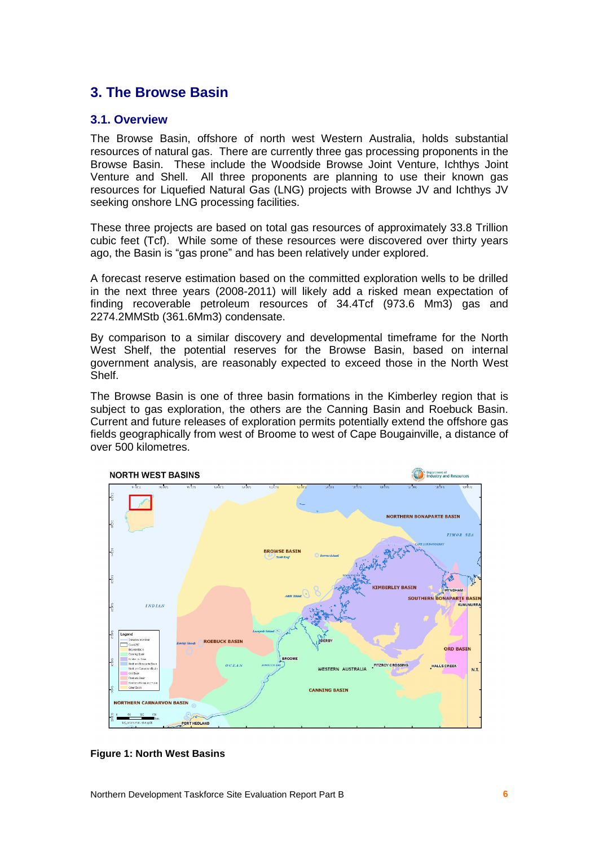## **3. The Browse Basin**

## **3.1. Overview**

The Browse Basin, offshore of north west Western Australia, holds substantial resources of natural gas. There are currently three gas processing proponents in the Browse Basin. These include the Woodside Browse Joint Venture, Ichthys Joint Venture and Shell. All three proponents are planning to use their known gas resources for Liquefied Natural Gas (LNG) projects with Browse JV and Ichthys JV seeking onshore LNG processing facilities.

These three projects are based on total gas resources of approximately 33.8 Trillion cubic feet (Tcf). While some of these resources were discovered over thirty years ago, the Basin is "gas prone" and has been relatively under explored.

A forecast reserve estimation based on the committed exploration wells to be drilled in the next three years (2008-2011) will likely add a risked mean expectation of finding recoverable petroleum resources of 34.4Tcf (973.6 Mm3) gas and 2274.2MMStb (361.6Mm3) condensate.

By comparison to a similar discovery and developmental timeframe for the North West Shelf, the potential reserves for the Browse Basin, based on internal government analysis, are reasonably expected to exceed those in the North West Shelf.

The Browse Basin is one of three basin formations in the Kimberley region that is subject to gas exploration, the others are the Canning Basin and Roebuck Basin. Current and future releases of exploration permits potentially extend the offshore gas fields geographically from west of Broome to west of Cape Bougainville, a distance of over 500 kilometres.



**Figure 1: North West Basins**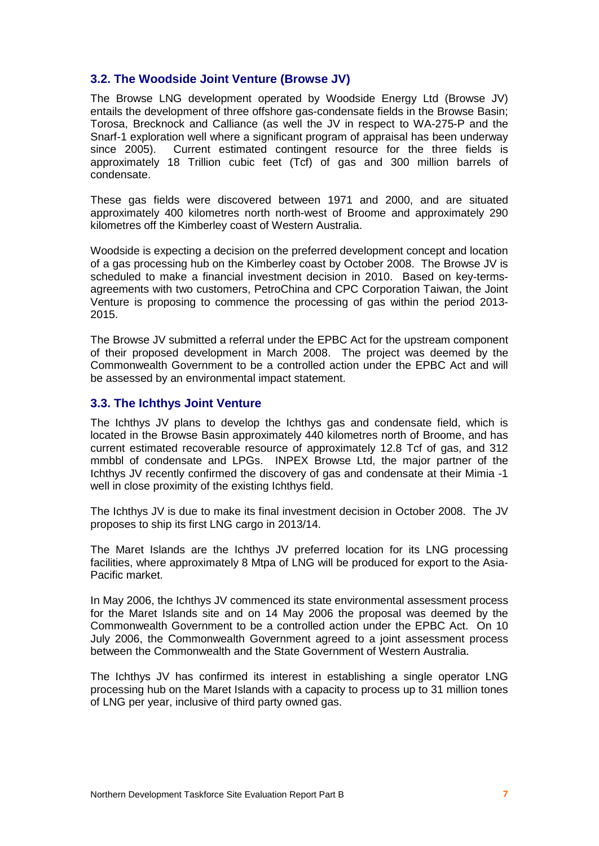## **3.2. The Woodside Joint Venture (Browse JV)**

The Browse LNG development operated by Woodside Energy Ltd (Browse JV) entails the development of three offshore gas-condensate fields in the Browse Basin; Torosa, Brecknock and Calliance (as well the JV in respect to WA-275-P and the Snarf-1 exploration well where a significant program of appraisal has been underway since 2005). Current estimated contingent resource for the three fields is approximately 18 Trillion cubic feet (Tcf) of gas and 300 million barrels of condensate.

These gas fields were discovered between 1971 and 2000, and are situated approximately 400 kilometres north north-west of Broome and approximately 290 kilometres off the Kimberley coast of Western Australia.

Woodside is expecting a decision on the preferred development concept and location of a gas processing hub on the Kimberley coast by October 2008. The Browse JV is scheduled to make a financial investment decision in 2010. Based on key-terms agreements with two customers, PetroChina and CPC Corporation Taiwan, the Joint Venture is proposing to commence the processing of gas within the period 2013- 2015.

The Browse JV submitted a referral under the EPBC Act for the upstream component of their proposed development in March 2008. The project was deemed by the Commonwealth Government to be a controlled action under the EPBC Act and will be assessed by an environmental impact statement.

## **3.3. The Ichthys Joint Venture**

The Ichthys JV plans to develop the Ichthys gas and condensate field, which is located in the Browse Basin approximately 440 kilometres north of Broome, and has current estimated recoverable resource of approximately 12.8 Tcf of gas, and 312 mmbbl of condensate and LPGs. INPEX Browse Ltd, the major partner of the Ichthys JV recently confirmed the discovery of gas and condensate at their Mimia -1 well in close proximity of the existing Ichthys field.

The Ichthys JV is due to make its final investment decision in October 2008. The JV proposes to ship its first LNG cargo in 2013/14.

The Maret Islands are the Ichthys JV preferred location for its LNG processing facilities, where approximately 8 Mtpa of LNG will be produced for export to the Asia- Pacific market.

In May 2006, the Ichthys JV commenced its state environmental assessment process for the Maret Islands site and on 14 May 2006 the proposal was deemed by the Commonwealth Government to be a controlled action under the EPBC Act. On 10 July 2006, the Commonwealth Government agreed to a joint assessment process between the Commonwealth and the State Government of Western Australia.

The Ichthys JV has confirmed its interest in establishing a single operator LNG processing hub on the Maret Islands with a capacity to process up to 31 million tones of LNG per year, inclusive of third party owned gas.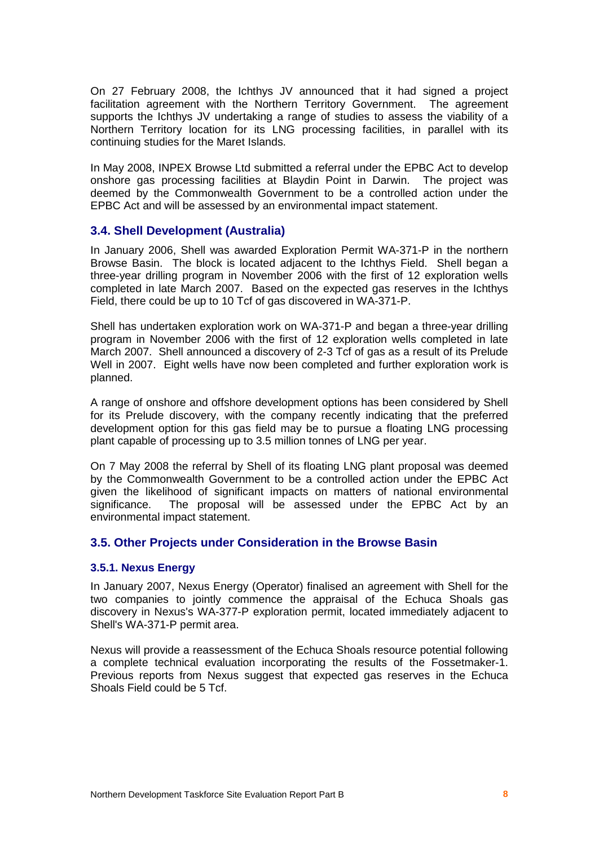On 27 February 2008, the Ichthys JV announced that it had signed a project facilitation agreement with the Northern Territory Government. The agreement supports the Ichthys JV undertaking a range of studies to assess the viability of a Northern Territory location for its LNG processing facilities, in parallel with its continuing studies for the Maret Islands.

In May 2008, INPEX Browse Ltd submitted a referral under the EPBC Act to develop onshore gas processing facilities at Blaydin Point in Darwin. The project was deemed by the Commonwealth Government to be a controlled action under the EPBC Act and will be assessed by an environmental impact statement.

## **3.4. Shell Development (Australia)**

In January 2006, Shell was awarded Exploration Permit WA-371-P in the northern Browse Basin. The block is located adjacent to the Ichthys Field. Shell began a three-year drilling program in November 2006 with the first of 12 exploration wells completed in late March 2007. Based on the expected gas reserves in the Ichthys Field, there could be up to 10 Tcf of gas discovered in WA-371-P.

Shell has undertaken exploration work on WA-371-P and began a three-year drilling program in November 2006 with the first of 12 exploration wells completed in late March 2007. Shell announced a discovery of 2-3 Tcf of gas as a result of its Prelude Well in 2007. Eight wells have now been completed and further exploration work is planned.

A range of onshore and offshore development options has been considered by Shell for its Prelude discovery, with the company recently indicating that the preferred development option for this gas field may be to pursue a floating LNG processing plant capable of processing up to 3.5 million tonnes of LNG per year.

On 7 May 2008 the referral by Shell of its floating LNG plant proposal was deemed by the Commonwealth Government to be a controlled action under the EPBC Act given the likelihood of significant impacts on matters of national environmental significance. The proposal will be assessed under the EPBC Act by an environmental impact statement.

## **3.5. Other Projects under Consideration in the Browse Basin**

## **3.5.1. Nexus Energy**

In January 2007, Nexus Energy (Operator) finalised an agreement with Shell for the two companies to jointly commence the appraisal of the Echuca Shoals gas discovery in Nexus's WA-377-P exploration permit, located immediately adjacent to Shell's WA-371-P permit area.

Nexus will provide a reassessment of the Echuca Shoals resource potential following a complete technical evaluation incorporating the results of the Fossetmaker-1. Previous reports from Nexus suggest that expected gas reserves in the Echuca Shoals Field could be 5 Tcf.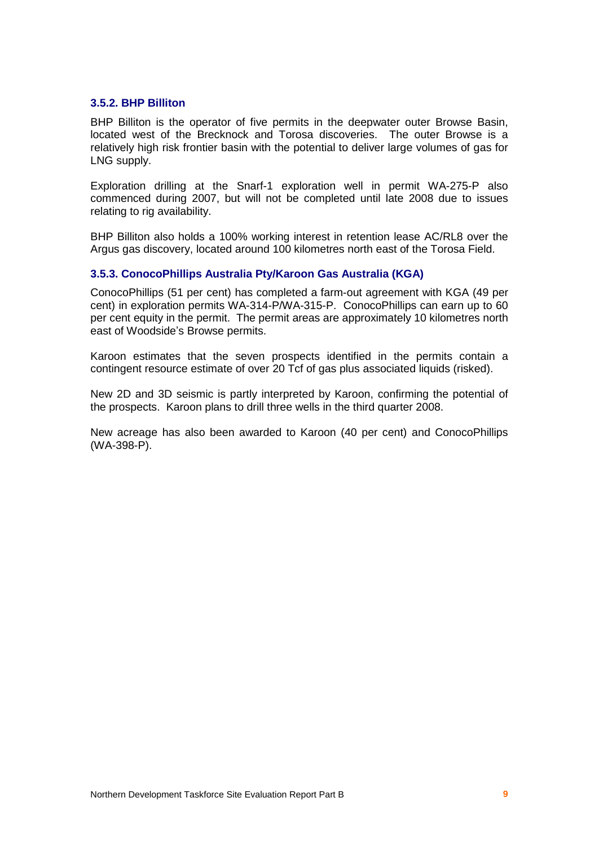#### **3.5.2. BHP Billiton**

BHP Billiton is the operator of five permits in the deepwater outer Browse Basin, located west of the Brecknock and Torosa discoveries. The outer Browse is a relatively high risk frontier basin with the potential to deliver large volumes of gas for LNG supply.

Exploration drilling at the Snarf-1 exploration well in permit WA-275-P also commenced during 2007, but will not be completed until late 2008 due to issues relating to rig availability.

BHP Billiton also holds a 100% working interest in retention lease AC/RL8 over the Argus gas discovery, located around 100 kilometres north east of the Torosa Field.

#### **3.5.3. ConocoPhillips Australia Pty/Karoon Gas Australia (KGA)**

ConocoPhillips (51 per cent) has completed a farm-out agreement with KGA (49 per cent) in exploration permits WA-314-P/WA-315-P. ConocoPhillips can earn up to 60 per cent equity in the permit. The permit areas are approximately 10 kilometres north east of Woodside's Browse permits.

Karoon estimates that the seven prospects identified in the permits contain a contingent resource estimate of over 20 Tcf of gas plus associated liquids (risked).

New 2D and 3D seismic is partly interpreted by Karoon, confirming the potential of the prospects. Karoon plans to drill three wells in the third quarter 2008.

New acreage has also been awarded to Karoon (40 per cent) and ConocoPhillips (WA-398-P).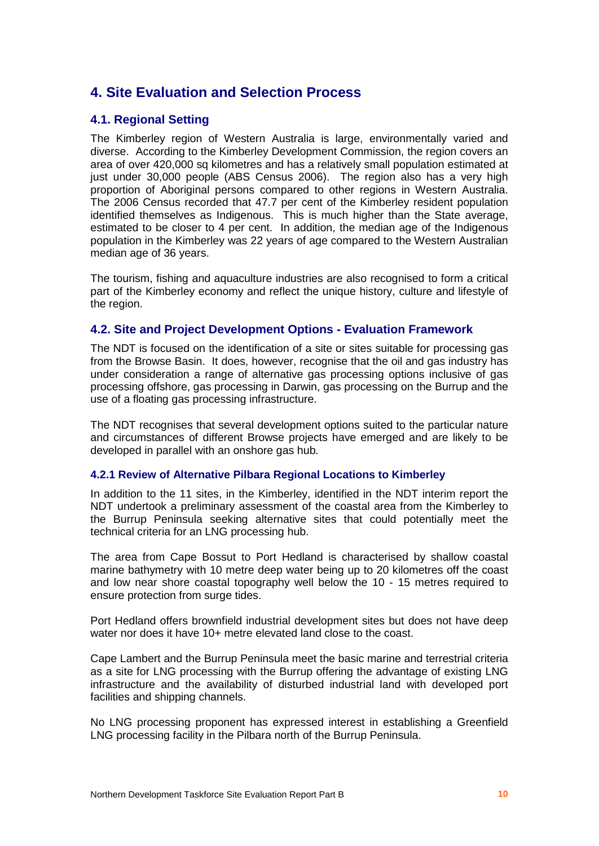## **4. Site Evaluation and Selection Process**

## **4.1. Regional Setting**

The Kimberley region of Western Australia is large, environmentally varied and diverse. According to the Kimberley Development Commission, the region covers an area of over 420,000 sq kilometres and has a relatively small population estimated at just under 30,000 people (ABS Census 2006). The region also has a very high proportion of Aboriginal persons compared to other regions in Western Australia. The 2006 Census recorded that 47.7 per cent of the Kimberley resident population identified themselves as Indigenous. This is much higher than the State average, estimated to be closer to 4 per cent. In addition, the median age of the Indigenous population in the Kimberley was 22 years of age compared to the Western Australian median age of 36 years.

The tourism, fishing and aquaculture industries are also recognised to form a critical part of the Kimberley economy and reflect the unique history, culture and lifestyle of the region.

## **4.2. Site and Project Development Options - Evaluation Framework**

The NDT is focused on the identification of a site or sites suitable for processing gas from the Browse Basin. It does, however, recognise that the oil and gas industry has under consideration a range of alternative gas processing options inclusive of gas processing offshore, gas processing in Darwin, gas processing on the Burrup and the use of a floating gas processing infrastructure.

The NDT recognises that several development options suited to the particular nature and circumstances of different Browse projects have emerged and are likely to be developed in parallel with an onshore gas hub.

#### **4.2.1 Review of Alternative Pilbara Regional Locations to Kimberley**

In addition to the 11 sites, in the Kimberley, identified in the NDT interim report the NDT undertook a preliminary assessment of the coastal area from the Kimberley to the Burrup Peninsula seeking alternative sites that could potentially meet the technical criteria for an LNG processing hub.

The area from Cape Bossut to Port Hedland is characterised by shallow coastal marine bathymetry with 10 metre deep water being up to 20 kilometres off the coast and low near shore coastal topography well below the 10 - 15 metres required to ensure protection from surge tides.

Port Hedland offers brownfield industrial development sites but does not have deep water nor does it have 10+ metre elevated land close to the coast.

Cape Lambert and the Burrup Peninsula meet the basic marine and terrestrial criteria as a site for LNG processing with the Burrup offering the advantage of existing LNG infrastructure and the availability of disturbed industrial land with developed port facilities and shipping channels.

No LNG processing proponent has expressed interest in establishing a Greenfield LNG processing facility in the Pilbara north of the Burrup Peninsula.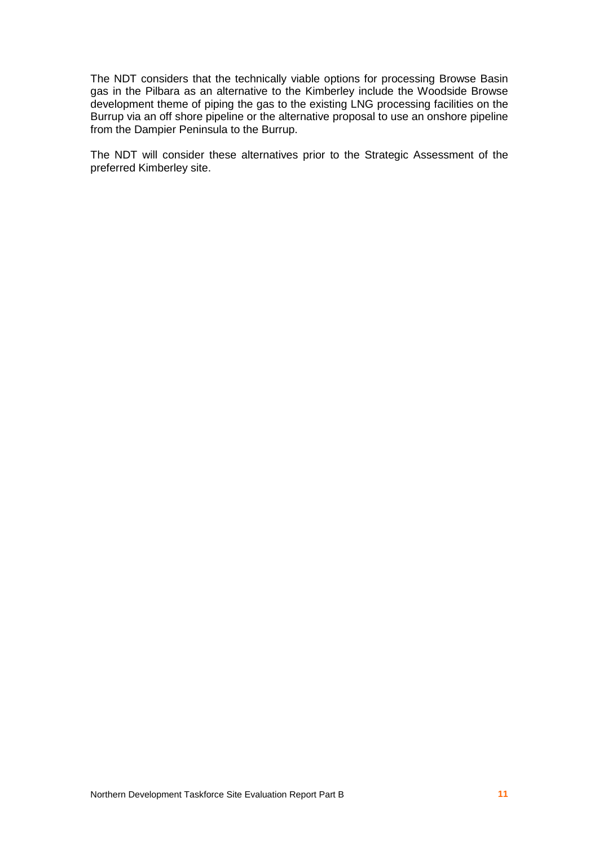The NDT considers that the technically viable options for processing Browse Basin gas in the Pilbara as an alternative to the Kimberley include the Woodside Browse development theme of piping the gas to the existing LNG processing facilities on the Burrup via an off shore pipeline or the alternative proposal to use an onshore pipeline from the Dampier Peninsula to the Burrup.

The NDT will consider these alternatives prior to the Strategic Assessment of the preferred Kimberley site.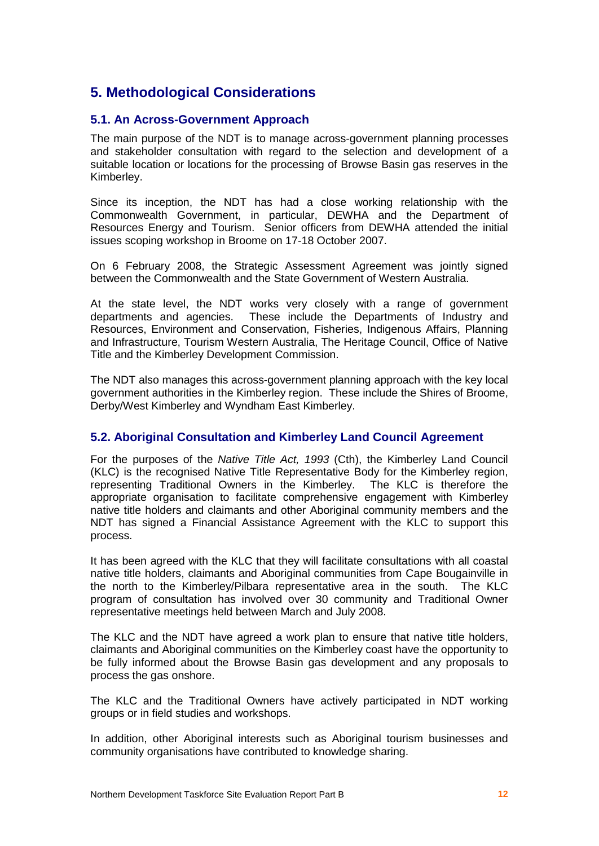## **5. Methodological Considerations**

## **5.1. An Across-Government Approach**

The main purpose of the NDT is to manage across-government planning processes and stakeholder consultation with regard to the selection and development of a suitable location or locations for the processing of Browse Basin gas reserves in the Kimberley.

Since its inception, the NDT has had a close working relationship with the Commonwealth Government, in particular, DEWHA and the Department of Resources Energy and Tourism. Senior officers from DEWHA attended the initial issues scoping workshop in Broome on 17-18 October 2007.

On 6 February 2008, the Strategic Assessment Agreement was jointly signed between the Commonwealth and the State Government of Western Australia.

At the state level, the NDT works very closely with a range of government departments and agencies. These include the Departments of Industry and Resources, Environment and Conservation, Fisheries, Indigenous Affairs, Planning and Infrastructure, Tourism Western Australia, The Heritage Council, Office of Native Title and the Kimberley Development Commission.

The NDT also manages this across-government planning approach with the key local government authorities in the Kimberley region. These include the Shires of Broome, Derby/West Kimberley and Wyndham East Kimberley.

## **5.2. Aboriginal Consultation and Kimberley Land Council Agreement**

For the purposes of the Native Title Act, 1993 (Cth), the Kimberley Land Council (KLC) is the recognised Native Title Representative Body for the Kimberley region, representing Traditional Owners in the Kimberley. The KLC is therefore the appropriate organisation to facilitate comprehensive engagement with Kimberley native title holders and claimants and other Aboriginal community members and the NDT has signed a Financial Assistance Agreement with the KLC to support this process.

It has been agreed with the KLC that they will facilitate consultations with all coastal native title holders, claimants and Aboriginal communities from Cape Bougainville in the north to the Kimberley/Pilbara representative area in the south. The KLC program of consultation has involved over 30 community and Traditional Owner representative meetings held between March and July 2008.

The KLC and the NDT have agreed a work plan to ensure that native title holders, claimants and Aboriginal communities on the Kimberley coast have the opportunity to be fully informed about the Browse Basin gas development and any proposals to process the gas onshore.

The KLC and the Traditional Owners have actively participated in NDT working groups or in field studies and workshops.

In addition, other Aboriginal interests such as Aboriginal tourism businesses and community organisations have contributed to knowledge sharing.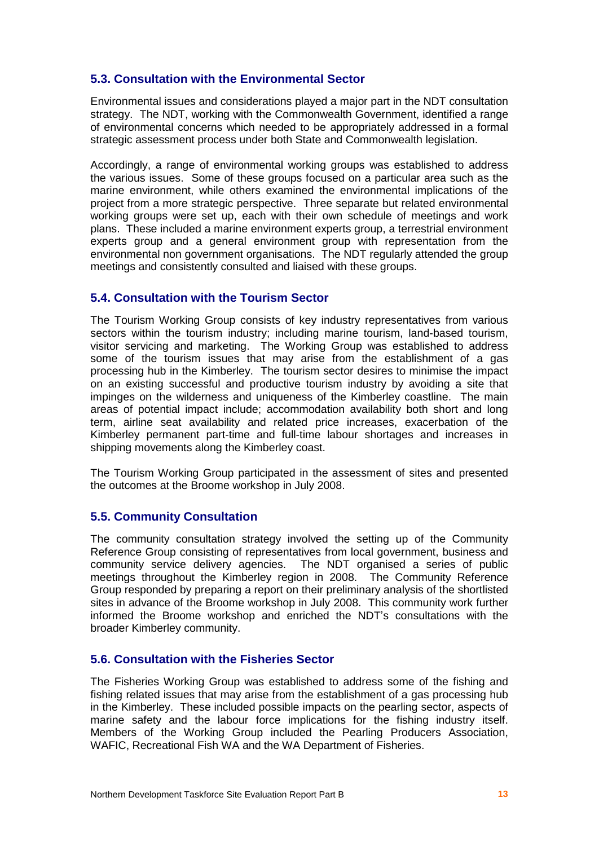## **5.3. Consultation with the Environmental Sector**

Environmental issues and considerations played a major part in the NDT consultation strategy. The NDT, working with the Commonwealth Government, identified a range of environmental concerns which needed to be appropriately addressed in a formal strategic assessment process under both State and Commonwealth legislation.

Accordingly, a range of environmental working groups was established to address the various issues. Some of these groups focused on a particular area such as the marine environment, while others examined the environmental implications of the project from a more strategic perspective. Three separate but related environmental working groups were set up, each with their own schedule of meetings and work plans. These included a marine environment experts group, a terrestrial environment experts group and a general environment group with representation from the environmental non government organisations. The NDT regularly attended the group meetings and consistently consulted and liaised with these groups.

## **5.4. Consultation with the Tourism Sector**

The Tourism Working Group consists of key industry representatives from various sectors within the tourism industry; including marine tourism, land-based tourism, visitor servicing and marketing. The Working Group was established to address some of the tourism issues that may arise from the establishment of a gas processing hub in the Kimberley. The tourism sector desires to minimise the impact on an existing successful and productive tourism industry by avoiding a site that impinges on the wilderness and uniqueness of the Kimberley coastline. The main areas of potential impact include; accommodation availability both short and long term, airline seat availability and related price increases, exacerbation of the Kimberley permanent part-time and full-time labour shortages and increases in shipping movements along the Kimberley coast.

The Tourism Working Group participated in the assessment of sites and presented the outcomes at the Broome workshop in July 2008.

## **5.5. Community Consultation**

The community consultation strategy involved the setting up of the Community Reference Group consisting of representatives from local government, business and community service delivery agencies. The NDT organised a series of public meetings throughout the Kimberley region in 2008. The Community Reference Group responded by preparing a report on their preliminary analysis of the shortlisted sites in advance of the Broome workshop in July 2008. This community work further informed the Broome workshop and enriched the NDT's consultations with the broader Kimberley community.

## **5.6. Consultation with the Fisheries Sector**

The Fisheries Working Group was established to address some of the fishing and fishing related issues that may arise from the establishment of a gas processing hub in the Kimberley. These included possible impacts on the pearling sector, aspects of marine safety and the labour force implications for the fishing industry itself. Members of the Working Group included the Pearling Producers Association, WAFIC, Recreational Fish WA and the WA Department of Fisheries.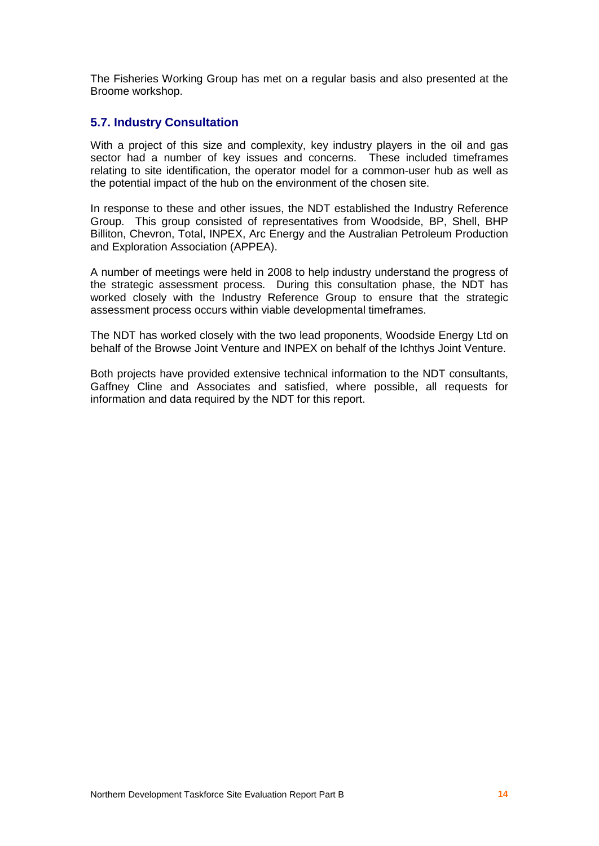The Fisheries Working Group has met on a regular basis and also presented at the Broome workshop.

## **5.7. Industry Consultation**

With a project of this size and complexity, key industry players in the oil and gas sector had a number of key issues and concerns. These included timeframes relating to site identification, the operator model for a common-user hub as well as the potential impact of the hub on the environment of the chosen site.

In response to these and other issues, the NDT established the Industry Reference Group. This group consisted of representatives from Woodside, BP, Shell, BHP Billiton, Chevron, Total, INPEX, Arc Energy and the Australian Petroleum Production and Exploration Association (APPEA).

A number of meetings were held in 2008 to help industry understand the progress of the strategic assessment process. During this consultation phase, the NDT has worked closely with the Industry Reference Group to ensure that the strategic assessment process occurs within viable developmental timeframes.

The NDT has worked closely with the two lead proponents, Woodside Energy Ltd on behalf of the Browse Joint Venture and INPEX on behalf of the Ichthys Joint Venture.

Both projects have provided extensive technical information to the NDT consultants, Gaffney Cline and Associates and satisfied, where possible, all requests for information and data required by the NDT for this report.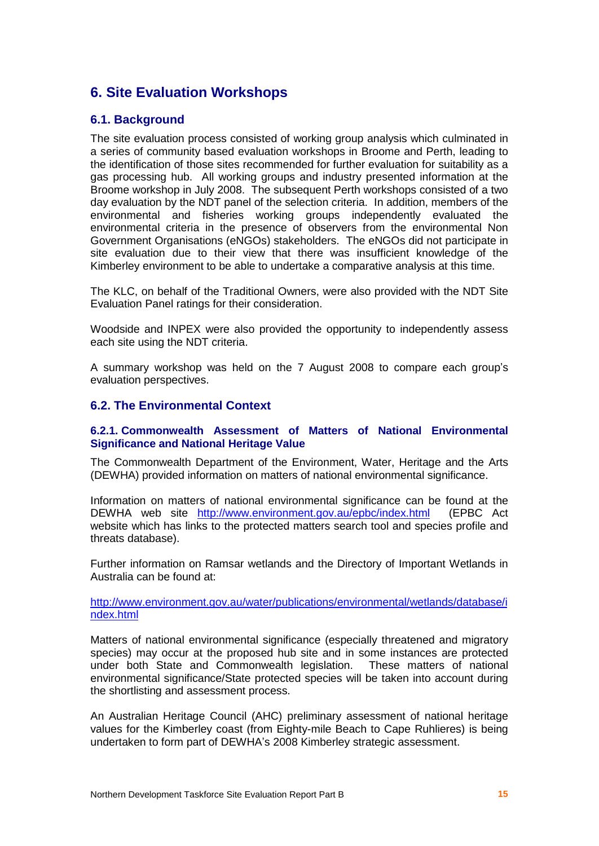## **6. Site Evaluation Workshops**

## **6.1. Background**

The site evaluation process consisted of working group analysis which culminated in a series of community based evaluation workshops in Broome and Perth, leading to the identification of those sites recommended for further evaluation for suitability as a gas processing hub. All working groups and industry presented information at the Broome workshop in July 2008. The subsequent Perth workshops consisted of a two day evaluation by the NDT panel of the selection criteria. In addition, members of the environmental and fisheries working groups independently evaluated the environmental criteria in the presence of observers from the environmental Non Government Organisations (eNGOs) stakeholders. The eNGOs did not participate in site evaluation due to their view that there was insufficient knowledge of the Kimberley environment to be able to undertake a comparative analysis at this time.

The KLC, on behalf of the Traditional Owners, were also provided with the NDT Site Evaluation Panel ratings for their consideration.

Woodside and INPEX were also provided the opportunity to independently assess each site using the NDT criteria.

A summary workshop was held on the 7 August 2008 to compare each groupís evaluation perspectives.

## **6.2. The Environmental Context**

#### **6.2.1. Commonwealth Assessment of Matters of National Environmental Significance and National Heritage Value**

The Commonwealth Department of the Environment, Water, Heritage and the Arts (DEWHA) provided information on matters of national environmental significance.

Information on matters of national environmental significance can be found at the DEWHA web site <http://www.environment.gov.au/epbc/index.html> (EPBC Act website which has links to the protected matters search tool and species profile and threats database).

Further information on Ramsar wetlands and the Directory of Important Wetlands in Australia can be found at:

<http://www.environment.gov.au/water/publications/environmental/wetlands/database/i> ndex.html

Matters of national environmental significance (especially threatened and migratory species) may occur at the proposed hub site and in some instances are protected under both State and Commonwealth legislation. These matters of national environmental significance/State protected species will be taken into account during the shortlisting and assessment process.

An Australian Heritage Council (AHC) preliminary assessment of national heritage values for the Kimberley coast (from Eighty-mile Beach to Cape Ruhlieres) is being undertaken to form part of DEWHAís 2008 Kimberley strategic assessment.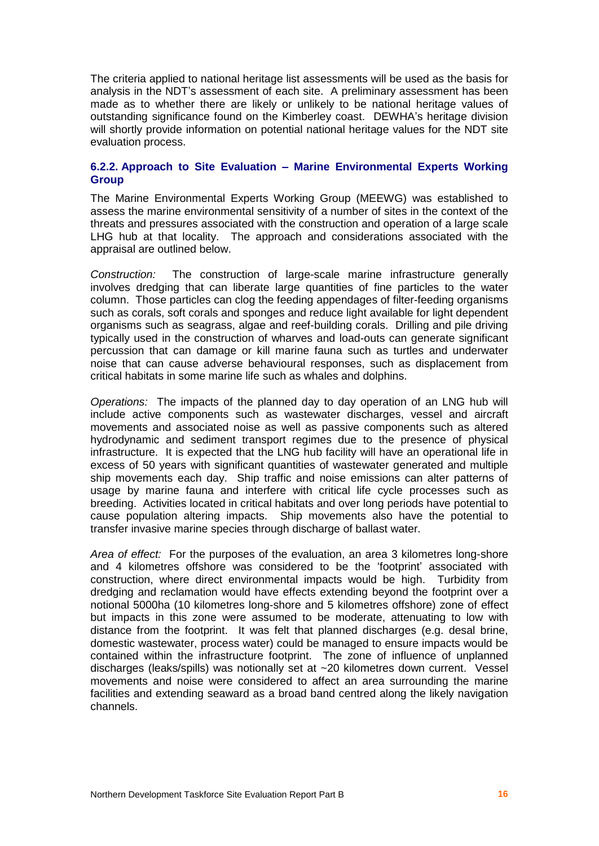The criteria applied to national heritage list assessments will be used as the basis for analysis in the NDT's assessment of each site. A preliminary assessment has been made as to whether there are likely or unlikely to be national heritage values of outstanding significance found on the Kimberley coast. DEWHAís heritage division will shortly provide information on potential national heritage values for the NDT site evaluation process.

#### **6.2.2. Approach to Site Evaluation ñ Marine Environmental Experts Working Group**

The Marine Environmental Experts Working Group (MEEWG) was established to assess the marine environmental sensitivity of a number of sites in the context of the threats and pressures associated with the construction and operation of a large scale LHG hub at that locality. The approach and considerations associated with the appraisal are outlined below.

Construction: The construction of large-scale marine infrastructure generally involves dredging that can liberate large quantities of fine particles to the water column. Those particles can clog the feeding appendages of filter-feeding organisms such as corals, soft corals and sponges and reduce light available for light dependent organisms such as seagrass, algae and reef-building corals. Drilling and pile driving typically used in the construction of wharves and load-outs can generate significant percussion that can damage or kill marine fauna such as turtles and underwater noise that can cause adverse behavioural responses, such as displacement from critical habitats in some marine life such as whales and dolphins.

Operations: The impacts of the planned day to day operation of an LNG hub will include active components such as wastewater discharges, vessel and aircraft movements and associated noise as well as passive components such as altered hydrodynamic and sediment transport regimes due to the presence of physical infrastructure. It is expected that the LNG hub facility will have an operational life in excess of 50 years with significant quantities of wastewater generated and multiple ship movements each day. Ship traffic and noise emissions can alter patterns of usage by marine fauna and interfere with critical life cycle processes such as breeding. Activities located in critical habitats and over long periods have potential to cause population altering impacts. Ship movements also have the potential to transfer invasive marine species through discharge of ballast water.

Area of effect: For the purposes of the evaluation, an area 3 kilometres long-shore and 4 kilometres offshore was considered to be the 'footprint' associated with construction, where direct environmental impacts would be high. Turbidity from dredging and reclamation would have effects extending beyond the footprint over a notional 5000ha (10 kilometres long-shore and 5 kilometres offshore) zone of effect but impacts in this zone were assumed to be moderate, attenuating to low with distance from the footprint. It was felt that planned discharges (e.g. desal brine, domestic wastewater, process water) could be managed to ensure impacts would be contained within the infrastructure footprint. The zone of influence of unplanned discharges (leaks/spills) was notionally set at ~20 kilometres down current. Vessel movements and noise were considered to affect an area surrounding the marine facilities and extending seaward as a broad band centred along the likely navigation channels.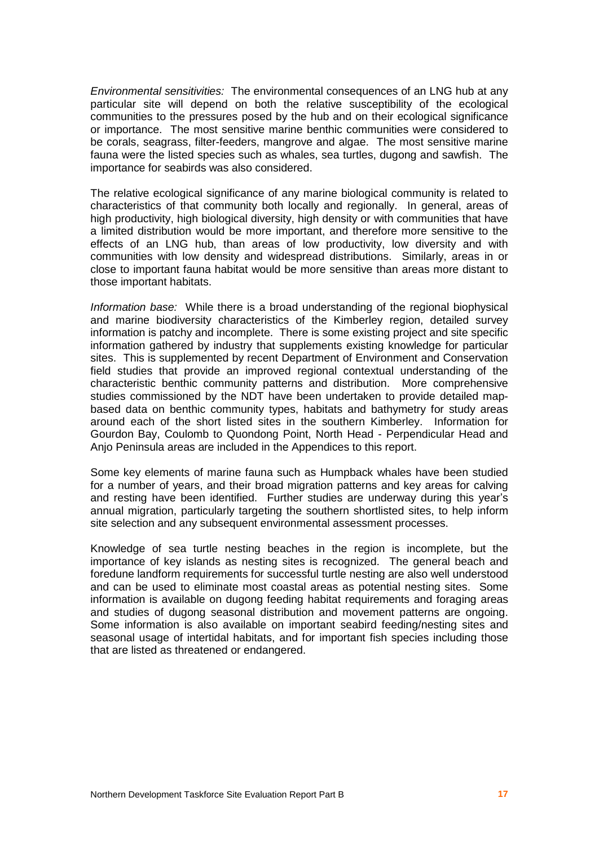Environmental sensitivities: The environmental consequences of an LNG hub at any particular site will depend on both the relative susceptibility of the ecological communities to the pressures posed by the hub and on their ecological significance or importance. The most sensitive marine benthic communities were considered to be corals, seagrass, filter-feeders, mangrove and algae. The most sensitive marine fauna were the listed species such as whales, sea turtles, dugong and sawfish. The importance for seabirds was also considered.

The relative ecological significance of any marine biological community is related to characteristics of that community both locally and regionally. In general, areas of high productivity, high biological diversity, high density or with communities that have a limited distribution would be more important, and therefore more sensitive to the effects of an LNG hub, than areas of low productivity, low diversity and with communities with low density and widespread distributions. Similarly, areas in or close to important fauna habitat would be more sensitive than areas more distant to those important habitats.

Information base: While there is a broad understanding of the regional biophysical and marine biodiversity characteristics of the Kimberley region, detailed survey information is patchy and incomplete. There is some existing project and site specific information gathered by industry that supplements existing knowledge for particular sites. This is supplemented by recent Department of Environment and Conservation field studies that provide an improved regional contextual understanding of the characteristic benthic community patterns and distribution. More comprehensive studies commissioned by the NDT have been undertaken to provide detailed map based data on benthic community types, habitats and bathymetry for study areas around each of the short listed sites in the southern Kimberley. Information for Gourdon Bay, Coulomb to Quondong Point, North Head - Perpendicular Head and Anjo Peninsula areas are included in the Appendices to this report.

Some key elements of marine fauna such as Humpback whales have been studied for a number of years, and their broad migration patterns and key areas for calving and resting have been identified. Further studies are underway during this year's annual migration, particularly targeting the southern shortlisted sites, to help inform site selection and any subsequent environmental assessment processes.

Knowledge of sea turtle nesting beaches in the region is incomplete, but the importance of key islands as nesting sites is recognized. The general beach and foredune landform requirements for successful turtle nesting are also well understood and can be used to eliminate most coastal areas as potential nesting sites. Some information is available on dugong feeding habitat requirements and foraging areas and studies of dugong seasonal distribution and movement patterns are ongoing. Some information is also available on important seabird feeding/nesting sites and seasonal usage of intertidal habitats, and for important fish species including those that are listed as threatened or endangered.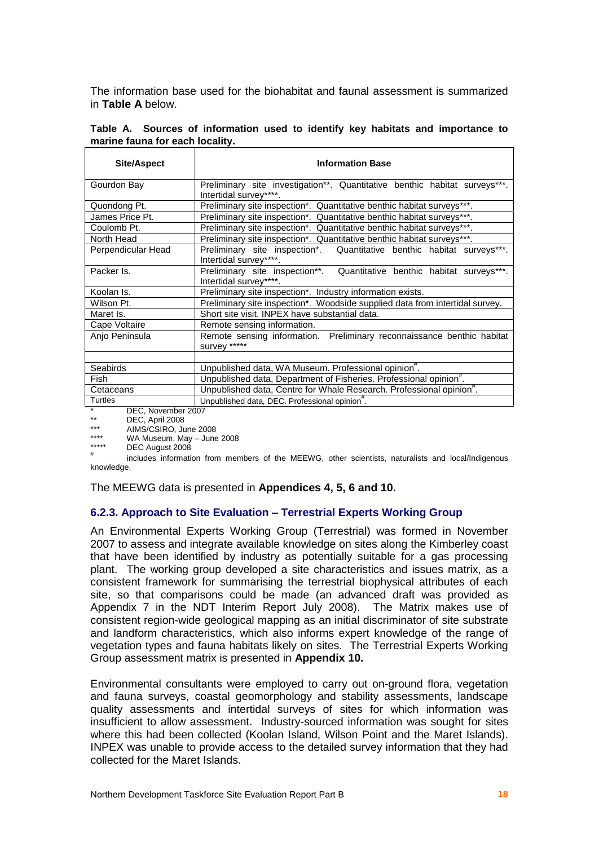The information base used for the biohabitat and faunal assessment is summarized in **Table A** below.

|  | Table A. Sources of information used to identify key habitats and importance to |  |  |  |  |
|--|---------------------------------------------------------------------------------|--|--|--|--|
|  | marine fauna for each locality.                                                 |  |  |  |  |
|  |                                                                                 |  |  |  |  |

| <b>Site/Aspect</b>                              | <b>Information Base</b>                                                                              |
|-------------------------------------------------|------------------------------------------------------------------------------------------------------|
| Gourdon Bay                                     | Preliminary site investigation**. Quantitative benthic habitat surveys***.<br>Intertidal survey****. |
| Quondong Pt.                                    | Preliminary site inspection*. Quantitative benthic habitat surveys***.                               |
| James Price Pt.                                 | Preliminary site inspection*. Quantitative benthic habitat surveys***.                               |
| Coulomb Pt.                                     | Preliminary site inspection*. Quantitative benthic habitat surveys***.                               |
| North Head                                      | Preliminary site inspection*. Quantitative benthic habitat surveys***.                               |
| Perpendicular Head                              | Preliminary site inspection*. Quantitative benthic habitat surveys***.<br>Intertidal survey****.     |
| Packer Is.                                      | Preliminary site inspection**. Quantitative benthic habitat surveys***.<br>Intertidal survey****.    |
| Koolan Is.                                      | Preliminary site inspection*. Industry information exists.                                           |
| Wilson Pt.                                      | Preliminary site inspection*. Woodside supplied data from intertidal survey.                         |
| Maret Is.                                       | Short site visit. INPEX have substantial data.                                                       |
| Cape Voltaire                                   | Remote sensing information.                                                                          |
| Anjo Peninsula                                  | Remote sensing information. Preliminary reconnaissance benthic habitat<br>survey *****               |
| <b>Seabirds</b>                                 |                                                                                                      |
|                                                 | Unpublished data, WA Museum. Professional opinion".                                                  |
| Fish                                            | Unpublished data, Department of Fisheries. Professional opinion <sup>#</sup> .                       |
| Cetaceans                                       | Unpublished data, Centre for Whale Research. Professional opinion <sup>#</sup> .                     |
| Turtles                                         | Unpublished data, DEC. Professional opinion".                                                        |
| DEC, November 2007<br>$DCD$ And $2000$<br>$***$ |                                                                                                      |

\*\* DEC, April 2008 \*\*\* AIMS/CSIRO, June 2008

\*\*\*\* WA Museum, May  $-$  June 2008

DEC August 2008

#

includes information from members of the MEEWG, other scientists, naturalists and local/Indigenous knowledge.

The MEEWG data is presented in **Appendices 4, 5, 6 and 10.**

## **6.2.3. Approach to Site Evaluation ñ Terrestrial Experts Working Group**

An Environmental Experts Working Group (Terrestrial) was formed in November 2007 to assess and integrate available knowledge on sites along the Kimberley coast that have been identified by industry as potentially suitable for a gas processing plant. The working group developed a site characteristics and issues matrix, as a consistent framework for summarising the terrestrial biophysical attributes of each site, so that comparisons could be made (an advanced draft was provided as Appendix 7 in the NDT Interim Report July 2008). The Matrix makes use of consistent region-wide geological mapping as an initial discriminator of site substrate and landform characteristics, which also informs expert knowledge of the range of vegetation types and fauna habitats likely on sites. The Terrestrial Experts Working Group assessment matrix is presented in **Appendix 10.**

Environmental consultants were employed to carry out on-ground flora, vegetation and fauna surveys, coastal geomorphology and stability assessments, landscape quality assessments and intertidal surveys of sites for which information was insufficient to allow assessment. Industry-sourced information was sought for sites where this had been collected (Koolan Island, Wilson Point and the Maret Islands). INPEX was unable to provide access to the detailed survey information that they had collected for the Maret Islands.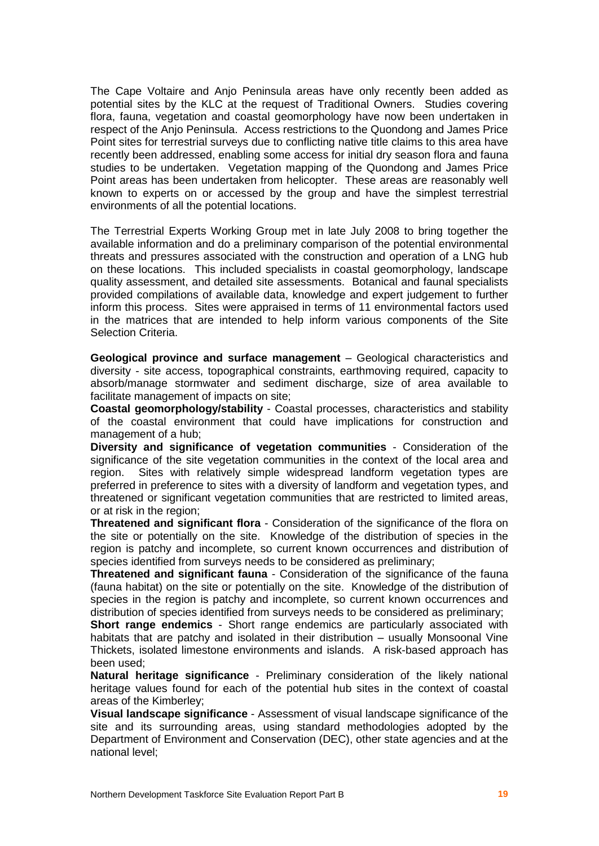The Cape Voltaire and Anjo Peninsula areas have only recently been added as potential sites by the KLC at the request of Traditional Owners. Studies covering flora, fauna, vegetation and coastal geomorphology have now been undertaken in respect of the Anjo Peninsula. Access restrictions to the Quondong and James Price Point sites for terrestrial surveys due to conflicting native title claims to this area have recently been addressed, enabling some access for initial dry season flora and fauna studies to be undertaken. Vegetation mapping of the Quondong and James Price Point areas has been undertaken from helicopter. These areas are reasonably well known to experts on or accessed by the group and have the simplest terrestrial environments of all the potential locations.

The Terrestrial Experts Working Group met in late July 2008 to bring together the available information and do a preliminary comparison of the potential environmental threats and pressures associated with the construction and operation of a LNG hub on these locations. This included specialists in coastal geomorphology, landscape quality assessment, and detailed site assessments. Botanical and faunal specialists provided compilations of available data, knowledge and expert judgement to further inform this process. Sites were appraised in terms of 11 environmental factors used in the matrices that are intended to help inform various components of the Site Selection Criteria.

**Geological province and surface management** – Geological characteristics and diversity - site access, topographical constraints, earthmoving required, capacity to absorb/manage stormwater and sediment discharge, size of area available to facilitate management of impacts on site;

**Coastal geomorphology/stability** - Coastal processes, characteristics and stability of the coastal environment that could have implications for construction and management of a hub;

**Diversity and significance of vegetation communities** - Consideration of the significance of the site vegetation communities in the context of the local area and region. Sites with relatively simple widespread landform vegetation types are preferred in preference to sites with a diversity of landform and vegetation types, and threatened or significant vegetation communities that are restricted to limited areas, or at risk in the region;

**Threatened and significant flora** - Consideration of the significance of the flora on the site or potentially on the site. Knowledge of the distribution of species in the region is patchy and incomplete, so current known occurrences and distribution of species identified from surveys needs to be considered as preliminary;

**Threatened and significant fauna** - Consideration of the significance of the fauna (fauna habitat) on the site or potentially on the site. Knowledge of the distribution of species in the region is patchy and incomplete, so current known occurrences and distribution of species identified from surveys needs to be considered as preliminary;

**Short range endemics** - Short range endemics are particularly associated with habitats that are patchy and isolated in their distribution  $-$  usually Monsoonal Vine Thickets, isolated limestone environments and islands. A risk-based approach has been used;

**Natural heritage significance** - Preliminary consideration of the likely national heritage values found for each of the potential hub sites in the context of coastal areas of the Kimberley;

**Visual landscape significance** - Assessment of visual landscape significance of the site and its surrounding areas, using standard methodologies adopted by the Department of Environment and Conservation (DEC), other state agencies and at the national level;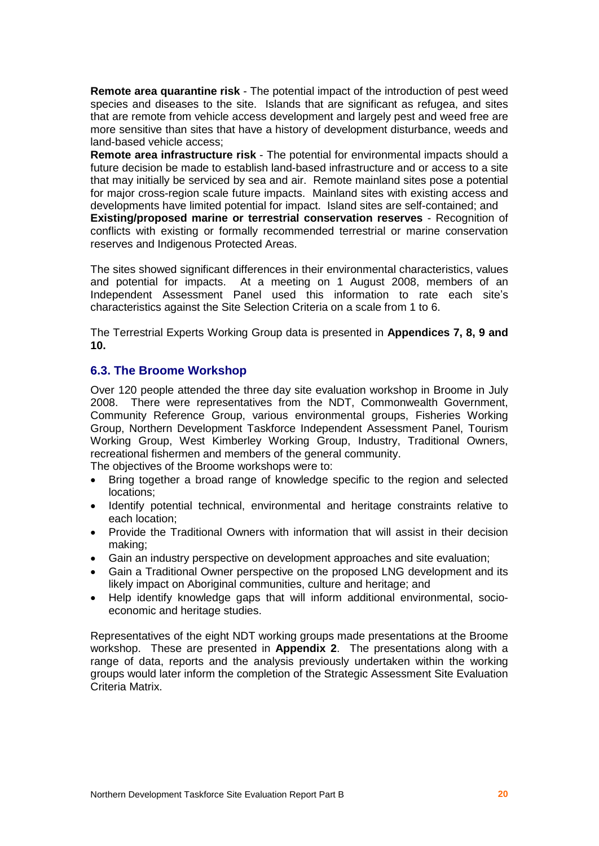**Remote area quarantine risk** - The potential impact of the introduction of pest weed species and diseases to the site. Islands that are significant as refugea, and sites that are remote from vehicle access development and largely pest and weed free are more sensitive than sites that have a history of development disturbance, weeds and land-based vehicle access;

**Remote area infrastructure risk** - The potential for environmental impacts should a future decision be made to establish land-based infrastructure and or access to a site that may initially be serviced by sea and air. Remote mainland sites pose a potential for major cross-region scale future impacts. Mainland sites with existing access and developments have limited potential for impact. Island sites are self-contained; and

**Existing/proposed marine or terrestrial conservation reserves** - Recognition of conflicts with existing or formally recommended terrestrial or marine conservation reserves and Indigenous Protected Areas.

The sites showed significant differences in their environmental characteristics, values and potential for impacts. At a meeting on 1 August 2008, members of an Independent Assessment Panel used this information to rate each siteís characteristics against the Site Selection Criteria on a scale from 1 to 6.

The Terrestrial Experts Working Group data is presented in **Appendices 7, 8, 9 and 10.**

## **6.3. The Broome Workshop**

Over 120 people attended the three day site evaluation workshop in Broome in July 2008. There were representatives from the NDT, Commonwealth Government, Community Reference Group, various environmental groups, Fisheries Working Group, Northern Development Taskforce Independent Assessment Panel, Tourism Working Group, West Kimberley Working Group, Industry, Traditional Owners, recreational fishermen and members of the general community. The objectives of the Broome workshops were to:

- Bring together a broad range of knowledge specific to the region and selected locations;
- Identify potential technical, environmental and heritage constraints relative to each location;
- Provide the Traditional Owners with information that will assist in their decision making;
- Gain an industry perspective on development approaches and site evaluation;
- Gain a Traditional Owner perspective on the proposed LNG development and its likely impact on Aboriginal communities, culture and heritage; and
- Help identify knowledge gaps that will inform additional environmental, socio economic and heritage studies.

Representatives of the eight NDT working groups made presentations at the Broome workshop. These are presented in **Appendix 2**. The presentations along with a range of data, reports and the analysis previously undertaken within the working groups would later inform the completion of the Strategic Assessment Site Evaluation Criteria Matrix.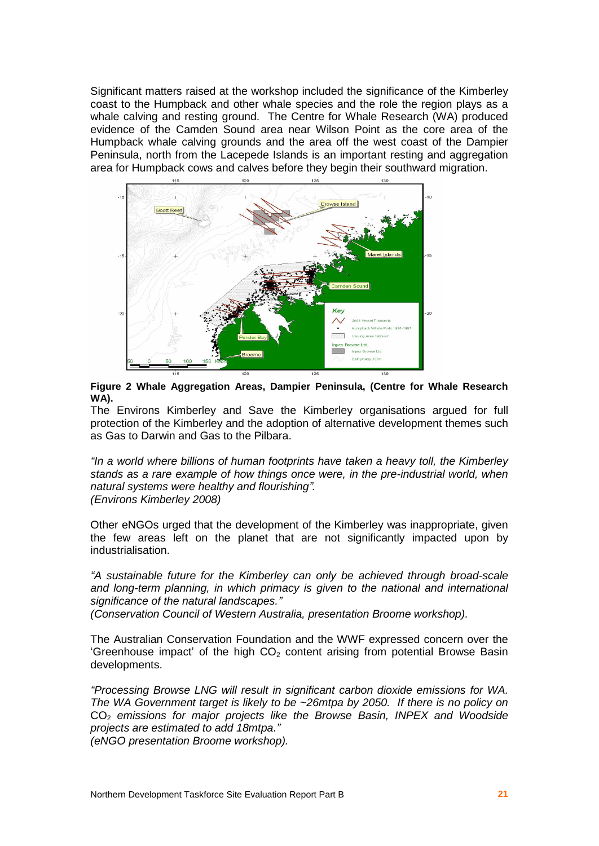Significant matters raised at the workshop included the significance of the Kimberley coast to the Humpback and other whale species and the role the region plays as a whale calving and resting ground. The Centre for Whale Research (WA) produced evidence of the Camden Sound area near Wilson Point as the core area of the Humpback whale calving grounds and the area off the west coast of the Dampier Peninsula, north from the Lacepede Islands is an important resting and aggregation area for Humpback cows and calves before they begin their southward migration.



**Figure 2 Whale Aggregation Areas, Dampier Peninsula, (Centre for Whale Research WA).**

The Environs Kimberley and Save the Kimberley organisations argued for full protection of the Kimberley and the adoption of alternative development themes such as Gas to Darwin and Gas to the Pilbara.

*ì*In a world where billions of human footprints have taken a heavy toll, the Kimberley stands as a rare example of how things once were, in the pre-industrial world, when natural systems were healthy and flourishing*î*. (Environs Kimberley 2008)

Other eNGOs urged that the development of the Kimberley was inappropriate, given the few areas left on the planet that are not significantly impacted upon by industrialisation.

*ì*A sustainable future for the Kimberley can only be achieved through broad-scale and long-term planning, in which primacy is given to the national and international significance of the natural landscapes.*î*

(Conservation Council of Western Australia, presentation Broome workshop).

The Australian Conservation Foundation and the WWF expressed concern over the 'Greenhouse impact' of the high  $CO<sub>2</sub>$  content arising from potential Browse Basin developments.

*ì*Processing Browse LNG will result in significant carbon dioxide emissions for WA. The WA Government target is likely to be ~26mtpa by 2050. If there is no policy on CO<sub>2</sub> emissions for major projects like the Browse Basin, INPEX and Woodside projects are estimated to add 18mtpa.*î* (eNGO presentation Broome workshop).

Northern Development Taskforce Site Evaluation Report Part B **21**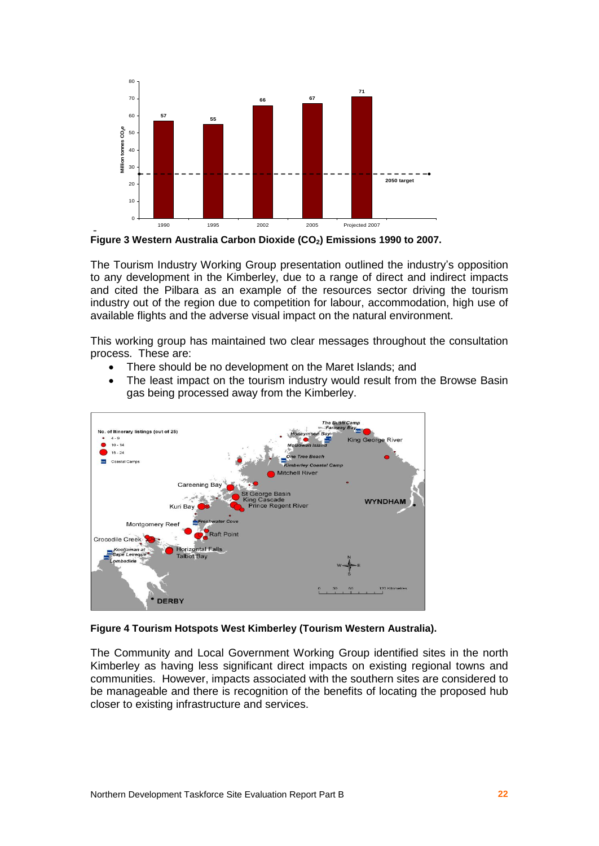



The Tourism Industry Working Group presentation outlined the industry's opposition to any development in the Kimberley, due to a range of direct and indirect impacts and cited the Pilbara as an example of the resources sector driving the tourism industry out of the region due to competition for labour, accommodation, high use of available flights and the adverse visual impact on the natural environment.

This working group has maintained two clear messages throughout the consultation process. These are:

- There should be no development on the Maret Islands; and
- The least impact on the tourism industry would result from the Browse Basin gas being processed away from the Kimberley.



#### **Figure 4 Tourism Hotspots West Kimberley (Tourism Western Australia).**

The Community and Local Government Working Group identified sites in the north Kimberley as having less significant direct impacts on existing regional towns and communities. However, impacts associated with the southern sites are considered to be manageable and there is recognition of the benefits of locating the proposed hub closer to existing infrastructure and services.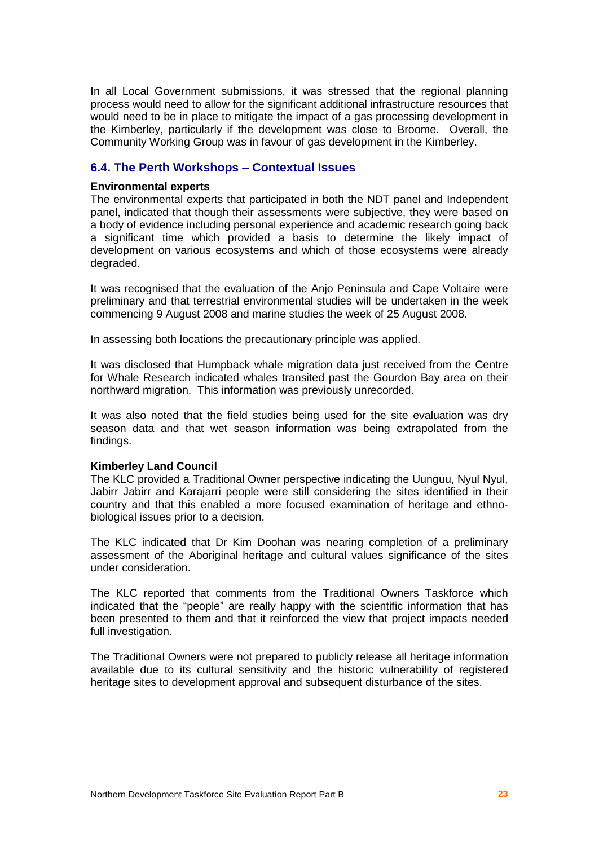In all Local Government submissions, it was stressed that the regional planning process would need to allow for the significant additional infrastructure resources that would need to be in place to mitigate the impact of a gas processing development in the Kimberley, particularly if the development was close to Broome. Overall, the Community Working Group was in favour of gas development in the Kimberley.

## **6.4. The Perth Workshops ñ Contextual Issues**

#### **Environmental experts**

The environmental experts that participated in both the NDT panel and Independent panel, indicated that though their assessments were subjective, they were based on a body of evidence including personal experience and academic research going back a significant time which provided a basis to determine the likely impact of development on various ecosystems and which of those ecosystems were already degraded.

It was recognised that the evaluation of the Anjo Peninsula and Cape Voltaire were preliminary and that terrestrial environmental studies will be undertaken in the week commencing 9 August 2008 and marine studies the week of 25 August 2008.

In assessing both locations the precautionary principle was applied.

It was disclosed that Humpback whale migration data just received from the Centre for Whale Research indicated whales transited past the Gourdon Bay area on their northward migration. This information was previously unrecorded.

It was also noted that the field studies being used for the site evaluation was dry season data and that wet season information was being extrapolated from the findings.

#### **Kimberley Land Council**

The KLC provided a Traditional Owner perspective indicating the Uunguu, Nyul Nyul, Jabirr Jabirr and Karajarri people were still considering the sites identified in their country and that this enabled a more focused examination of heritage and ethno biological issues prior to a decision.

The KLC indicated that Dr Kim Doohan was nearing completion of a preliminary assessment of the Aboriginal heritage and cultural values significance of the sites under consideration.

The KLC reported that comments from the Traditional Owners Taskforce which indicated that the "people" are really happy with the scientific information that has been presented to them and that it reinforced the view that project impacts needed full investigation.

The Traditional Owners were not prepared to publicly release all heritage information available due to its cultural sensitivity and the historic vulnerability of registered heritage sites to development approval and subsequent disturbance of the sites.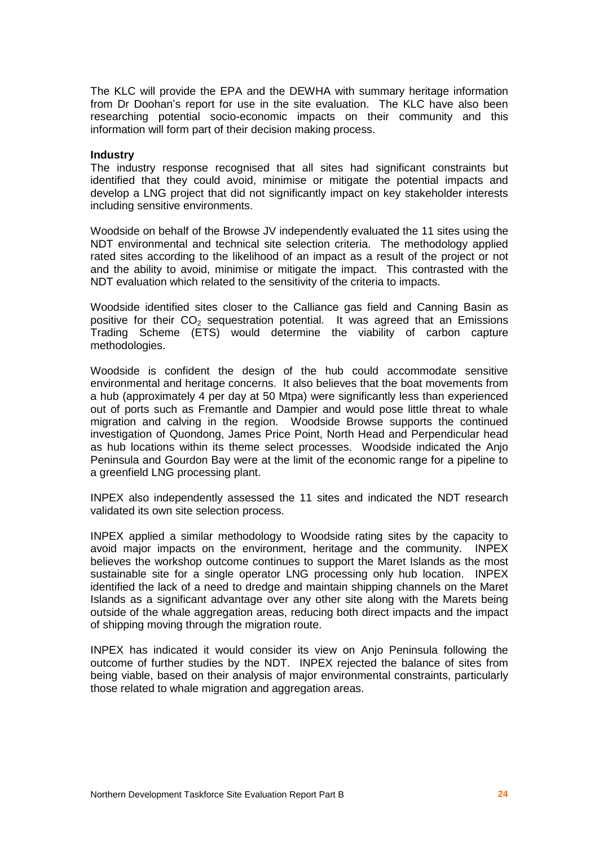The KLC will provide the EPA and the DEWHA with summary heritage information from Dr Doohanís report for use in the site evaluation. The KLC have also been researching potential socio-economic impacts on their community and this information will form part of their decision making process.

#### **Industry**

The industry response recognised that all sites had significant constraints but identified that they could avoid, minimise or mitigate the potential impacts and develop a LNG project that did not significantly impact on key stakeholder interests including sensitive environments.

Woodside on behalf of the Browse JV independently evaluated the 11 sites using the NDT environmental and technical site selection criteria. The methodology applied rated sites according to the likelihood of an impact as a result of the project or not and the ability to avoid, minimise or mitigate the impact. This contrasted with the NDT evaluation which related to the sensitivity of the criteria to impacts.

Woodside identified sites closer to the Calliance gas field and Canning Basin as positive for their  $CO<sub>2</sub>$  sequestration potential. It was agreed that an Emissions Trading Scheme (ETS) would determine the viability of carbon capture methodologies.

Woodside is confident the design of the hub could accommodate sensitive environmental and heritage concerns. It also believes that the boat movements from a hub (approximately 4 per day at 50 Mtpa) were significantly less than experienced out of ports such as Fremantle and Dampier and would pose little threat to whale migration and calving in the region. Woodside Browse supports the continued investigation of Quondong, James Price Point, North Head and Perpendicular head as hub locations within its theme select processes. Woodside indicated the Anjo Peninsula and Gourdon Bay were at the limit of the economic range for a pipeline to a greenfield LNG processing plant.

INPEX also independently assessed the 11 sites and indicated the NDT research validated its own site selection process.

INPEX applied a similar methodology to Woodside rating sites by the capacity to avoid major impacts on the environment, heritage and the community. INPEX believes the workshop outcome continues to support the Maret Islands as the most sustainable site for a single operator LNG processing only hub location. INPEX identified the lack of a need to dredge and maintain shipping channels on the Maret Islands as a significant advantage over any other site along with the Marets being outside of the whale aggregation areas, reducing both direct impacts and the impact of shipping moving through the migration route.

INPEX has indicated it would consider its view on Anjo Peninsula following the outcome of further studies by the NDT. INPEX rejected the balance of sites from being viable, based on their analysis of major environmental constraints, particularly those related to whale migration and aggregation areas.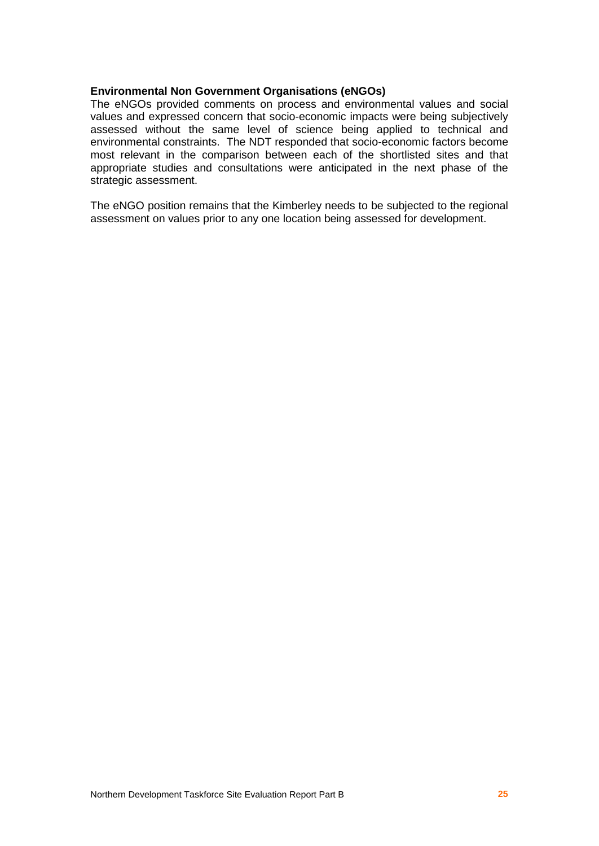#### **Environmental Non Government Organisations (eNGOs)**

The eNGOs provided comments on process and environmental values and social values and expressed concern that socio-economic impacts were being subjectively assessed without the same level of science being applied to technical and environmental constraints. The NDT responded that socio-economic factors become most relevant in the comparison between each of the shortlisted sites and that appropriate studies and consultations were anticipated in the next phase of the strategic assessment.

The eNGO position remains that the Kimberley needs to be subjected to the regional assessment on values prior to any one location being assessed for development.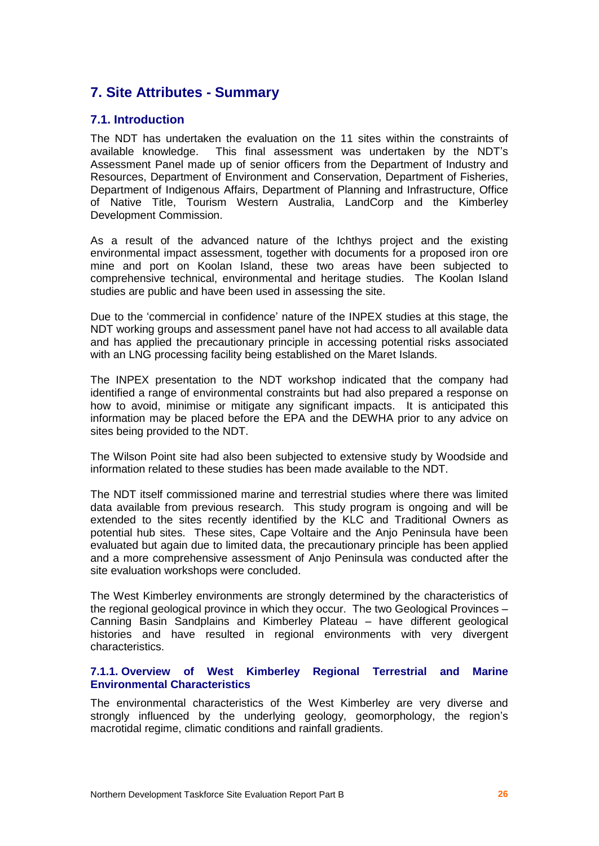## **7. Site Attributes - Summary**

## **7.1. Introduction**

The NDT has undertaken the evaluation on the 11 sites within the constraints of available knowledge. This final assessment was undertaken by the NDT's Assessment Panel made up of senior officers from the Department of Industry and Resources, Department of Environment and Conservation, Department of Fisheries, Department of Indigenous Affairs, Department of Planning and Infrastructure, Office of Native Title, Tourism Western Australia, LandCorp and the Kimberley Development Commission.

As a result of the advanced nature of the Ichthys project and the existing environmental impact assessment, together with documents for a proposed iron ore mine and port on Koolan Island, these two areas have been subjected to comprehensive technical, environmental and heritage studies. The Koolan Island studies are public and have been used in assessing the site.

Due to the 'commercial in confidence' nature of the INPEX studies at this stage, the NDT working groups and assessment panel have not had access to all available data and has applied the precautionary principle in accessing potential risks associated with an LNG processing facility being established on the Maret Islands.

The INPEX presentation to the NDT workshop indicated that the company had identified a range of environmental constraints but had also prepared a response on how to avoid, minimise or mitigate any significant impacts. It is anticipated this information may be placed before the EPA and the DEWHA prior to any advice on sites being provided to the NDT.

The Wilson Point site had also been subjected to extensive study by Woodside and information related to these studies has been made available to the NDT.

The NDT itself commissioned marine and terrestrial studies where there was limited data available from previous research. This study program is ongoing and will be extended to the sites recently identified by the KLC and Traditional Owners as potential hub sites. These sites, Cape Voltaire and the Anjo Peninsula have been evaluated but again due to limited data, the precautionary principle has been applied and a more comprehensive assessment of Anjo Peninsula was conducted after the site evaluation workshops were concluded.

The West Kimberley environments are strongly determined by the characteristics of the regional geological province in which they occur. The two Geological Provinces -Canning Basin Sandplains and Kimberley Plateau – have different geological histories and have resulted in regional environments with very divergent characteristics.

#### **7.1.1. Overview of West Kimberley Regional Terrestrial and Marine Environmental Characteristics**

The environmental characteristics of the West Kimberley are very diverse and strongly influenced by the underlying geology, geomorphology, the region's macrotidal regime, climatic conditions and rainfall gradients.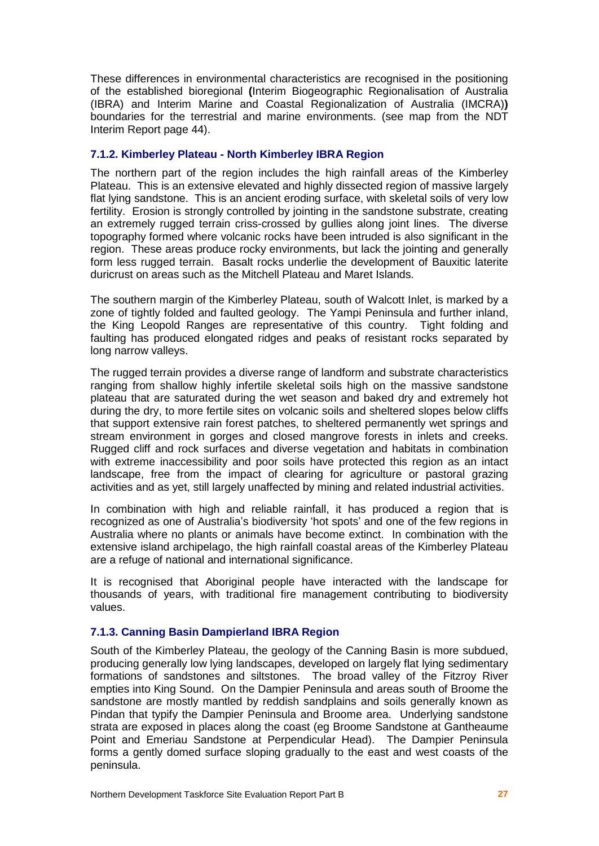These differences in environmental characteristics are recognised in the positioning of the established bioregional **(**Interim Biogeographic Regionalisation of Australia (IBRA) and Interim Marine and Coastal Regionalization of Australia (IMCRA)**)** boundaries for the terrestrial and marine environments. (see map from the NDT Interim Report page 44).

#### **7.1.2. Kimberley Plateau - North Kimberley IBRA Region**

The northern part of the region includes the high rainfall areas of the Kimberley Plateau. This is an extensive elevated and highly dissected region of massive largely flat lying sandstone. This is an ancient eroding surface, with skeletal soils of very low fertility. Erosion is strongly controlled by jointing in the sandstone substrate, creating an extremely rugged terrain criss-crossed by gullies along joint lines. The diverse topography formed where volcanic rocks have been intruded is also significant in the region. These areas produce rocky environments, but lack the jointing and generally form less rugged terrain. Basalt rocks underlie the development of Bauxitic laterite duricrust on areas such as the Mitchell Plateau and Maret Islands.

The southern margin of the Kimberley Plateau, south of Walcott Inlet, is marked by a zone of tightly folded and faulted geology. The Yampi Peninsula and further inland, the King Leopold Ranges are representative of this country. Tight folding and faulting has produced elongated ridges and peaks of resistant rocks separated by long narrow valleys.

The rugged terrain provides a diverse range of landform and substrate characteristics ranging from shallow highly infertile skeletal soils high on the massive sandstone plateau that are saturated during the wet season and baked dry and extremely hot during the dry, to more fertile sites on volcanic soils and sheltered slopes below cliffs that support extensive rain forest patches, to sheltered permanently wet springs and stream environment in gorges and closed mangrove forests in inlets and creeks. Rugged cliff and rock surfaces and diverse vegetation and habitats in combination with extreme inaccessibility and poor soils have protected this region as an intact landscape, free from the impact of clearing for agriculture or pastoral grazing activities and as yet, still largely unaffected by mining and related industrial activities.

In combination with high and reliable rainfall, it has produced a region that is recognized as one of Australia's biodiversity 'hot spots' and one of the few regions in Australia where no plants or animals have become extinct. In combination with the extensive island archipelago, the high rainfall coastal areas of the Kimberley Plateau are a refuge of national and international significance.

It is recognised that Aboriginal people have interacted with the landscape for thousands of years, with traditional fire management contributing to biodiversity values.

## **7.1.3. Canning Basin Dampierland IBRA Region**

South of the Kimberley Plateau, the geology of the Canning Basin is more subdued, producing generally low lying landscapes, developed on largely flatlying sedimentary formations of sandstones and siltstones. The broad valley of the Fitzroy River empties into King Sound. On the Dampier Peninsula and areas south of Broome the sandstone are mostly mantled by reddish sandplains and soils generally known as Pindan that typify the Dampier Peninsula and Broome area. Underlying sandstone strata are exposed in places along the coast (eg Broome Sandstone at Gantheaume Point and Emeriau Sandstone at Perpendicular Head). The Dampier Peninsula forms a gently domed surface sloping gradually to the east and west coasts of the peninsula.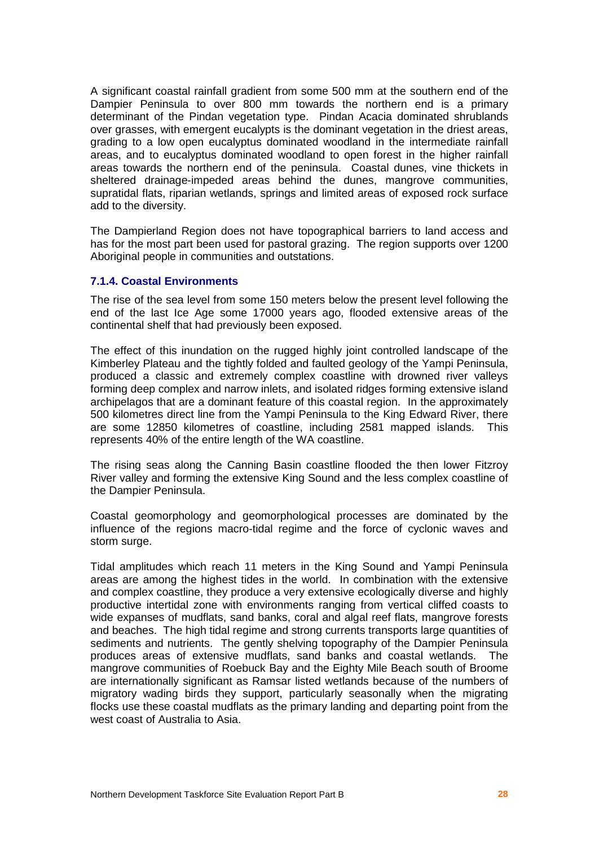A significant coastal rainfall gradient from some 500 mm at the southern end of the Dampier Peninsula to over 800 mm towards the northern end is a primary determinant of the Pindan vegetation type. Pindan Acacia dominated shrublands over grasses, with emergent eucalypts is the dominant vegetation in the driest areas, grading to a low open eucalyptus dominated woodland in the intermediate rainfall areas, and to eucalyptus dominated woodland to open forest in the higher rainfall areas towards the northern end of the peninsula. Coastal dunes, vine thickets in sheltered drainage-impeded areas behind the dunes, mangrove communities, supratidal flats, riparian wetlands, springs and limited areas of exposed rock surface add to the diversity.

The Dampierland Region does not have topographical barriers to land access and has for the most part been used for pastoral grazing. The region supports over 1200 Aboriginal people in communities and outstations.

#### **7.1.4. Coastal Environments**

The rise of the sea level from some 150 meters below the present level following the end of the last Ice Age some 17000 years ago, flooded extensive areas of the continental shelf that had previously been exposed.

The effect of this inundation on the rugged highly joint controlled landscape of the Kimberley Plateau and the tightly folded and faulted geology of the Yampi Peninsula, produced a classic and extremely complex coastline with drowned river valleys forming deep complex and narrow inlets, and isolated ridges forming extensive island archipelagos that are a dominant feature of this coastal region. In the approximately 500 kilometres direct line from the Yampi Peninsula to the King Edward River, there are some 12850 kilometres of coastline, including 2581 mapped islands. This represents 40% of the entire length of the WA coastline.

The rising seas along the Canning Basin coastline flooded the then lower Fitzroy River valley and forming the extensive King Sound and the less complex coastline of the Dampier Peninsula.

Coastal geomorphology and geomorphological processes are dominated by the influence of the regions macro-tidal regime and the force of cyclonic waves and storm surge.

Tidal amplitudes which reach 11 meters in the King Sound and Yampi Peninsula areas are among the highest tides in the world. In combination with the extensive and complex coastline, they produce a very extensive ecologically diverse and highly productive intertidal zone with environments ranging from vertical cliffed coasts to wide expanses of mudflats, sand banks, coral and algalreef flats, mangrove forests and beaches. The high tidal regime and strong currents transports large quantities of sediments and nutrients. The gently shelving topography of the Dampier Peninsula produces areas of extensive mudflats, sand banks and coastal wetlands. The mangrove communities of Roebuck Bay and the Eighty Mile Beach south of Broome are internationally significant as Ramsar listed wetlands because of the numbers of migratory wading birds they support, particularly seasonally when the migrating flocks use these coastal mudflats as the primary landing and departing point from the west coast of Australia to Asia.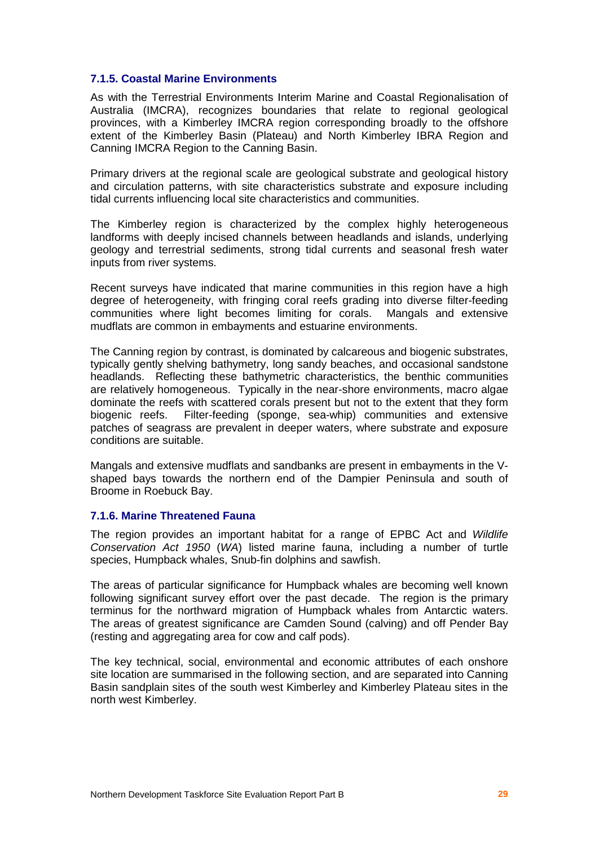#### **7.1.5. Coastal Marine Environments**

As with the Terrestrial Environments Interim Marine and Coastal Regionalisation of Australia (IMCRA), recognizes boundaries that relate to regional geological provinces, with a Kimberley IMCRA region corresponding broadly to the offshore extent of the Kimberley Basin (Plateau) and North Kimberley IBRA Region and Canning IMCRA Region to the Canning Basin.

Primary drivers at the regional scale are geological substrate and geological history and circulation patterns, with site characteristics substrate and exposure including tidal currents influencing local site characteristics and communities.

The Kimberley region is characterized by the complex highly heterogeneous landforms with deeply incised channels between headlands and islands, underlying geology and terrestrial sediments, strong tidal currents and seasonal fresh water inputs from river systems.

Recent surveys have indicated that marine communities in this region have a high degree of heterogeneity, with fringing coral reefs grading into diverse filter-feeding communities where light becomes limiting for corals. Mangals and extensive mudflats are common in embayments and estuarine environments.

The Canning region by contrast, is dominated by calcareous and biogenic substrates, typically gently shelving bathymetry, long sandy beaches, and occasional sandstone headlands. Reflecting these bathymetric characteristics, the benthic communities are relatively homogeneous. Typically in the near-shore environments, macro algae dominate the reefs with scattered corals present but not to the extent that they form biogenic reefs. Filter-feeding (sponge, sea-whip) communities and extensive patches of seagrass are prevalent in deeper waters, where substrate and exposure conditions are suitable.

Mangals and extensive mudflats and sandbanks are present in embayments in the V shaped bays towards the northern end of the Dampier Peninsula and south of Broome in Roebuck Bay.

#### **7.1.6. Marine Threatened Fauna**

The region provides an important habitat for a range of EPBC Act and Wildlife Conservation Act 1950 (WA) listed marine fauna, including a number of turtle species, Humpback whales, Snub-fin dolphins and sawfish.

The areas of particular significance for Humpback whales are becoming well known following significant survey effort over the past decade. The region is the primary terminus for the northward migration of Humpback whales from Antarctic waters. The areas of greatest significance are Camden Sound (calving) and off Pender Bay (resting and aggregating area for cow and calf pods).

The key technical, social, environmental and economic attributes of each onshore site location are summarised in the following section, and are separated into Canning Basin sandplain sites of the south west Kimberley and Kimberley Plateau sites in the north west Kimberley.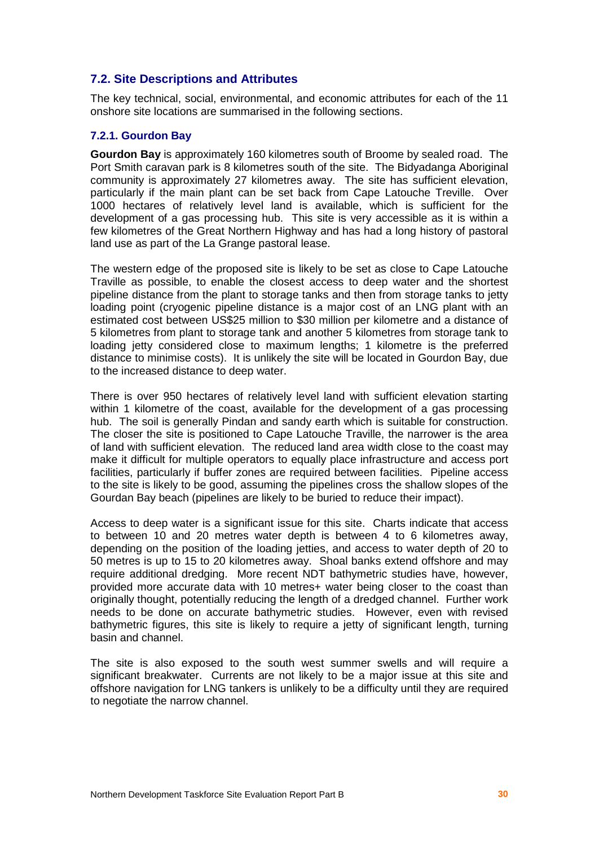## **7.2. Site Descriptions and Attributes**

The key technical, social, environmental, and economic attributes for each of the 11 onshore site locations are summarised in the following sections.

#### **7.2.1. Gourdon Bay**

**Gourdon Bay** is approximately 160 kilometres south of Broome by sealed road. The Port Smith caravan park is 8 kilometres south of the site. The Bidyadanga Aboriginal community is approximately 27 kilometres away. The site has sufficient elevation, particularly if the main plant can be set back from Cape Latouche Treville. Over 1000 hectares of relatively level land is available, which is sufficient for the development of a gas processing hub. This site is very accessible as it is within a few kilometres of the Great Northern Highway and has had a long history of pastoral land use as part of the La Grange pastoral lease.

The western edge of the proposed site is likely to be set as close to Cape Latouche Traville as possible, to enable the closest access to deep water and the shortest pipeline distance from the plant to storage tanks and then from storage tanks to jetty loading point (cryogenic pipeline distance is a major cost of an LNG plant with an estimated cost between US\$25 million to \$30 million per kilometre and a distance of 5 kilometres from plant to storage tank and another 5 kilometres from storage tank to loading jetty considered close to maximum lengths; 1 kilometre is the preferred distance to minimise costs). It is unlikely the site will be located in Gourdon Bay, due to the increased distance to deep water.

There is over 950 hectares of relatively level land with sufficient elevation starting within 1 kilometre of the coast, available for the development of a gas processing hub. The soil is generally Pindan and sandy earth which is suitable for construction. The closer the site is positioned to Cape Latouche Traville, the narrower is the area of land with sufficient elevation. The reduced land area width close to the coast may make it difficult for multiple operators to equally place infrastructure and access port facilities, particularly if buffer zones are required between facilities. Pipeline access to the site is likely to be good, assuming the pipelines cross the shallow slopes of the Gourdan Bay beach (pipelines are likely to be buried to reduce their impact).

Access to deep water is a significant issue for this site. Charts indicate that access to between 10 and 20 metres water depth is between 4 to 6 kilometres away, depending on the position of the loading jetties, and access to water depth of 20 to 50 metres is up to 15 to 20 kilometres away. Shoal banks extend offshore and may require additional dredging. More recent NDT bathymetric studies have, however, provided more accurate data with 10 metres+ water being closer to the coast than originally thought, potentially reducing the length of a dredged channel. Further work needs to be done on accurate bathymetric studies. However, even with revised bathymetric figures, this site is likely to require a jetty of significant length, turning basin and channel.

The site is also exposed to the south west summer swells and will require a significant breakwater. Currents are not likely to be a major issue at this site and offshore navigation for LNG tankers is unlikely to be a difficulty until they are required to negotiate the narrow channel.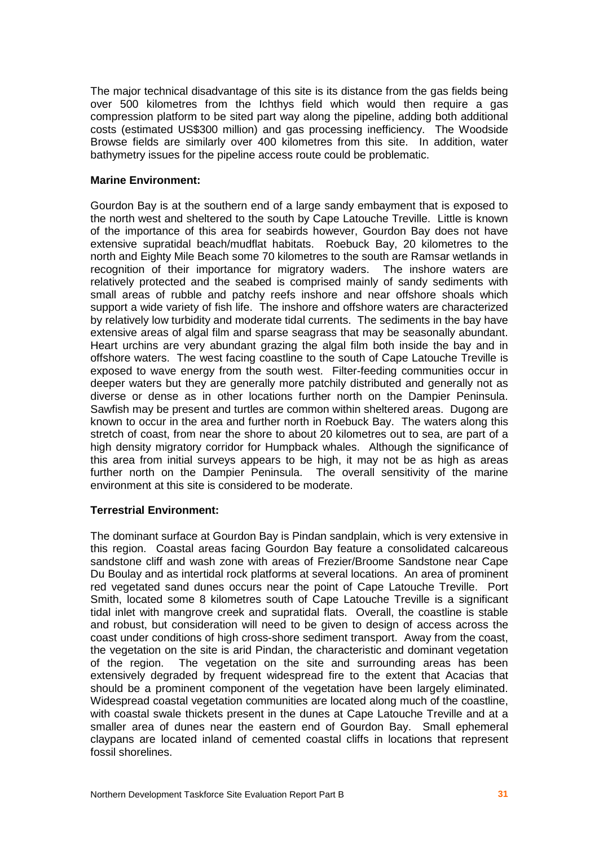The major technical disadvantage of this site is its distance from the gas fields being over 500 kilometres from the Ichthys field which would then require a gas compression platform to be sited part way along the pipeline, adding both additional costs (estimated US\$300 million) and gas processing inefficiency. The Woodside Browse fields are similarly over 400 kilometres from this site. In addition, water bathymetry issues for the pipeline access route could be problematic.

#### **Marine Environment:**

Gourdon Bay is at the southern end of a large sandy embayment that is exposed to the north west and sheltered to the south by Cape Latouche Treville. Little is known of the importance of this area forseabirds however, Gourdon Bay does not have extensive supratidal beach/mudflat habitats. Roebuck Bay, 20 kilometres to the north and Eighty Mile Beach some 70 kilometres to the south are Ramsar wetlands in recognition of their importance for migratory waders. The inshore waters are relatively protected and the seabed is comprised mainly of sandy sediments with small areas of rubble and patchy reefs inshore and near offshore shoals which support a wide variety of fish life. The inshore and offshore waters are characterized by relatively low turbidity and moderate tidal currents. The sediments in the bay have extensive areas of algal film and sparse seagrass that may be seasonally abundant. Heart urchins are very abundant grazing the algal film both inside the bay and in offshore waters. The west facing coastline to the south of Cape Latouche Treville is exposed to wave energy from the south west. Filter-feeding communities occur in deeper waters but they are generally more patchily distributed and generally not as diverse or dense as in other locations further north on the Dampier Peninsula. Sawfish may be present and turtles are common within sheltered areas. Dugong are known to occur in the area and further north in Roebuck Bay. The waters along this stretch of coast, from near the shore to about 20 kilometres out to sea, are part of a high density migratory corridor for Humpback whales. Although the significance of this area from initial surveys appears to be high, it may not be as high as areas further north on the Dampier Peninsula. The overall sensitivity of the marine environment at this site is considered to be moderate.

## **Terrestrial Environment:**

The dominant surface at Gourdon Bay is Pindan sandplain, which is very extensive in this region. Coastal areas facing Gourdon Bay feature a consolidated calcareous sandstone cliff and wash zone with areas of Frezier/Broome Sandstone near Cape Du Boulay and as intertidal rock platforms at several locations. An area of prominent red vegetated sand dunes occurs near the point of Cape Latouche Treville. Port Smith, located some 8 kilometres south of Cape Latouche Treville is a significant tidal inlet with mangrove creek and supratidal flats. Overall, the coastline is stable and robust, but consideration will need to be given to design of access across the coast under conditions of high cross-shore sediment transport. Away from the coast, the vegetation on the site is arid Pindan, the characteristic and dominant vegetation of the region. The vegetation on the site and surrounding areas has been extensively degraded by frequent widespread fire to the extent that Acacias that should be a prominent component of the vegetation have been largely eliminated. Widespread coastal vegetation communities are located along much of the coastline, with coastal swale thickets present in the dunes at Cape Latouche Treville and at a smaller area of dunes near the eastern end of Gourdon Bay. Small ephemeral claypans are located inland of cemented coastal cliffs in locations that represent fossil shorelines.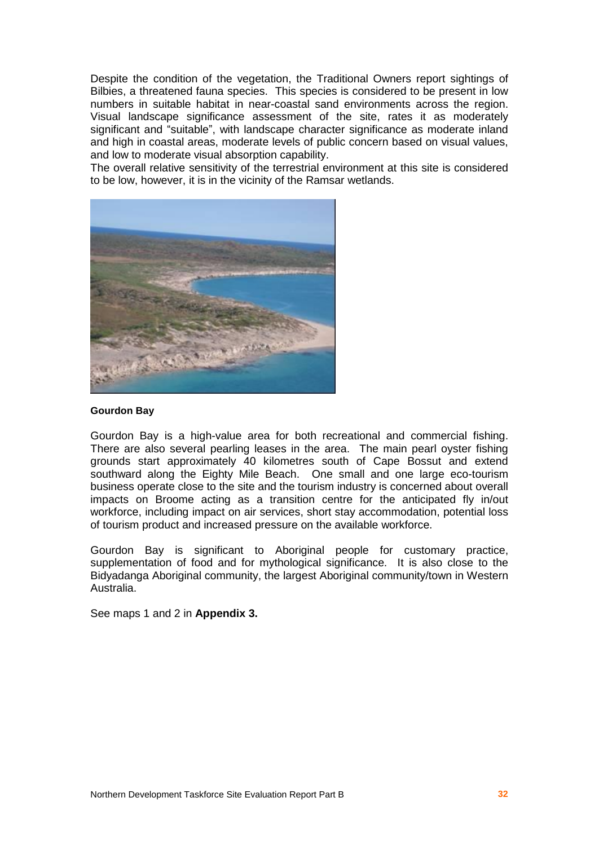Despite the condition of the vegetation, the Traditional Owners report sightings of Bilbies, a threatened fauna species. This species is considered to be present in low numbers in suitable habitat in near-coastal sand environments across the region. Visual landscape significance assessment of the site, rates it as moderately significant and "suitable", with landscape character significance as moderate inland and high in coastal areas, moderate levels of public concern based on visual values, and low to moderate visual absorption capability.

The overall relative sensitivity of the terrestrial environment at this site is considered to be low, however, it is in the vicinity of the Ramsar wetlands.



#### **Gourdon Bay**

Gourdon Bay is a high-value area for both recreational and commercial fishing. There are also several pearling leases in the area. The main pearl oyster fishing grounds start approximately 40 kilometres south of Cape Bossut and extend southward along the Eighty Mile Beach. One small and one large eco-tourism business operate close to the site and the tourism industry is concerned about overall impacts on Broome acting as a transition centre for the anticipated fly in/out workforce, including impact on air services, short stay accommodation, potential loss of tourism product and increased pressure on the available workforce.

Gourdon Bay is significant to Aboriginal people for customary practice, supplementation of food and for mythological significance. It is also close to the Bidyadanga Aboriginal community, the largest Aboriginal community/town in Western Australia.

See maps 1 and 2 in **Appendix 3.**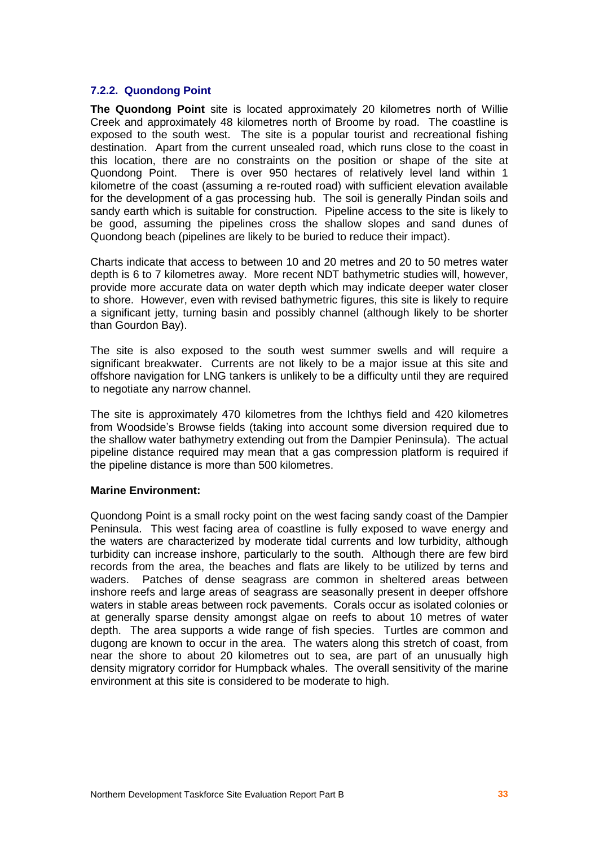## **7.2.2. Quondong Point**

**The Quondong Point** site is located approximately 20 kilometres north of Willie Creek and approximately 48 kilometres north of Broome by road. The coastline is exposed to the south west. The site is a popular tourist and recreational fishing destination. Apart from the current unsealed road, which runs close to the coast in this location, there are no constraints on the position or shape of the site at Quondong Point. There is over 950 hectares of relatively level land within 1 kilometre of the coast (assuming a re-routed road) with sufficient elevation available for the development of a gas processing hub. The soil is generally Pindan soils and sandy earth which is suitable for construction. Pipeline access to the site is likely to be good, assuming the pipelines cross the shallow slopes and sand dunes of Quondong beach (pipelines are likely to be buried to reduce their impact).

Charts indicate that access to between 10 and 20 metres and 20 to 50 metres water depth is 6 to 7 kilometres away. More recent NDT bathymetric studies will, however, provide more accurate data on water depth which may indicate deeper water closer to shore. However, even with revised bathymetric figures, this site is likely to require a significant jetty, turning basin and possibly channel (although likely to be shorter than Gourdon Bay).

The site is also exposed to the south west summer swells and will require a significant breakwater. Currents are not likely to be a major issue at this site and offshore navigation for LNG tankers is unlikely to be a difficulty until they are required to negotiate any narrow channel.

The site is approximately 470 kilometres from the Ichthys field and 420 kilometres from Woodsideís Browse fields (taking into account some diversion required due to the shallow water bathymetry extending out from the Dampier Peninsula). The actual pipeline distance required may mean that a gas compression platform is required if the pipeline distance is more than 500 kilometres.

## **Marine Environment:**

Quondong Point is a small rocky point on the west facing sandy coast of the Dampier Peninsula. This west facing area of coastline is fully exposed to wave energy and the waters are characterized by moderate tidal currents and low turbidity, although turbidity can increase inshore, particularly to the south. Although there are few bird records from the area, the beaches and flats are likely to be utilized by terns and waders. Patches of dense seagrass are common in sheltered areas between inshore reefs and large areas of seagrass are seasonally present in deeper offshore waters in stable areas between rock pavements. Corals occur as isolated colonies or at generally sparse density amongst algae on reefs to about 10 metres of water depth. The area supports a wide range of fish species. Turtles are common and dugong are known to occur in the area. The waters along this stretch of coast, from near the shore to about 20 kilometres out to sea, are part of an unusually high density migratory corridor for Humpback whales. The overall sensitivity of the marine environment at this site is considered to be moderate to high.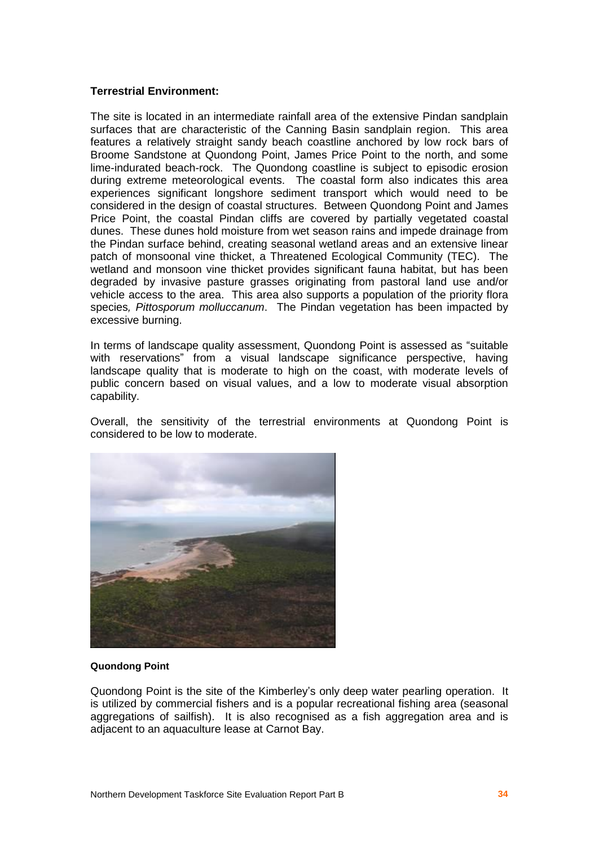#### **Terrestrial Environment:**

The site is located in an intermediate rainfall area of the extensive Pindan sandplain surfaces that are characteristic of the Canning Basin sandplain region. This area features a relatively straight sandy beach coastline anchored by low rock bars of Broome Sandstone at Quondong Point, James Price Point to the north, and some lime-indurated beach-rock. The Quondong coastline is subject to episodic erosion during extreme meteorological events. The coastal form also indicates this area experiences significant longshore sediment transport which would need to be considered in the design of coastal structures. Between Quondong Point and James Price Point, the coastal Pindan cliffs are covered by partially vegetated coastal dunes. These dunes hold moisture from wet season rains and impede drainage from the Pindan surface behind, creating seasonal wetland areas and an extensive linear patch of monsoonal vine thicket, a Threatened Ecological Community (TEC). The wetland and monsoon vine thicket provides significant fauna habitat, but has been degraded by invasive pasture grasses originating from pastoral land use and/or vehicle access to the area. This area also supports a population of the priority flora species, Pittosporum molluccanum. The Pindan vegetation has been impacted by excessive burning.

In terms of landscape quality assessment, Quondong Point is assessed as "suitable" with reservations" from a visual landscape significance perspective, having landscape quality that is moderate to high on the coast, with moderate levels of public concern based on visual values, and a low to moderate visual absorption capability.

Overall, the sensitivity of the terrestrial environments at Quondong Point is considered to be low to moderate.



#### **Quondong Point**

Quondong Point is the site of the Kimberleyís only deep water pearling operation. It is utilized by commercial fishers and is a popular recreational fishing area (seasonal aggregations of sailfish). It is also recognised as a fish aggregation area and is adjacent to an aquaculture lease at Carnot Bay.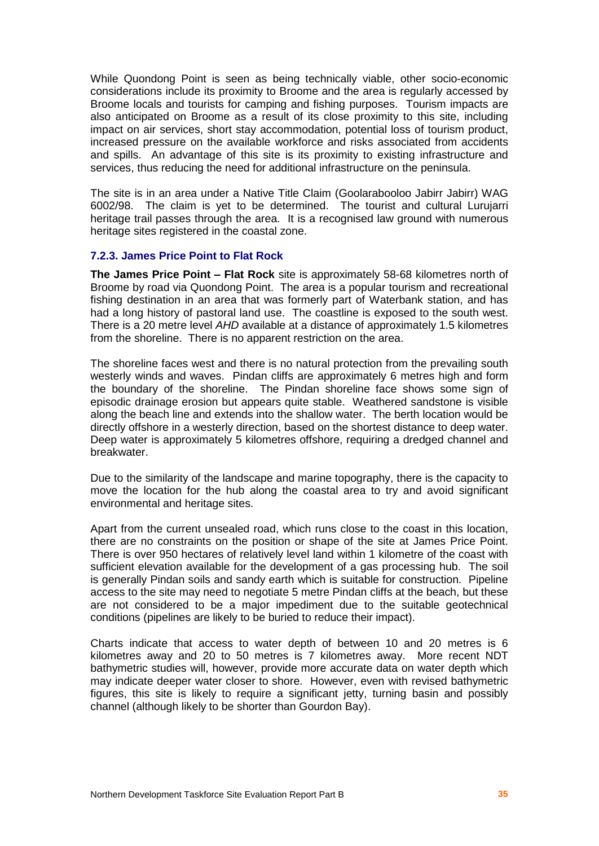While Quondong Point is seen as being technically viable, other socio-economic considerations include its proximity to Broome and the area is regularly accessed by Broome locals and tourists for camping and fishing purposes. Tourism impacts are also anticipated on Broome as a result of its close proximity to this site, including impact on air services, short stay accommodation, potential loss of tourism product, increased pressure on the available workforce and risks associated from accidents and spills. An advantage of this site is its proximity to existing infrastructure and services, thus reducing the need for additional infrastructure on the peninsula.

The site is in an area under a Native Title Claim (Goolarabooloo Jabirr Jabirr) WAG 6002/98. The claim is yet to be determined. The tourist and cultural Lurujarri heritage trail passes through the area. It is a recognised law ground with numerous heritage sites registered in the coastal zone.

#### **7.2.3. James Price Point to Flat Rock**

**The James Price Point - Flat Rock** site is approximately 58-68 kilometres north of Broome by road via Quondong Point. The area is a popular tourism and recreational fishing destination in an area that was formerly part of Waterbank station, and has had a long history of pastoral land use. The coastline is exposed to the south west. There is a 20 metre level AHD available at a distance of approximately 1.5 kilometres from the shoreline. There is no apparent restriction on the area.

The shoreline faces west and there is no natural protection from the prevailing south westerly winds and waves. Pindan cliffs are approximately 6 metres high and form the boundary of the shoreline. The Pindan shoreline face shows some sign of episodic drainage erosion but appears quite stable. Weathered sandstone is visible along the beach line and extends into the shallow water. The berth location would be directly offshore in a westerly direction, based on the shortest distance to deep water. Deep water is approximately 5 kilometres offshore, requiring a dredged channel and breakwater.

Due to the similarity of the landscape and marine topography, there is the capacity to move the location for the hub along the coastal area to try and avoid significant environmental and heritage sites.

Apart from the current unsealed road, which runs close to the coast in this location, there are no constraints on the position or shape of the site at James Price Point. There is over 950 hectares of relatively level land within 1 kilometre of the coast with sufficient elevation available for the development of a gas processing hub. The soil is generally Pindan soils and sandy earth which is suitable for construction. Pipeline access to the site may need to negotiate 5 metre Pindan cliffs at the beach, but these are not considered to be a major impediment due to the suitable geotechnical conditions (pipelines are likely to be buried to reduce their impact).

Charts indicate that access to water depth of between 10 and 20 metres is 6 kilometres away and 20 to 50 metres is 7 kilometres away. More recent NDT bathymetric studies will, however, provide more accurate data on water depth which may indicate deeper water closer to shore. However, even with revised bathymetric figures, this site is likely to require a significant jetty, turning basin and possibly channel (although likely to be shorter than Gourdon Bay).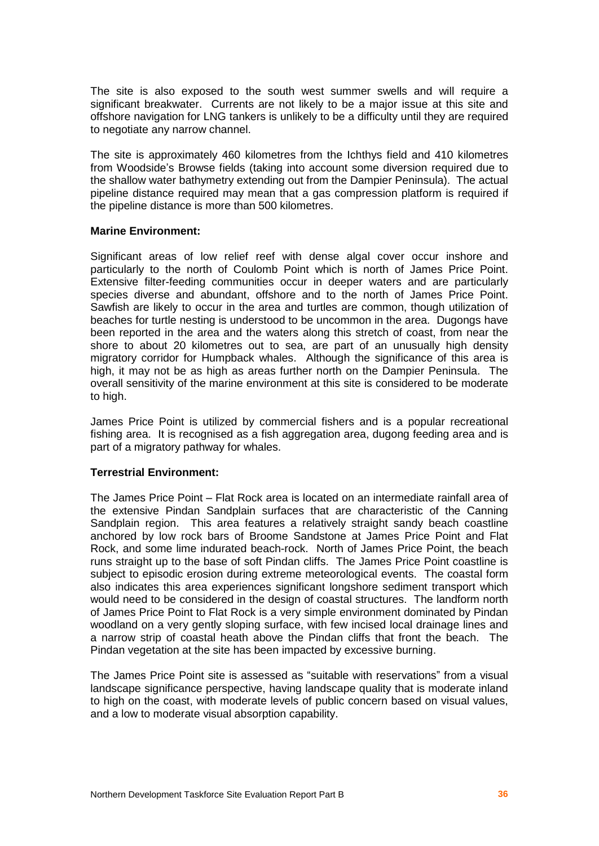The site is also exposed to the south west summer swells and will require a significant breakwater. Currents are not likely to be a major issue at this site and offshore navigation for LNG tankers is unlikely to be a difficulty until they are required to negotiate any narrow channel.

The site is approximately 460 kilometres from the Ichthys field and 410 kilometres from Woodside's Browse fields (taking into account some diversion required due to the shallow water bathymetry extending out from the Dampier Peninsula). The actual pipeline distance required may mean that a gas compression platform is required if the pipeline distance is more than 500 kilometres.

#### **Marine Environment:**

Significant areas of low relief reef with dense algal cover occur inshore and particularly to the north of Coulomb Point which is north of James Price Point. Extensive filter-feeding communities occur in deeper waters and are particularly species diverse and abundant, offshore and to the north of James Price Point. Sawfish are likely to occur in the area and turtles are common, though utilization of beaches for turtle nesting is understood to be uncommon in the area. Dugongs have been reported in the area and the waters along this stretch of coast, from near the shore to about 20 kilometres out to sea, are part of an unusually high density migratory corridor for Humpback whales. Although the significance of this area is high, it may not be as high as areas further north on the Dampier Peninsula. The overall sensitivity of the marine environment at this site is considered to be moderate to high.

James Price Point is utilized by commercial fishers and is a popular recreational fishing area. It is recognised as a fish aggregation area, dugong feeding area and is part of a migratory pathway for whales.

## **Terrestrial Environment:**

The James Price Point – Flat Rock area is located on an intermediate rainfall area of the extensive Pindan Sandplain surfaces that are characteristic of the Canning Sandplain region. This area features a relatively straight sandy beach coastline anchored by low rock bars of Broome Sandstone at James Price Point and Flat Rock, and some lime indurated beach-rock. North of James Price Point, the beach runs straight up to the base of soft Pindan cliffs. The James Price Point coastline is subject to episodic erosion during extreme meteorological events. The coastal form also indicates this area experiences significant longshore sediment transport which would need to be considered in the design of coastal structures. The landform north of James Price Point to Flat Rock is a very simple environment dominated by Pindan woodland on a very gently sloping surface, with few incised local drainage lines and a narrow strip of coastal heath above the Pindan cliffs that front the beach. The Pindan vegetation at the site has been impacted by excessive burning.

The James Price Point site is assessed as "suitable with reservations" from a visual landscape significance perspective, having landscape quality that is moderate inland to high on the coast, with moderate levels of public concern based on visual values, and a low to moderate visual absorption capability.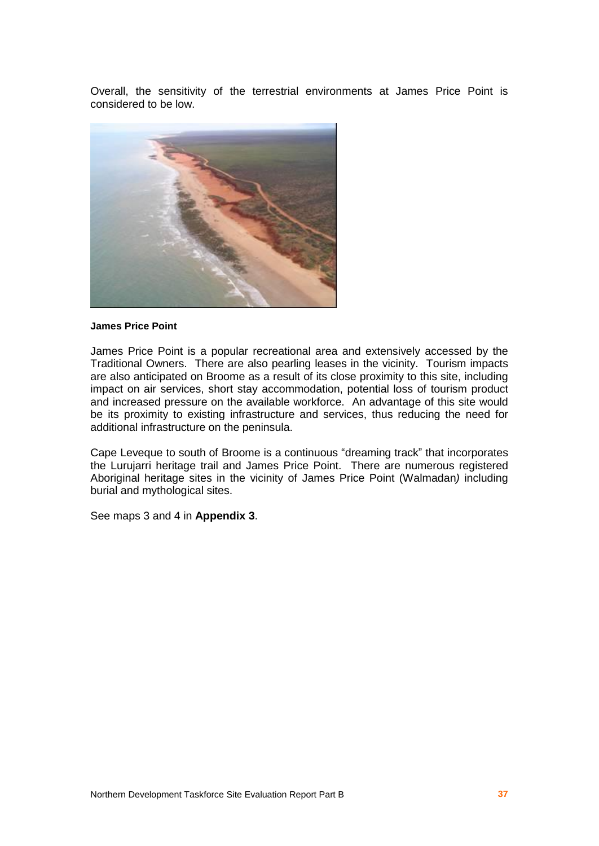Overall, the sensitivity of the terrestrial environments at James Price Point is considered to be low.



#### **James Price Point**

James Price Point is a popular recreational area and extensively accessed by the Traditional Owners. There are also pearling leases in the vicinity. Tourism impacts are also anticipated on Broome as a result of its close proximity to this site, including impact on air services, short stay accommodation, potential loss of tourism product and increased pressure on the available workforce. An advantage of this site would be its proximity to existing infrastructure and services, thus reducing the need for additional infrastructure on the peninsula.

Cape Leveque to south of Broome is a continuous "dreaming track" that incorporates the Lurujarri heritage trail and James Price Point. There are numerous registered Aboriginal heritage sites in the vicinity of James Price Point (Walmadan) including burial and mythological sites.

See maps 3 and 4 in **Appendix 3**.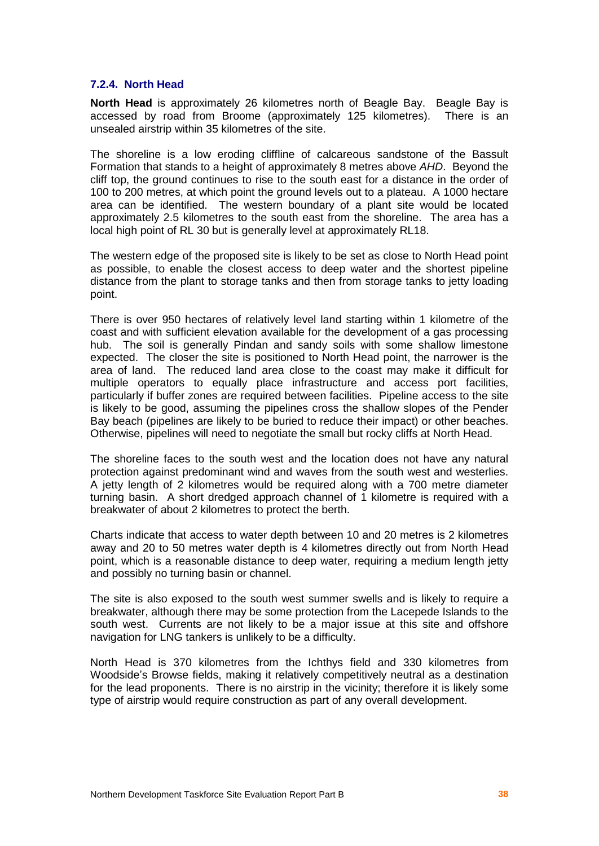#### **7.2.4. North Head**

**North Head** is approximately 26 kilometres north of Beagle Bay. Beagle Bay is accessed by road from Broome (approximately 125 kilometres). There is an unsealed airstrip within 35 kilometres of the site.

The shoreline is a low eroding cliffline of calcareous sandstone of the Bassult Formation that stands to a height of approximately 8 metres above AHD. Beyond the cliff top, the ground continues to rise to the south east for a distance in the order of 100 to 200 metres, at which point the ground levels out to a plateau. A 1000 hectare area can be identified. The western boundary of a plant site would be located approximately 2.5 kilometres to the south east from the shoreline. The area has a local high point of RL 30 but is generally level at approximately RL18.

The western edge of the proposed site is likely to be set as close to North Head point as possible, to enable the closest access to deep water and the shortest pipeline distance from the plant to storage tanks and then from storage tanks to jetty loading point.

There is over 950 hectares of relatively level land starting within 1 kilometre of the coast and with sufficient elevation available for the development of a gas processing hub. The soil is generally Pindan and sandy soils with some shallow limestone expected. The closer the site is positioned to North Head point, the narrower is the area of land. The reduced land area close to the coast may make it difficult for multiple operators to equally place infrastructure and access port facilities, particularly if buffer zones are required between facilities. Pipeline access to the site is likely to be good, assuming the pipelines cross the shallow slopes of the Pender Bay beach (pipelines are likely to be buried to reduce their impact) or other beaches. Otherwise, pipelines will need to negotiate the small but rocky cliffs at North Head.

The shoreline faces to the south west and the location does not have any natural protection against predominant wind and waves from the south west and westerlies. A jetty length of 2 kilometres would be required along with a 700 metre diameter turning basin. A short dredged approach channel of 1 kilometre is required with a breakwater of about 2 kilometres to protect the berth.

Charts indicate that access to water depth between 10 and 20 metres is 2 kilometres away and 20 to 50 metres water depth is 4 kilometres directly out from North Head point, which is a reasonable distance to deep water, requiring a medium length jetty and possibly no turning basin or channel.

The site is also exposed to the south west summer swells and is likely to require a breakwater, although there may be some protection from the Lacepede Islands to the south west. Currents are not likely to be a major issue at this site and offshore navigation for LNG tankers is unlikely to be a difficulty.

North Head is 370 kilometres from the Ichthys field and 330 kilometres from Woodside's Browse fields, making it relatively competitively neutral as a destination for the lead proponents. There is no airstrip in the vicinity; therefore it is likely some type of airstrip would require construction as part of any overall development.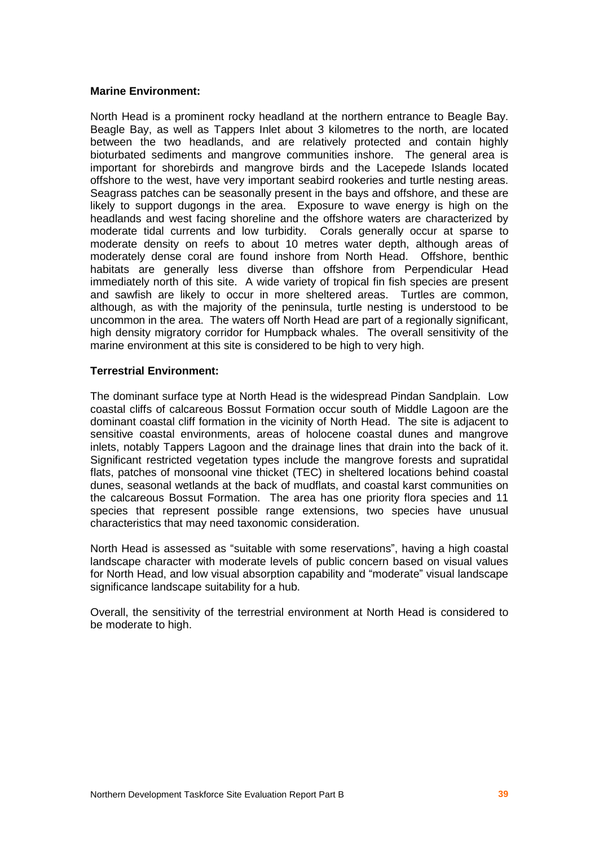#### **Marine Environment:**

North Head is a prominent rocky headland at the northern entrance to Beagle Bay. Beagle Bay, as well as Tappers Inlet about 3 kilometres to the north, are located between the two headlands, and are relatively protected and contain highly bioturbated sediments and mangrove communities inshore. The general area is important for shorebirds and mangrove birds and the Lacepede Islands located offshore to the west, have very important seabird rookeries and turtle nesting areas. Seagrass patches can be seasonally present in the bays and offshore, and these are likely to support dugongs in the area. Exposure to wave energy is high on the headlands and west facing shoreline and the offshore waters are characterized by moderate tidal currents and low turbidity. Corals generally occur at sparse to moderate density on reefs to about 10 metres water depth, although areas of moderately dense coral are found inshore from North Head. Offshore, benthic habitats are generally less diverse than offshore from Perpendicular Head immediately north of this site. A wide variety of tropical fin fish species are present and sawfish are likely to occur in more sheltered areas. Turtles are common, although, as with the majority of the peninsula, turtle nesting is understood to be uncommon in the area. The waters off North Head are part of a regionally significant, high density migratory corridor for Humpback whales. The overall sensitivity of the marine environment at this site is considered to be high to very high.

#### **Terrestrial Environment:**

The dominant surface type at North Head is the widespread Pindan Sandplain. Low coastal cliffs of calcareous Bossut Formation occur south of Middle Lagoon are the dominant coastal cliff formation in the vicinity of North Head. The site is adjacent to sensitive coastal environments, areas of holocene coastal dunes and mangrove inlets, notably Tappers Lagoon and the drainage lines that drain into the back of it. Significant restricted vegetation types include the mangrove forests and supratidal flats, patches of monsoonal vine thicket (TEC) in sheltered locations behind coastal dunes, seasonal wetlands at the back of mudflats, and coastal karst communities on the calcareous Bossut Formation. The area has one priority flora species and 11 species that represent possible range extensions, two species have unusual characteristics that may need taxonomic consideration.

North Head is assessed as "suitable with some reservations", having a high coastal landscape character with moderate levels of public concern based on visual values for North Head, and low visual absorption capability and "moderate" visual landscape significance landscape suitability for a hub.

Overall, the sensitivity of the terrestrial environment at North Head is considered to be moderate to high.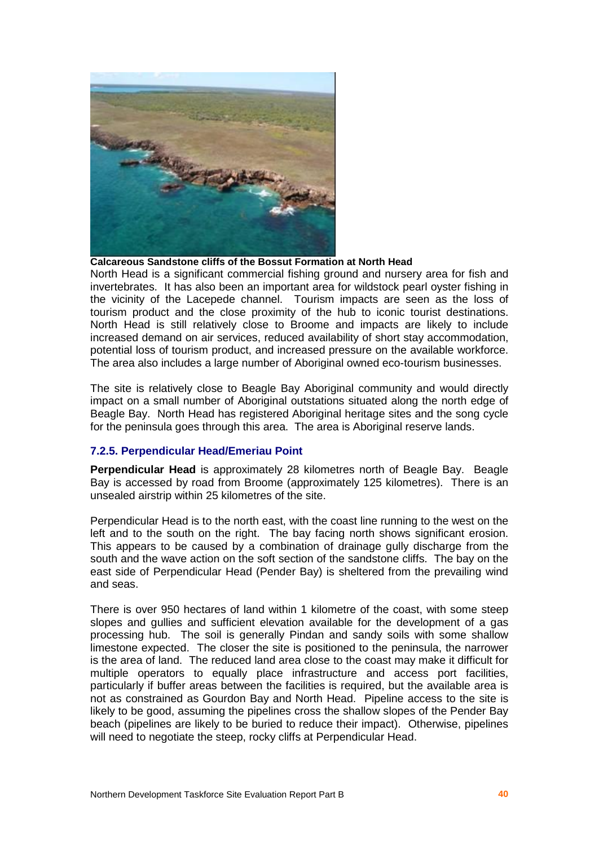

**Calcareous Sandstone cliffs of the Bossut Formation at North Head**

North Head is a significant commercial fishing ground and nursery area for fish and invertebrates. It has also been an important area for wildstock pearl oyster fishing in the vicinity of the Lacepede channel. Tourism impacts are seen as the loss of tourism product and the close proximity of the hub to iconic tourist destinations. North Head is still relatively close to Broome and impacts are likely to include increased demand on air services, reduced availability of short stay accommodation, potential loss of tourism product, and increased pressure on the available workforce. The area also includes a large number of Aboriginal owned eco-tourism businesses.

The site is relatively close to Beagle Bay Aboriginal community and would directly impact on a small number of Aboriginal outstations situated along the north edge of Beagle Bay. North Head has registered Aboriginal heritage sites and the song cycle for the peninsula goes through this area. The area is Aboriginal reserve lands.

## **7.2.5. Perpendicular Head/Emeriau Point**

**Perpendicular Head** is approximately 28 kilometres north of Beagle Bay. Beagle Bay is accessed by road from Broome (approximately 125 kilometres). There is an unsealed airstrip within 25 kilometres of the site.

Perpendicular Head is to the north east, with the coast line running to the west on the left and to the south on the right. The bay facing north shows significant erosion. This appears to be caused by a combination of drainage gully discharge from the south and the wave action on the soft section of the sandstone cliffs. The bay on the east side of Perpendicular Head (Pender Bay) is sheltered from the prevailing wind and seas.

There is over 950 hectares of land within 1 kilometre of the coast, with some steep slopes and gullies and sufficient elevation available for the development of a gas processing hub. The soil is generally Pindan and sandy soils with some shallow limestone expected. The closer the site is positioned to the peninsula, the narrower is the area of land. The reduced land area close to the coast may make it difficult for multiple operators to equally place infrastructure and access port facilities, particularly if buffer areas between the facilities is required, but the available area is not as constrained as Gourdon Bay and North Head. Pipeline access to the site is likely to be good, assuming the pipelines cross the shallow slopes of the Pender Bay beach (pipelines are likely to be buried to reduce their impact). Otherwise, pipelines will need to negotiate the steep, rocky cliffs at Perpendicular Head.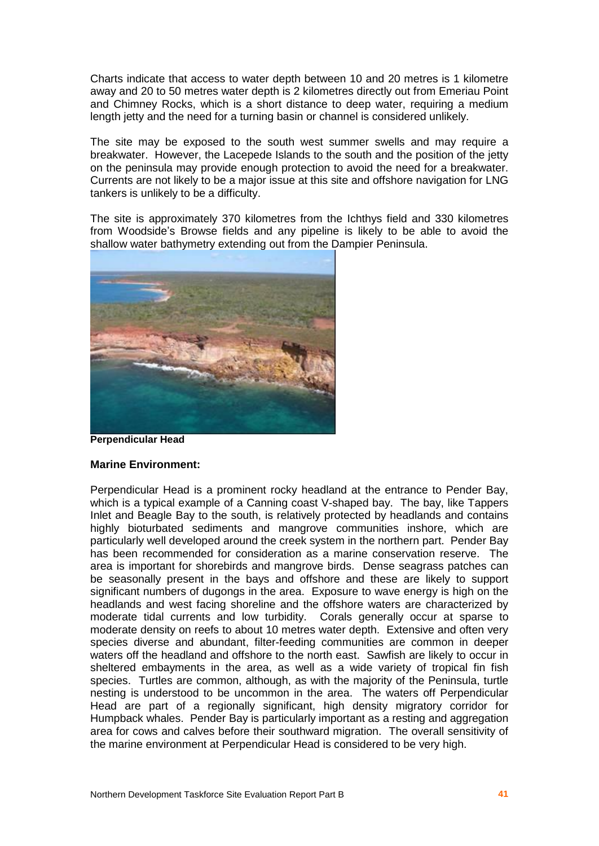Charts indicate that access to water depth between 10 and 20 metres is 1 kilometre away and 20 to 50 metres water depth is 2 kilometres directly out from Emeriau Point and Chimney Rocks, which is a short distance to deep water, requiring a medium length jetty and the need for a turning basin or channel is considered unlikely.

The site may be exposed to the south west summer swells and may require a breakwater. However, the Lacepede Islands to the south and the position of the jetty on the peninsula may provide enough protection to avoid the need for a breakwater. Currents are not likely to be a major issue at this site and offshore navigation for LNG tankers is unlikely to be a difficulty.

The site is approximately 370 kilometres from the Ichthys field and 330 kilometres from Woodsideís Browse fields and any pipeline is likely to be able to avoid the shallow water bathymetry extending out from the Dampier Peninsula.



**Perpendicular Head**

## **Marine Environment:**

Perpendicular Head is a prominent rocky headland at the entrance to Pender Bay, which is a typical example of a Canning coast V-shaped bay. The bay, like Tappers Inlet and Beagle Bay to the south, is relatively protected by headlands and contains highly bioturbated sediments and mangrove communities inshore, which are particularly well developed around the creek system in the northern part. Pender Bay has been recommended for consideration as a marine conservation reserve. The area is important for shorebirds and mangrove birds. Dense seagrass patches can be seasonally present in the bays and offshore and these are likely to support significant numbers of dugongs in the area. Exposure to wave energy is high on the headlands and west facing shoreline and the offshore waters are characterized by moderate tidal currents and low turbidity. Corals generally occur at sparse to moderate density on reefs to about 10 metres water depth. Extensive and often very species diverse and abundant, filter-feeding communities are common in deeper waters off the headland and offshore to the north east. Sawfish are likely to occur in sheltered embayments in the area, as well as a wide variety of tropical fin fish species. Turtles are common, although, as with the majority of the Peninsula, turtle nesting is understood to be uncommon in the area. The waters off Perpendicular Head are part of a regionally significant, high density migratory corridor for Humpback whales. Pender Bay is particularly important as a resting and aggregation area for cows and calves before their southward migration. The overall sensitivity of the marine environment at Perpendicular Head is considered to be very high.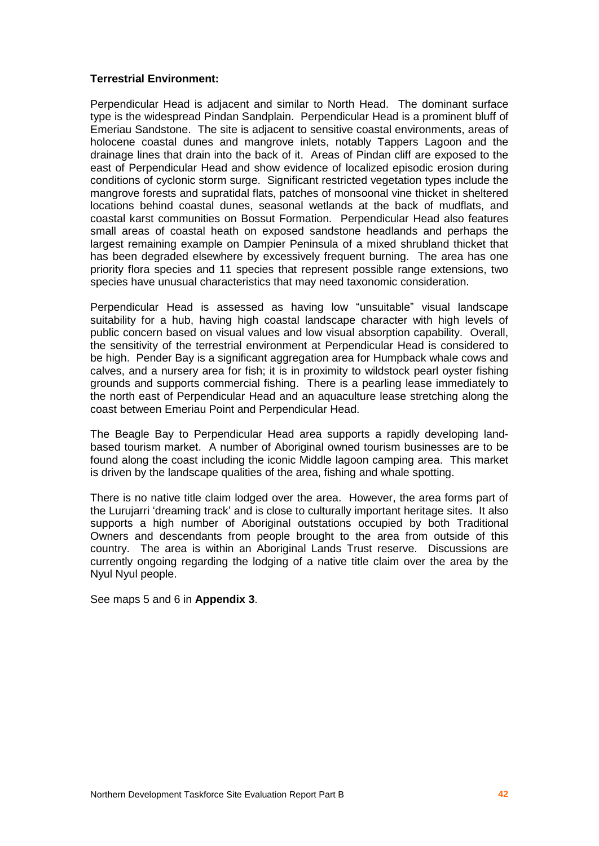#### **Terrestrial Environment:**

Perpendicular Head is adjacent and similar to North Head. The dominant surface type is the widespread Pindan Sandplain. Perpendicular Head is a prominent bluff of Emeriau Sandstone. The site is adjacent to sensitive coastal environments, areas of holocene coastal dunes and mangrove inlets, notably Tappers Lagoon and the drainage lines that drain into the back of it. Areas of Pindan cliff are exposed to the east of Perpendicular Head and show evidence of localized episodic erosion during conditions of cyclonic storm surge. Significant restricted vegetation types include the mangrove forests and supratidal flats, patches of monsoonal vine thicket in sheltered locations behind coastal dunes, seasonal wetlands at the back of mudflats, and coastal karst communities on Bossut Formation. Perpendicular Head also features small areas of coastal heath on exposed sandstone headlands and perhaps the largest remaining example on Dampier Peninsula of a mixed shrubland thicket that has been degraded elsewhere by excessively frequent burning. The area has one priority flora species and 11 species that represent possible range extensions, two species have unusual characteristics that may need taxonomic consideration.

Perpendicular Head is assessed as having low "unsuitable" visual landscape suitability for a hub, having high coastal landscape character with high levels of public concern based on visual values and low visual absorption capability. Overall, the sensitivity of the terrestrial environment at Perpendicular Head is considered to be high. Pender Bay is a significant aggregation area for Humpback whale cows and calves, and a nursery area for fish; it is in proximity to wildstock pearl oyster fishing grounds and supports commercial fishing. There is a pearling lease immediately to the north east of Perpendicular Head and an aquaculture lease stretching along the coast between Emeriau Point and Perpendicular Head.

The Beagle Bay to Perpendicular Head area supports a rapidly developing land based tourism market. A number of Aboriginal owned tourism businesses are to be found along the coast including the iconic Middle lagoon camping area. This market is driven by the landscape qualities of the area, fishing and whale spotting.

There is no native title claim lodged over the area. However, the area forms part of the Lurujarri 'dreaming track' and is close to culturally important heritage sites. It also supports a high number of Aboriginal outstations occupied by both Traditional Owners and descendants from people brought to the area from outside of this country. The area is within an Aboriginal Lands Trust reserve. Discussions are currently ongoing regarding the lodging of a native title claim over the area by the Nyul Nyul people.

See maps 5 and 6 in **Appendix 3**.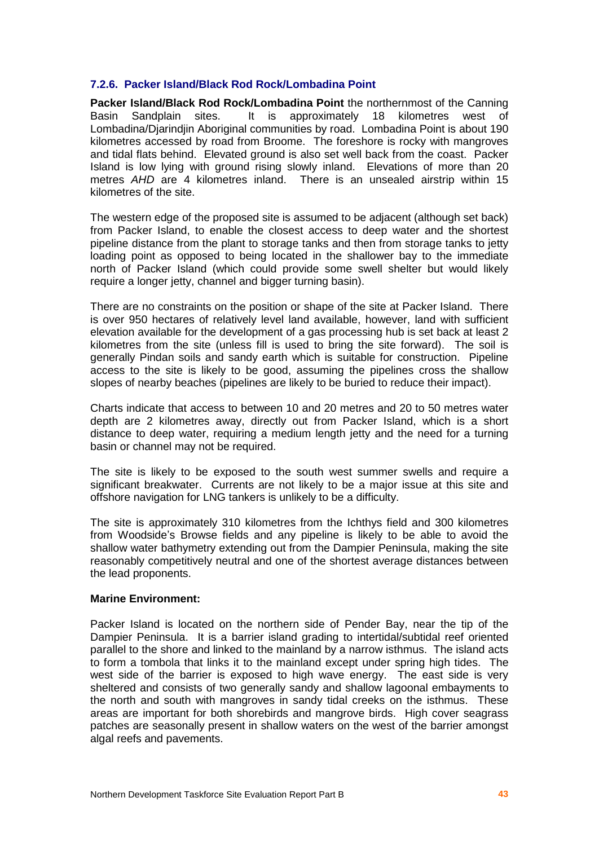#### **7.2.6. Packer Island/Black Rod Rock/Lombadina Point**

**Packer Island/Black Rod Rock/Lombadina Point** the northernmost of the Canning Basin Sandplain sites. It is approximately 18 kilometres west of Lombadina/Djarindjin Aboriginal communities by road. Lombadina Point is about 190 kilometres accessed by road from Broome. The foreshore is rocky with mangroves and tidal flats behind. Elevated ground is also set well back from the coast. Packer Island is low lying with ground rising slowly inland. Elevations of more than 20 metres AHD are 4 kilometres inland. There is an unsealed airstrip within 15 kilometres of the site.<br>The western edge of the proposed site is assumed to be adjacent (although set back)

from Packer Island, to enable the closest access to deep water and the shortest pipeline distance from the plant to storage tanks and then from storage tanks to jetty loading point as opposed to being located in the shallower bay to the immediate north of Packer Island (which could provide some swell shelter but would likely require a longer jetty, channel and bigger turning basin).

There are no constraints on the position or shape of the site at Packer Island. There is over 950 hectares of relatively level land available, however, land with sufficient elevation available for the development of a gas processing hub is setback at least 2 kilometres from the site (unless fill is used to bring the site forward). The soil is generally Pindan soils and sandy earth which is suitable for construction. Pipeline access to the site is likely to be good, assuming the pipelines cross the shallow slopes of nearby beaches (pipelines are likely to be buried to reduce their impact).

Charts indicate that access to between 10 and 20 metres and 20 to 50 metres water depth are 2 kilometres away, directly out from Packer Island, which is a short distance to deep water, requiring a medium length jetty and the need for a turning basin or channel may not be required.

The site is likely to be exposed to the south west summer swells and require a significant breakwater. Currents are not likely to be a major issue at this site and offshore navigation for LNG tankers is unlikely to be a difficulty.

The site is approximately 310 kilometres from the Ichthys field and 300 kilometres from Woodsideís Browse fields and any pipeline is likely to be able to avoid the shallow water bathymetry extending out from the Dampier Peninsula, making the site reasonably competitively neutral and one of the shortest average distances between the lead proponents.

#### **Marine Environment:**

Packer Island is located on the northern side of Pender Bay, near the tip of the Dampier Peninsula. It is a barrier island grading to intertidal/subtidal reef oriented parallel to the shore and linked to the mainland by a narrow isthmus. The island acts to form a tombola that links it to the mainland except under spring high tides. The west side of the barrier is exposed to high wave energy. The east side is very sheltered and consists of two generally sandy and shallow lagoonal embayments to the north and south with mangroves in sandy tidal creeks on the isthmus. These areas are important for both shorebirds and mangrove birds. High cover seagrass patches are seasonally present in shallow waters on the west of the barrier amongst algal reefs and payements.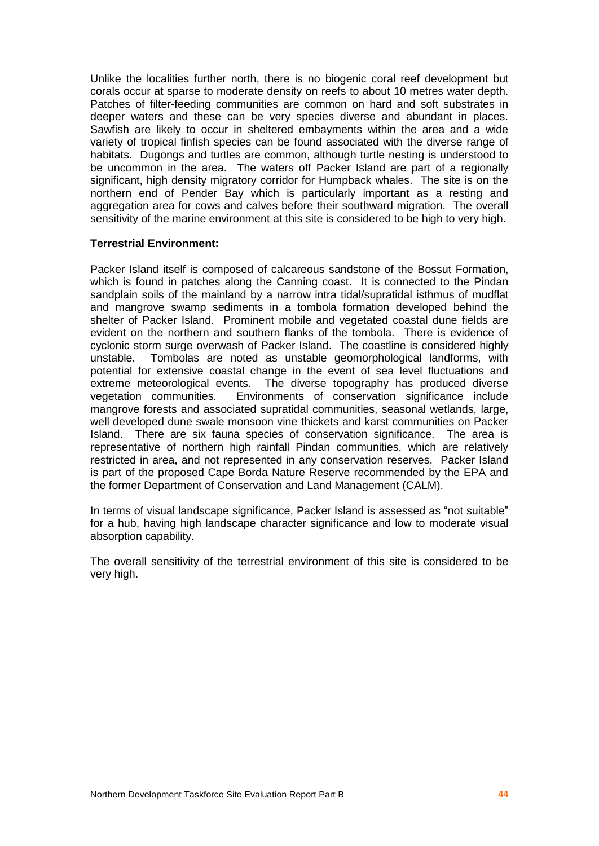Unlike the localities further north, there is no biogenic coral reef development but corals occur at sparse to moderate density on reefs to about 10 metres water depth. Patches of filter-feeding communities are common on hard and soft substrates in deeper waters and these can be very species diverse and abundant in places. Sawfish are likely to occur in sheltered embayments within the area and a wide variety of tropical finfish species can be found associated with the diverse range of habitats. Dugongs and turtles are common, although turtle nesting is understood to be uncommon in the area. The waters off Packer Island are part of a regionally significant, high density migratory corridor for Humpback whales. The site is on the northern end of Pender Bay which is particularly important as a resting and aggregation area for cows and calves before their southward migration. The overall sensitivity of the marine environment at this site is considered to be high to very high.

#### **Terrestrial Environment:**

Packer Island itself is composed of calcareous sandstone of the Bossut Formation, which is found in patches along the Canning coast. It is connected to the Pindan sandplain soils of the mainland by a narrow intra tidal/supratidal isthmus of mudflat and mangrove swamp sediments in a tombola formation developed behind the shelter of Packer Island. Prominent mobile and vegetated coastal dune fields are evident on the northern and southern flanks of the tombola. There is evidence of cyclonic storm surge overwash of Packer Island. The coastline is considered highly unstable. Tombolas are noted as unstable geomorphological landforms, with potential for extensive coastal change in the event of sea level fluctuations and extreme meteorological events. The diverse topography has produced diverse vegetation communities. Environments of conservation significance include mangrove forests and associated supratidal communities, seasonal wetlands, large, well developed dune swale monsoon vine thickets and karst communities on Packer Island. There are six fauna species of conservation significance. The area is representative of northern high rainfall Pindan communities, which are relatively restricted in area, and not represented in any conservation reserves. Packer Island is part of the proposed Cape Borda Nature Reserve recommended by the EPA and the former Department of Conservation and Land Management (CALM).

In terms of visual landscape significance, Packer Island is assessed as "not suitable" for a hub, having high landscape character significance and low to moderate visual absorption capability.

The overall sensitivity of the terrestrial environment of this site is considered to be very high.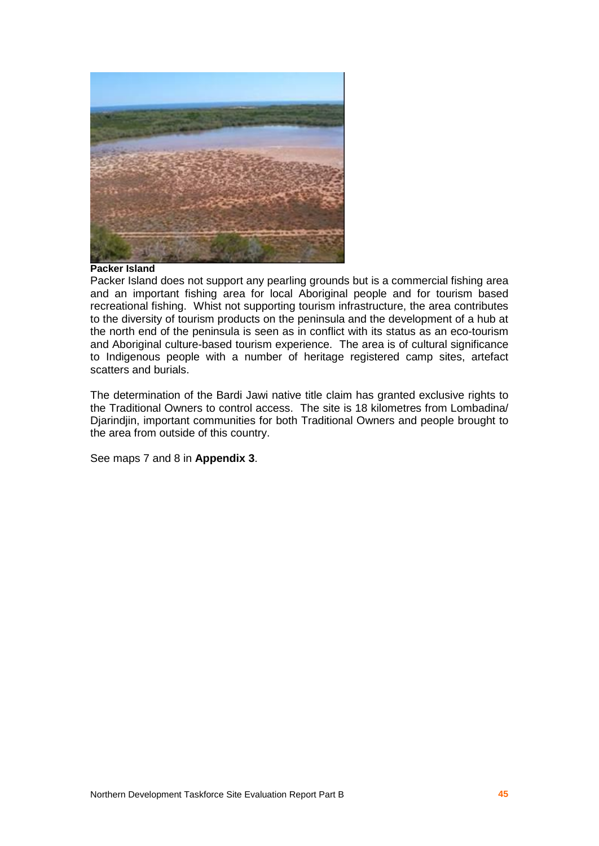

#### **Packer Island**

Packer Island does not support any pearling grounds but is a commercial fishing area and an important fishing area for local Aboriginal people and for tourism based recreational fishing. Whist not supporting tourism infrastructure, the area contributes to the diversity of tourism products on the peninsula and the development of a hub at the north end of the peninsula is seen as in conflict with its status as an eco-tourism and Aboriginal culture-based tourism experience. The area is of cultural significance to Indigenous people with a number of heritage registered camp sites, artefact scatters and burials.

The determination of the Bardi Jawi native title claim has granted exclusive rights to the Traditional Owners to control access. The site is 18 kilometres from Lombadina/ Djarindjin, important communities for both Traditional Owners and people brought to the area from outside of this country.

See maps 7 and 8 in **Appendix 3**.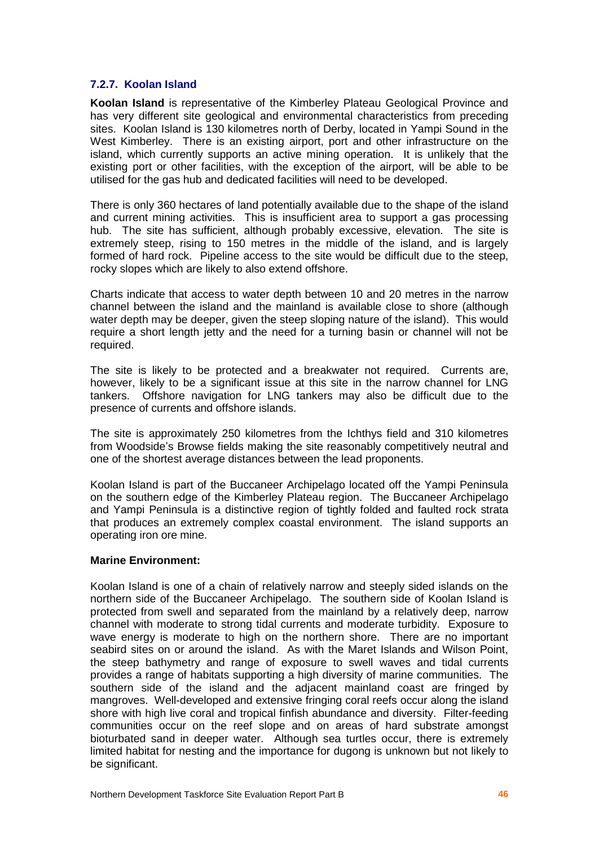#### **7.2.7. Koolan Island**

**Koolan Island** is representative of the Kimberley Plateau Geological Province and has very different site geological and environmental characteristics from preceding sites. Koolan Island is 130 kilometres north of Derby, located in Yampi Sound in the West Kimberley. There is an existing airport, port and other infrastructure on the island, which currently supports an active mining operation. It is unlikely that the existing port or other facilities, with the exception of the airport, will be able to be utilised for the gas hub and dedicated facilities will need to be developed.

There is only 360 hectares of land potentially available due to the shape of the island and current mining activities. This is insufficient area to support a gas processing hub. The site has sufficient, although probably excessive, elevation. The site is extremely steep, rising to 150 metres in the middle of the island, and is largely formed of hard rock. Pipeline access to the site would be difficult due to the steep, rocky slopes which are likely to also extend offshore.

Charts indicate that access to water depth between 10 and 20 metres in the narrow channel between the island and the mainland is available close to shore (although water depth may be deeper, given the steep sloping nature of the island). This would require a short length jetty and the need for a turning basin or channel will not be required.

The site is likely to be protected and a breakwater not required. Currents are, however, likely to be a significant issue at this site in the narrow channel for LNG tankers. Offshore navigation for LNG tankers may also be difficult due to the presence of currents and offshore islands.

The site is approximately 250 kilometres from the Ichthys field and 310 kilometres from Woodside's Browse fields making the site reasonably competitively neutral and one of the shortest average distances between the lead proponents.

Koolan Island is part of the Buccaneer Archipelago located off the Yampi Peninsula on the southern edge of the Kimberley Plateau region. The Buccaneer Archipelago and Yampi Peninsula is a distinctive region of tightly folded and faulted rock strata that produces an extremely complex coastal environment. The island supports an operating iron ore mine.

#### **Marine Environment:**

Koolan Island is one of a chain of relatively narrow and steeply sided islands on the northern side of the Buccaneer Archipelago. The southern side of Koolan Island is protected from swell and separated from the mainland by a relatively deep, narrow channel with moderate to strong tidal currents and moderate turbidity. Exposure to wave energy is moderate to high on the northern shore. There are no important seabird sites on or around the island. As with the Maret Islands and Wilson Point, the steep bathymetry and range of exposure to swell waves and tidal currents provides a range of habitats supporting a high diversity of marine communities. The southern side of the island and the adjacent mainland coast are fringed by mangroves. Well-developed and extensive fringing coralreefs occur along the island shore with high live coral and tropical finfish abundance and diversity. Filter-feeding communities occur on the reef slope and on areas of hard substrate amongst bioturbated sand in deeper water. Although sea turtles occur, there is extremely limited habitat for nesting and the importance for dugong is unknown but not likely to be significant.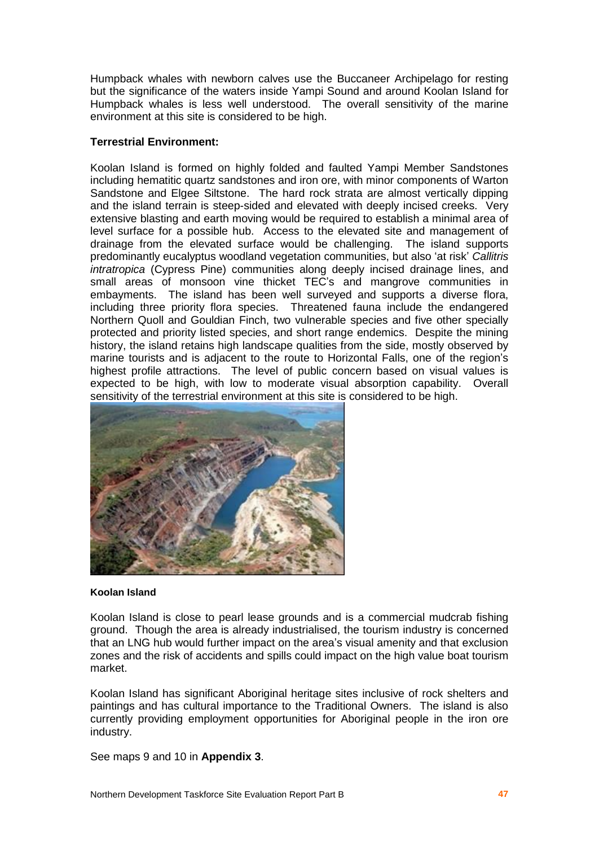Humpback whales with newborn calves use the Buccaneer Archipelago forresting but the significance of the waters inside Yampi Sound and around Koolan Island for Humpback whales is less well understood. The overall sensitivity of the marine environment at this site is considered to be high.

## **Terrestrial Environment:**

Koolan Island is formed on highly folded and faulted Yampi Member Sandstones including hematitic quartz sandstones and iron ore, with minor components of Warton Sandstone and Elgee Siltstone. The hard rock strata are almost vertically dipping and the island terrain is steep-sided and elevated with deeply incised creeks. Very extensive blasting and earth moving would be required to establish a minimal area of level surface for a possible hub. Access to the elevated site and management of drainage from the elevated surface would be challenging. The island supports predominantly eucalyptus woodland vegetation communities, but also 'at risk' Callitris intratropica (Cypress Pine) communities along deeply incised drainage lines, and small areas of monsoon vine thicket TEC's and mangrove communities in embayments. The island has been well surveyed and supports a diverse flora, including three priority flora species. Threatened fauna include the endangered Northern Quoll and Gouldian Finch, two vulnerable species and five other specially protected and priority listed species, and short range endemics. Despite the mining history, the island retains high landscape qualities from the side, mostly observed by marine tourists and is adjacent to the route to Horizontal Falls, one of the regionís highest profile attractions. The level of public concern based on visual values is expected to be high, with low to moderate visual absorption capability. Overall sensitivity of the terrestrial environment at this site is considered to be high.



#### **Koolan Island**

Koolan Island is close to pearl lease grounds and is a commercial mudcrab fishing ground. Though the area is already industrialised, the tourism industry is concerned that an LNG hub would further impact on the areaís visual amenity and that exclusion zones and the risk of accidents and spills could impact on the high value boat tourism market.

Koolan Island has significant Aboriginal heritage sites inclusive of rock shelters and paintings and has cultural importance to the Traditional Owners. The island is also currently providing employment opportunities for Aboriginal people in the iron ore industry.

See maps 9 and 10 in **Appendix 3**.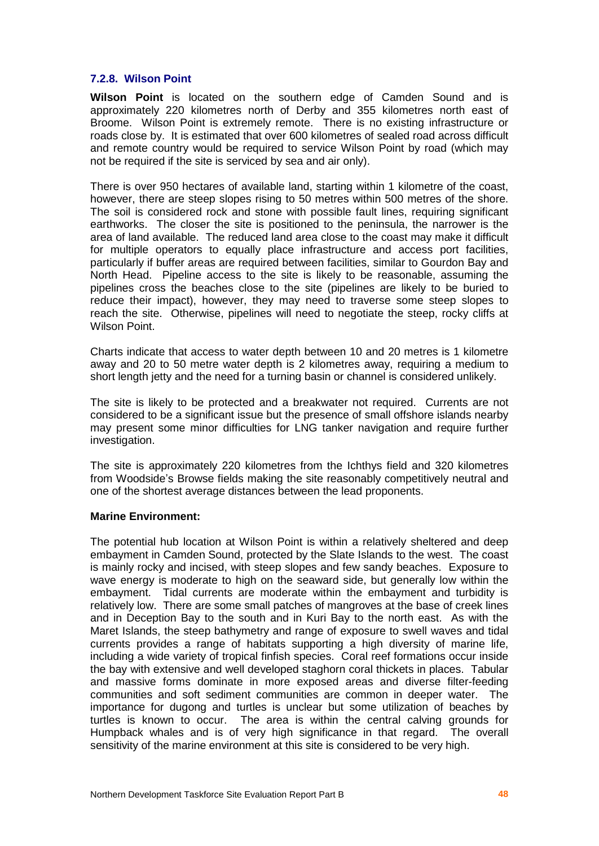#### **7.2.8. Wilson Point**

**Wilson Point** is located on the southern edge of Camden Sound and is approximately 220 kilometres north of Derby and 355 kilometres north east of Broome. Wilson Point is extremely remote. There is no existing infrastructure or roads close by. It is estimated that over 600 kilometres of sealed road across difficult and remote country would be required to service Wilson Point by road (which may not be required if the site is serviced by sea and air only).

There is over 950 hectares of available land, starting within 1 kilometre of the coast, however, there are steep slopes rising to 50 metres within 500 metres of the shore. The soil is considered rock and stone with possible fault lines, requiring significant earthworks. The closer the site is positioned to the peninsula, the narrower is the area of land available. The reduced land area close to the coast may make it difficult for multiple operators to equally place infrastructure and access port facilities, particularly if buffer areas are required between facilities, similar to Gourdon Bay and North Head. Pipeline access to the site is likely to be reasonable, assuming the pipelines cross the beaches close to the site (pipelines are likely to be buried to reduce their impact), however, they may need to traverse some steep slopes to reach the site. Otherwise, pipelines will need to negotiate the steep, rocky cliffs at Wilson Point.

Charts indicate that access to water depth between 10 and 20 metres is 1 kilometre away and 20 to 50 metre water depth is 2 kilometres away, requiring a medium to short length jetty and the need for a turning basin or channel is considered unlikely.

The site is likely to be protected and a breakwater not required. Currents are not considered to be a significant issue but the presence of small offshore islands nearby may present some minor difficulties for LNG tanker navigation and require further investigation.

The site is approximately 220 kilometres from the Ichthys field and 320 kilometres from Woodside's Browse fields making the site reasonably competitively neutral and one of the shortest average distances between the lead proponents.

#### **Marine Environment:**

The potential hub location at Wilson Point is within a relatively sheltered and deep embayment in Camden Sound, protected by the Slate Islands to the west. The coast is mainly rocky and incised, with steep slopes and few sandy beaches. Exposure to wave energy is moderate to high on the seaward side, but generally low within the embayment. Tidal currents are moderate within the embayment and turbidity is relatively low. There are some small patches of mangroves at the base of creek lines and in Deception Bay to the south and in Kuri Bay to the north east. As with the Maret Islands, the steep bathymetry and range of exposure to swell waves and tidal currents provides a range of habitats supporting a high diversity of marine life, including a wide variety of tropical finfish species. Coral reef formations occur inside the bay with extensive and well developed staghorn coral thickets in places. Tabular and massive forms dominate in more exposed areas and diverse filter-feeding communities and soft sediment communities are common in deeper water. The importance for dugong and turtles is unclear but some utilization of beaches by turtles is known to occur. The area is within the central calving grounds for Humpback whales and is of very high significance in that regard. The overall sensitivity of the marine environment at this site is considered to be very high.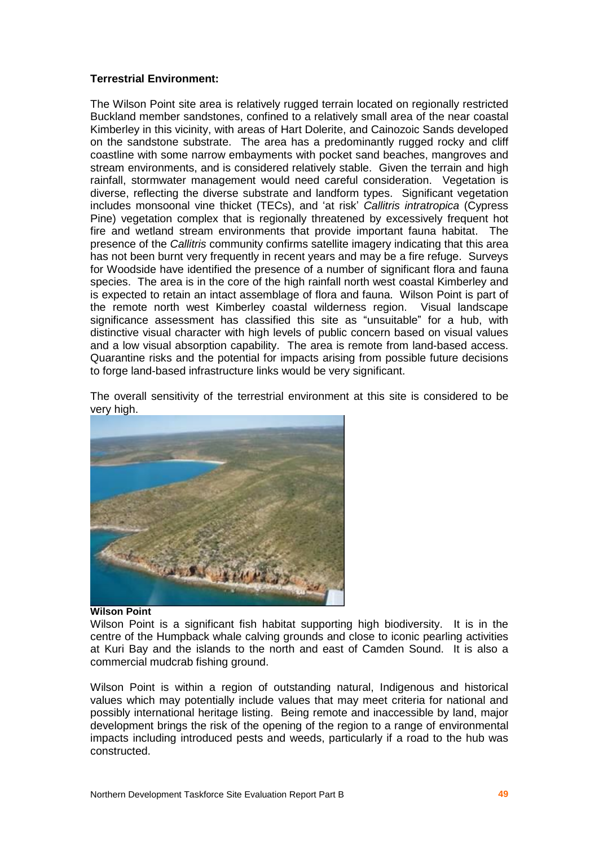## **Terrestrial Environment:**

The Wilson Point site area is relatively rugged terrain located on regionally restricted Buckland member sandstones, confined to a relatively small area of the near coastal Kimberley in this vicinity, with areas of Hart Dolerite, and Cainozoic Sands developed on the sandstone substrate. The area has a predominantly rugged rocky and cliff coastline with some narrow embayments with pocket sand beaches, mangroves and stream environments, and is considered relatively stable. Given the terrain and high rainfall, stormwater management would need careful consideration. Vegetation is diverse, reflecting the diverse substrate and landform types. Significant vegetation includes monsoonal vine thicket (TECs), and 'at risk' Callitris intratropica (Cypress Pine) vegetation complex that is regionally threatened by excessively frequent hot fire and wetland stream environments that provide important fauna habitat. The presence of the Callitris community confirms satellite imagery indicating that this area has not been burnt very frequently in recent years and may be a fire refuge. Surveys for Woodside have identified the presence of a number of significant flora and fauna species. The area is in the core of the high rainfall north west coastal Kimberley and is expected to retain an intact assemblage of flora and fauna. Wilson Point is part of the remote north west Kimberley coastal wilderness region. Visual landscape significance assessment has classified this site as "unsuitable" for a hub, with distinctive visual character with high levels of public concern based on visual values and a low visual absorption capability. The area is remote from land-based access. Quarantine risks and the potential for impacts arising from possible future decisions to forge land-based infrastructure links would be very significant.

The overall sensitivity of the terrestrial environment at this site is considered to be very high.



#### **Wilson Point**

Wilson Point is a significant fish habitat supporting high biodiversity. It is in the centre of the Humpback whale calving grounds and close to iconic pearling activities at Kuri Bay and the islands to the north and east of Camden Sound. It is also a commercial mudcrab fishing ground.

Wilson Point is within a region of outstanding natural, Indigenous and historical values which may potentially include values that may meet criteria for national and possibly international heritage listing. Being remote and inaccessible by land, major development brings the risk of the opening of the region to a range of environmental impacts including introduced pests and weeds, particularly if a road to the hub was constructed.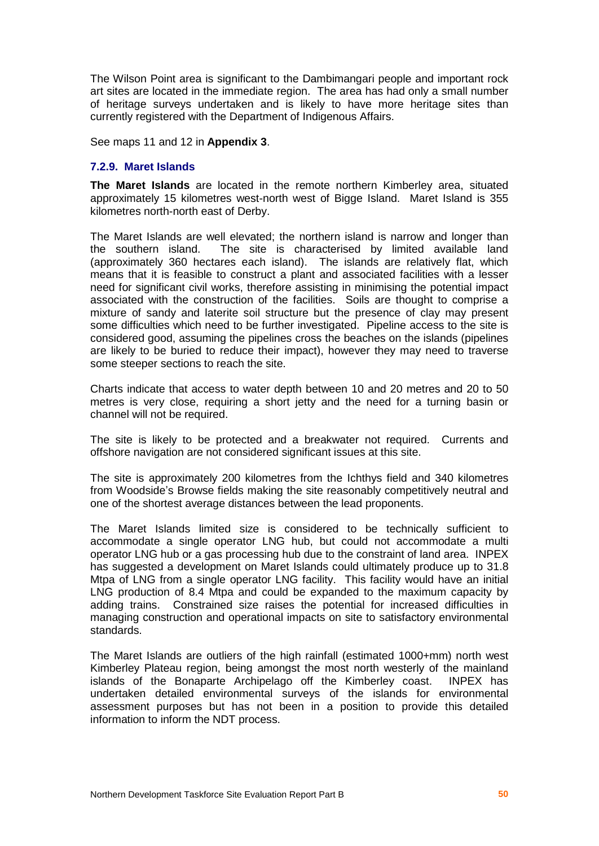The Wilson Point area is significant to the Dambimangari people and important rock art sites are located in the immediate region. The area has had only a small number of heritage surveys undertaken and is likely to have more heritage sites than currently registered with the Department of Indigenous Affairs.

See maps 11 and 12 in **Appendix 3**.

#### **7.2.9. Maret Islands**

**The Maret Islands** are located in the remote northern Kimberley area, situated approximately 15 kilometres west-north west of Bigge Island. Maret Island is 355 kilometres north-north east of Derby.

The Maret Islands are well elevated; the northern island is narrow and longer than the southern island. The site is characterised by limited available land (approximately 360 hectares each island). The islands are relatively flat, which means that it is feasible to construct a plant and associated facilities with a lesser need for significant civil works, therefore assisting in minimising the potential impact associated with the construction of the facilities. Soils are thought to comprise a mixture of sandy and laterite soil structure but the presence of clay may present some difficulties which need to be further investigated. Pipeline access to the site is considered good, assuming the pipelines cross the beaches on the islands (pipelines are likely to be buried to reduce their impact), however they may need to traverse some steeper sections to reach the site.

Charts indicate that access to water depth between 10 and 20 metres and 20 to 50 metres is very close, requiring a short jetty and the need for a turning basin or channel will not be required.

The site is likely to be protected and a breakwater not required. Currents and offshore navigation are not considered significant issues at this site.

The site is approximately 200 kilometres from the Ichthys field and 340 kilometres from Woodsideís Browse fields making the site reasonably competitively neutral and one of the shortest average distances between the lead proponents.

The Maret Islands limited size is considered to be technically sufficient to accommodate a single operator LNG hub, but could not accommodate a multi operator LNG hub or a gas processing hub due to the constraint of land area. INPEX has suggested a development on Maret Islands could ultimately produce up to 31.8 Mtpa of LNG from a single operator LNG facility. This facility would have an initial LNG production of 8.4 Mtpa and could be expanded to the maximum capacity by adding trains. Constrained size raises the potential for increased difficulties in managing construction and operational impacts on site to satisfactory environmental standards.

The Maret Islands are outliers of the high rainfall (estimated 1000+mm) north west Kimberley Plateau region, being amongst the most north westerly of the mainland islands of the Bonaparte Archipelago off the Kimberley coast. INPEX has undertaken detailed environmental surveys of the islands for environmental assessment purposes but has not been in a position to provide this detailed information to inform the NDT process.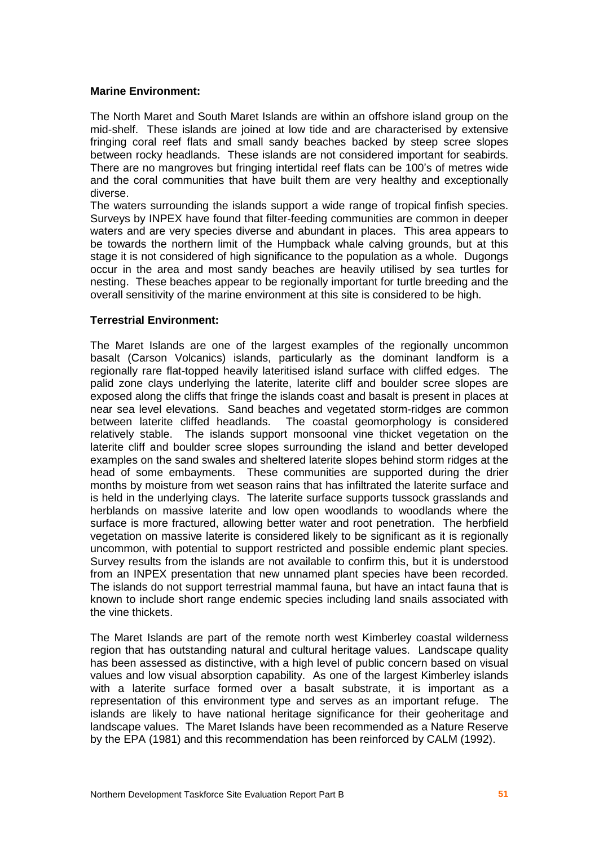#### **Marine Environment:**

The North Maret and South Maret Islands are within an offshore island group on the mid-shelf. These islands are joined at low tide and are characterised by extensive fringing coral reef flats and small sandy beaches backed by steep scree slopes between rocky headlands. These islands are not considered important for seabirds. There are no mangroves but fringing intertidal reef flats can be 100ís of metres wide and the coral communities that have built them are very healthy and exceptionally diverse.

The waters surrounding the islands support a wide range of tropical finfish species. Surveys by INPEX have found that filter-feeding communities are common in deeper waters and are very species diverse and abundant in places. This area appears to be towards the northern limit of the Humpback whale calving grounds, but at this stage it is not considered of high significance to the population as a whole. Dugongs occur in the area and most sandy beaches are heavily utilised by sea turtles for nesting. These beaches appear to be regionally important for turtle breeding and the overall sensitivity of the marine environment at this site is considered to be high.

#### **Terrestrial Environment:**

The Maret Islands are one of the largest examples of the regionally uncommon basalt (Carson Volcanics) islands, particularly as the dominant landform is a regionally rare flat-topped heavily lateritised island surface with cliffed edges. The palid zone clays underlying the laterite, laterite cliff and boulder scree slopes are exposed along the cliffs that fringe the islands coast and basalt is present in places at near sea level elevations. Sand beaches and vegetated storm-ridges are common between laterite cliffed headlands. The coastal geomorphology is considered relatively stable. The islands support monsoonal vine thicket vegetation on the laterite cliff and boulder scree slopes surrounding the island and better developed examples on the sand swales and sheltered laterite slopes behind storm ridges at the head of some embayments. These communities are supported during the drier months by moisture from wet season rains that has infiltrated the laterite surface and is held in the underlying clays. The laterite surface supports tussock grasslands and herblands on massive laterite and low open woodlands to woodlands where the surface is more fractured, allowing better water and root penetration. The herbfield vegetation on massive laterite is considered likely to be significant as it is regionally uncommon, with potential to support restricted and possible endemic plant species. Survey results from the islands are not available to confirm this, but it is understood from an INPEX presentation that new unnamed plant species have been recorded. The islands do not support terrestrial mammal fauna, but have an intact fauna thatis known to include short range endemic species including land snails associated with the vine thickets.

The Maret Islands are part of the remote north west Kimberley coastal wilderness region that has outstanding natural and cultural heritage values. Landscape quality has been assessed as distinctive, with a high level of public concern based on visual values and low visual absorption capability. As one of the largest Kimberley islands with a laterite surface formed over a basalt substrate, it is important as a representation of this environment type and serves as an important refuge. The islands are likely to have national heritage significance for their geoheritage and landscape values. The Maret Islands have been recommended as a Nature Reserve by the EPA (1981) and this recommendation has been reinforced by CALM (1992).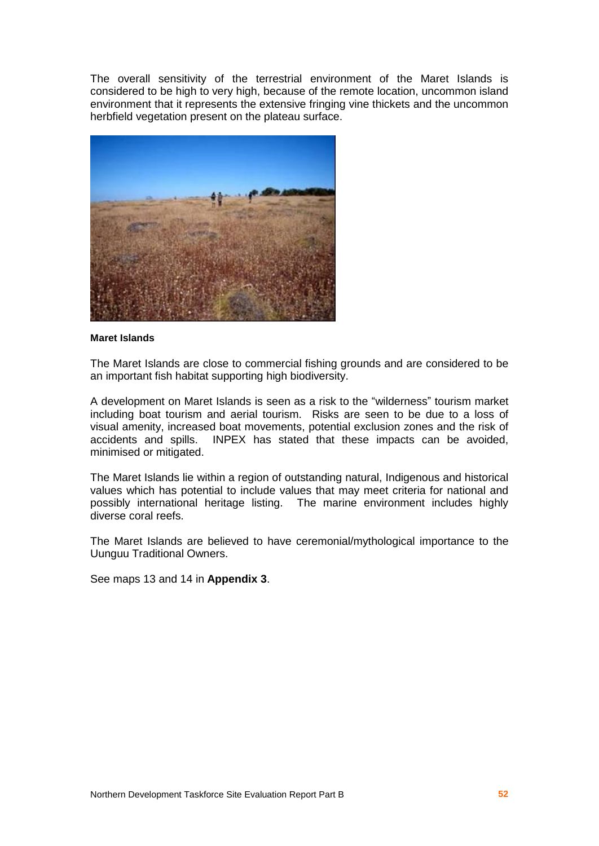The overall sensitivity of the terrestrial environment of the Maret Islands is considered to be high to very high, because of the remote location, uncommon island environment that it represents the extensive fringing vine thickets and the uncommon herbfield vegetation present on the plateau surface.



#### **Maret Islands**

The Maret Islands are close to commercial fishing grounds and are considered to be an important fish habitat supporting high biodiversity.

A development on Maret Islands is seen as a risk to the "wilderness" tourism market including boat tourism and aerial tourism. Risks are seen to be due to a loss of visual amenity, increased boat movements, potential exclusion zones and the risk of accidents and spills. INPEX has stated that these impacts can be avoided, minimised or mitigated.

The Maret Islands lie within a region of outstanding natural, Indigenous and historical values which has potential to include values that may meet criteria for national and possibly international heritage listing. The marine environment includes highly diverse coral reefs.

The Maret Islands are believed to have ceremonial/mythological importance to the Uunguu Traditional Owners.

See maps 13 and 14 in **Appendix 3**.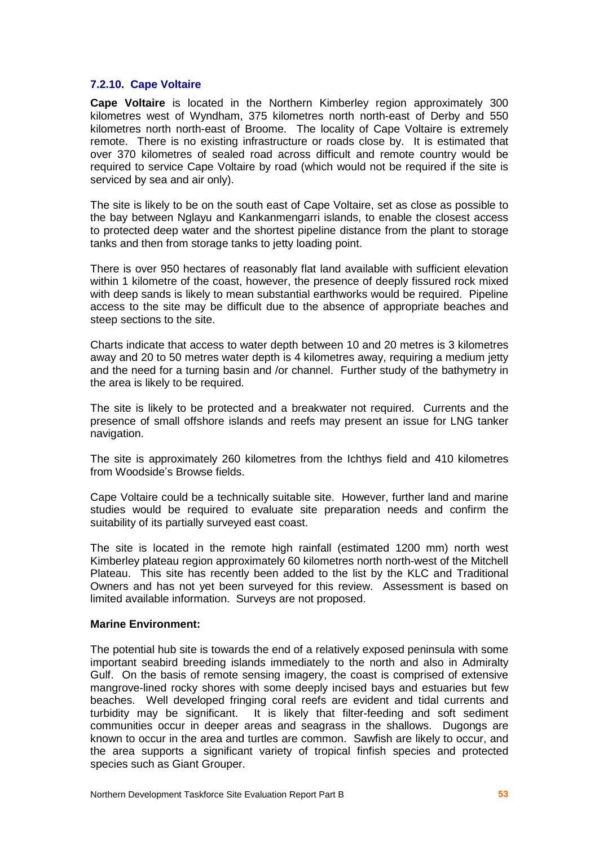#### **7.2.10. Cape Voltaire**

**Cape Voltaire** is located in the Northern Kimberley region approximately 300 kilometres west of Wyndham, 375 kilometres north north-east of Derby and 550 kilometres north north-east of Broome. The locality of Cape Voltaire is extremely remote. There is no existing infrastructure or roads close by. It is estimated that over 370 kilometres of sealed road across difficult and remote country would be required to service Cape Voltaire by road (which would not be required if the site is serviced by sea and air only).

The site is likely to be on the south east of Cape Voltaire, set as close as possible to the bay between Nglayu and Kankanmengarri islands, to enable the closest access to protected deep water and the shortest pipeline distance from the plant to storage tanks and then from storage tanks to jetty loading point.

There is over 950 hectares of reasonably flat land available with sufficient elevation within 1 kilometre of the coast, however, the presence of deeply fissured rock mixed with deep sands is likely to mean substantial earthworks would be required. Pipeline access to the site may be difficult due to the absence of appropriate beaches and steep sections to the site.<br>Charts indicate that access to water depth between 10 and 20 metres is 3 kilometres

away and 20 to 50 metres water depth is 4 kilometres away, requiring a medium jetty and the need for a turning basin and /or channel. Further study of the bathymetry in the area is likely to be required.

The site is likely to be protected and a breakwater not required. Currents and the presence of small offshore islands and reefs may present an issue for LNG tanker navigation.

The site is approximately 260 kilometres from the Ichthys field and 410 kilometres from Woodside's Browse fields.

Cape Voltaire could be a technically suitable site. However, further land and marine studies would be required to evaluate site preparation needs and confirm the suitability of its partially surveyed east coast.

The site is located in the remote high rainfall (estimated 1200 mm) north west Kimberley plateau region approximately 60 kilometres north north-west of the Mitchell Plateau. This site has recently been added to the list by the KLC and Traditional Owners and has not yet been surveyed for this review. Assessment is based on limited available information. Surveys are not proposed.

#### **Marine Environment:**

The potential hub site is towards the end of a relatively exposed peninsula with some important seabird breeding islands immediately to the north and also in Admiralty Gulf. On the basis of remote sensing imagery, the coast is comprised of extensive mangrove-lined rocky shores with some deeply incised bays and estuaries but few beaches. Well developed fringing coral reefs are evident and tidal currents and turbidity may be significant. It is likely that filter-feeding and soft sediment communities occur in deeper areas and seagrass in the shallows. Dugongs are known to occur in the area and turtles are common. Sawfish are likely to occur, and the area supports a significant variety of tropical finfish species and protected species such as Giant Grouper.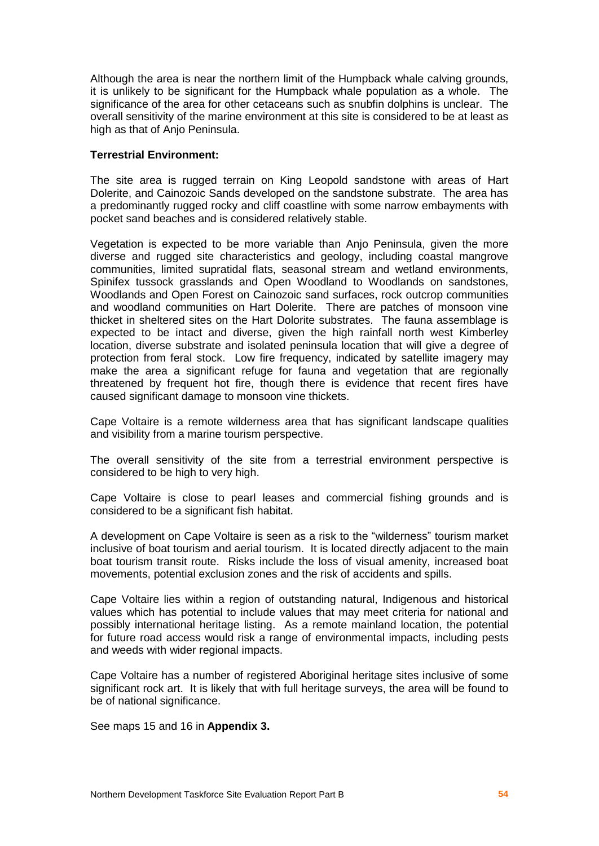Although the area is near the northern limit of the Humpback whale calving grounds, it is unlikely to be significant for the Humpback whale population as a whole. The significance of the area for other cetaceans such as snubfin dolphins is unclear. The overall sensitivity of the marine environment at this site is considered to be at least as high as that of Anio Peninsula.

#### **Terrestrial Environment:**

The site area is rugged terrain on King Leopold sandstone with areas of Hart Dolerite, and Cainozoic Sands developed on the sandstone substrate. The area has a predominantly rugged rocky and cliff coastline with some narrow embayments with pocket sand beaches and is considered relatively stable.

Vegetation is expected to be more variable than Anjo Peninsula, given the more diverse and rugged site characteristics and geology, including coastal mangrove communities, limited supratidal flats, seasonal stream and wetland environments, Spinifex tussock grasslands and Open Woodland to Woodlands on sandstones, Woodlands and Open Forest on Cainozoic sand surfaces, rock outcrop communities and woodland communities on Hart Dolerite. There are patches of monsoon vine thicket in sheltered sites on the Hart Dolorite substrates. The fauna assemblage is expected to be intact and diverse, given the high rainfall north west Kimberley location, diverse substrate and isolated peninsula location thatwill give a degree of protection from feral stock. Low fire frequency, indicated by satellite imagery may make the area a significant refuge for fauna and vegetation that are regionally threatened by frequent hot fire, though there is evidence that recent fires have caused significant damage to monsoon vine thickets.

Cape Voltaire is a remote wilderness area that has significant landscape qualities and visibility from a marine tourism perspective.

The overall sensitivity of the site from a terrestrial environment perspective is considered to be high to very high.

Cape Voltaire is close to pearl leases and commercial fishing grounds and is considered to be a significant fish habitat.

A development on Cape Voltaire is seen as a risk to the "wilderness" tourism market inclusive of boat tourism and aerial tourism. It is located directly adjacent to the main boat tourism transit route. Risks include the loss of visual amenity, increased boat movements, potential exclusion zones and the risk of accidents and spills.

Cape Voltaire lies within a region of outstanding natural, Indigenous and historical values which has potential to include values that may meet criteria for national and possibly international heritage listing. As a remote mainland location, the potential for future road access would risk a range of environmental impacts, including pests and weeds with wider regional impacts.

Cape Voltaire has a number of registered Aboriginal heritage sites inclusive of some significant rock art. It is likely that with full heritage surveys, the area will be found to be of national significance.

See maps 15 and 16 in **Appendix 3.**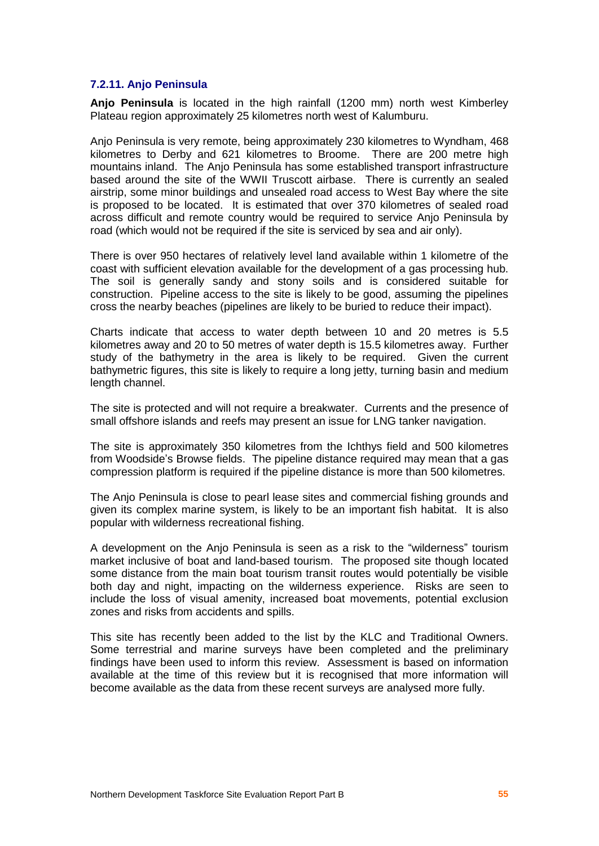#### **7.2.11. Anjo Peninsula**

**Anjo Peninsula** is located in the high rainfall (1200 mm) north west Kimberley Plateau region approximately 25 kilometres north west of Kalumburu.

Anjo Peninsula is very remote, being approximately 230 kilometres to Wyndham, 468 kilometres to Derby and 621 kilometres to Broome. There are 200 metre high mountains inland. The Anjo Peninsula has some established transport infrastructure based around the site of the WWII Truscott airbase. There is currently an sealed airstrip, some minor buildings and unsealed road access to West Bay where the site is proposed to be located. It is estimated that over 370 kilometres of sealed road across difficult and remote country would be required to service Anjo Peninsula by road (which would not be required if the site is serviced by sea and air only).

There is over 950 hectares of relatively level land available within 1 kilometre of the coast with sufficient elevation available for the development of a gas processing hub. The soil is generally sandy and stony soils and is considered suitable for construction. Pipeline access to the site is likely to be good, assuming the pipelines cross the nearby beaches (pipelines are likely to be buried to reduce their impact).

Charts indicate that access to water depth between 10 and 20 metres is 5.5 kilometres away and 20 to 50 metres of water depth is 15.5 kilometres away. Further study of the bathymetry in the area is likely to be required. Given the current bathymetric figures, this site is likely to require a long jetty, turning basin and medium length channel.

The site is protected and will not require a breakwater. Currents and the presence of small offshore islands and reefs may present an issue for LNG tanker navigation.

The site is approximately 350 kilometres from the Ichthys field and 500 kilometres from Woodside's Browse fields. The pipeline distance required may mean that a gas compression platform is required if the pipeline distance is more than 500 kilometres.

The Anjo Peninsula is close to pearl lease sites and commercial fishing grounds and given its complex marine system, is likely to be an important fish habitat. It is also popular with wilderness recreational fishing.

A development on the Anjo Peninsula is seen as a risk to the "wilderness" tourism market inclusive of boat and land-based tourism. The proposed site though located some distance from the main boat tourism transit routes would potentially be visible both day and night, impacting on the wilderness experience. Risks are seen to include the loss of visual amenity, increased boat movements, potential exclusion zones and risks from accidents and spills.

This site has recently been added to the list by the KLC and Traditional Owners. Some terrestrial and marine surveys have been completed and the preliminary findings have been used to inform this review. Assessment is based on information available at the time of this review but it is recognised that more information will become available as the data from these recent surveys are analysed more fully.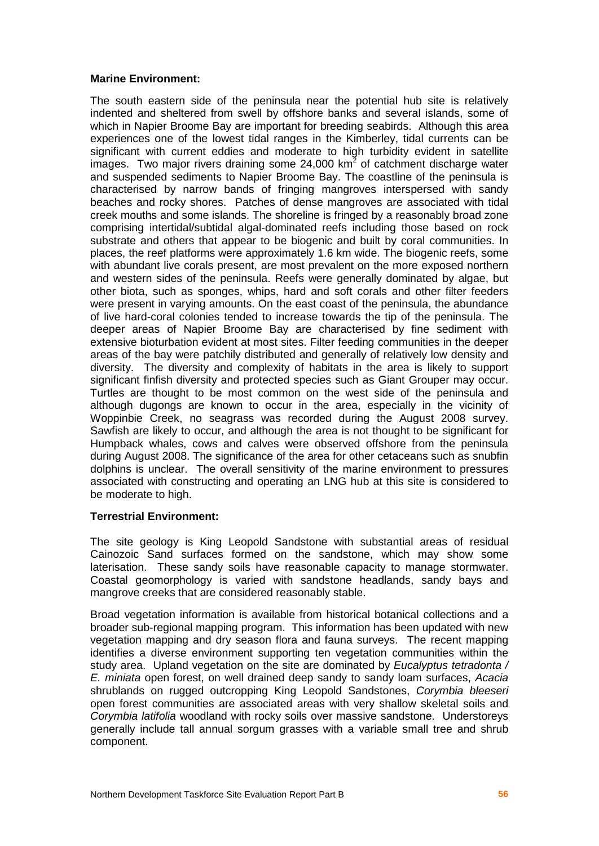#### **Marine Environment:**

The south eastern side of the peninsula near the potential hub site is relatively indented and sheltered from swell by offshore banks and several islands, some of which in Napier Broome Bay are important for breeding seabirds. Although this area experiences one of the lowest tidal ranges in the Kimberley, tidal currents can be significant with current eddies and moderate to high turbidity evident in satellite images. Two major rivers draining some 24,000 km<sup>2</sup> of catchment discharge water and suspended sediments to Napier Broome Bay. The coastline of the peninsula is characterised by narrow bands of fringing mangroves interspersed with sandy beaches and rocky shores. Patches of dense mangroves are associated with tidal creek mouths and some islands. The shoreline is fringed by a reasonably broad zone comprising intertidal/subtidal algal-dominated reefs including those based on rock substrate and others that appear to be biogenic and built by coral communities. In places, the reef platforms were approximately 1.6 km wide. The biogenic reefs, some with abundant live corals present, are most prevalent on the more exposed northern and western sides of the peninsula. Reefs were generally dominated by algae, but other biota, such as sponges, whips, hard and soft corals and other filter feeders were present in varying amounts. On the east coast of the peninsula, the abundance of live hard-coral colonies tended to increase towards the tip of the peninsula. The deeper areas of Napier Broome Bay are characterised by fine sediment with extensive bioturbation evident at most sites. Filter feeding communities in the deeper areas of the bay were patchily distributed and generally of relatively low density and diversity. The diversity and complexity of habitats in the area is likely to support significant finfish diversity and protected species such as Giant Grouper may occur. Turtles are thought to be most common on the west side of the peninsula and although dugongs are known to occur in the area, especially in the vicinity of Woppinbie Creek, no seagrass was recorded during the August 2008 survey. Sawfish are likely to occur, and although the area is not thought to be significant for Humpback whales, cows and calves were observed offshore from the peninsula during August 2008. The significance of the area for other cetaceans such as snubfin dolphins is unclear. The overall sensitivity of the marine environment to pressures associated with constructing and operating an LNG hub at this site is considered to be moderate to high.

#### **Terrestrial Environment:**

The site geology is King Leopold Sandstone with substantial areas of residual Cainozoic Sand surfaces formed on the sandstone, which may show some laterisation. These sandy soils have reasonable capacity to manage stormwater. Coastal geomorphology is varied with sandstone headlands, sandy bays and mangrove creeks that are considered reasonably stable.

Broad vegetation information is available from historical botanical collections and a broader sub-regional mapping program. This information has been updated with new vegetation mapping and dry season flora and fauna surveys. The recent mapping identifies a diverse environment supporting ten vegetation communities within the study area. Upland vegetation on the site are dominated by Eucalyptus tetradonta / E. miniata open forest, on well drained deep sandy to sandy loam surfaces, Acacia shrublands on rugged outcropping King Leopold Sandstones, Corymbia bleeseri open forest communities are associated areas with very shallow skeletal soils and Corymbia latifolia woodland with rocky soils over massive sandstone. Understoreys generally include tall annual sorgum grasses with a variable small tree and shrub component.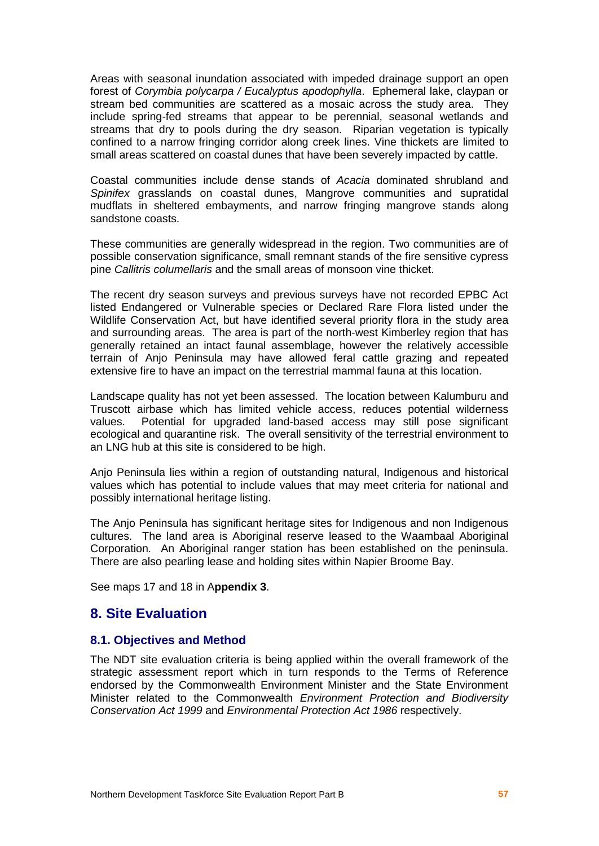Areas with seasonal inundation associated with impeded drainage support an open forest of Corymbia polycarpa / Eucalyptus apodophylla. Ephemeral lake, claypan or stream bed communities are scattered as a mosaic across the study area. They include spring-fed streams that appear to be perennial, seasonal wetlands and streams that dry to pools during the dry season. Riparian vegetation is typically confined to a narrow fringing corridor along creek lines. Vine thickets are limited to small areas scattered on coastal dunes that have been severely impacted by cattle.

Coastal communities include dense stands of Acacia dominated shrubland and Spinifex grasslands on coastal dunes, Mangrove communities and supratidal mudflats in sheltered embayments, and narrow fringing mangrove stands along sandstone coasts.

These communities are generally widespread in the region. Two communities are of possible conservation significance, small remnant stands of the fire sensitive cypress pine Callitris columellaris and the small areas of monsoon vine thicket.

The recent dry season surveys and previous surveys have not recorded EPBC Act listed Endangered or Vulnerable species or Declared Rare Flora listed under the Wildlife Conservation Act, but have identified several priority flora in the study area and surrounding areas. The area is part of the north-west Kimberley region that has generally retained an intact faunal assemblage, however the relatively accessible terrain of Anjo Peninsula may have allowed feral cattle grazing and repeated extensive fire to have an impact on the terrestrial mammal fauna at this location.

Landscape quality has not yet been assessed. The location between Kalumburu and Truscott airbase which has limited vehicle access, reduces potential wilderness values. Potential for upgraded land-based access may still pose significant ecological and quarantine risk. The overall sensitivity of the terrestrial environment to an LNG hub at this site is considered to be high.

Anjo Peninsula lies within a region of outstanding natural, Indigenous and historical values which has potential to include values that may meet criteria for national and possibly international heritage listing.

The Anjo Peninsula has significant heritage sites for Indigenous and non Indigenous cultures. The land area is Aboriginal reserve leased to the Waambaal Aboriginal Corporation. An Aboriginal ranger station has been established on the peninsula. There are also pearling lease and holding sites within Napier Broome Bay.

See maps 17 and 18 in A**ppendix 3**.

## **8. Site Evaluation**

#### **8.1. Objectives and Method**

The NDT site evaluation criteria is being applied within the overall framework of the strategic assessment report which in turn responds to the Terms of Reference endorsed by the Commonwealth Environment Minister and the State Environment Minister related to the Commonwealth Environment Protection and Biodiversity Conservation Act 1999 and Environmental Protection Act 1986 respectively.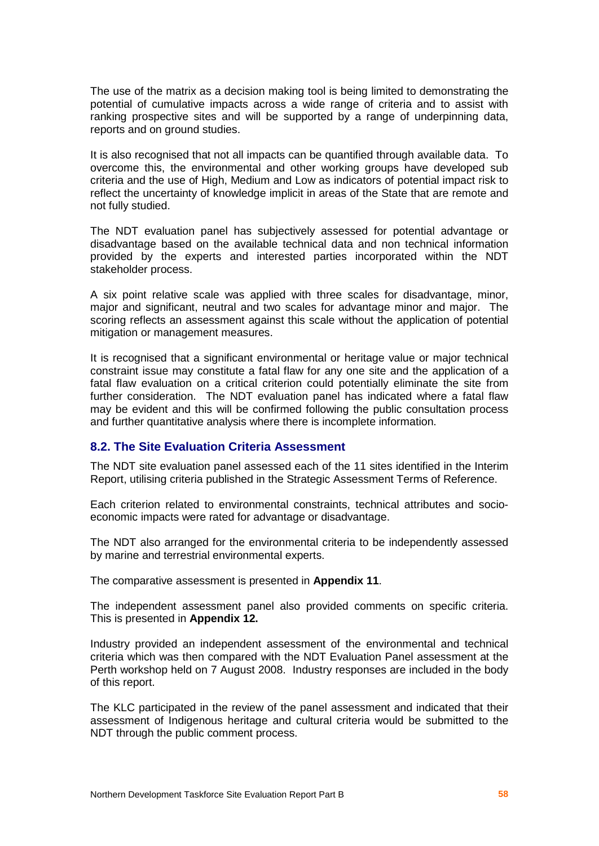The use of the matrix as a decision making tool is being limited to demonstrating the potential of cumulative impacts across a wide range of criteria and to assist with ranking prospective sites and will be supported by a range of underpinning data, reports and on ground studies.

It is also recognised that not all impacts can be quantified through available data. To overcome this, the environmental and other working groups have developed sub criteria and the use of High, Medium and Low as indicators of potential impact risk to reflect the uncertainty of knowledge implicit in areas of the State that are remote and not fully studied.

The NDT evaluation panel has subjectively assessed for potential advantage or disadvantage based on the available technical data and non technical information provided by the experts and interested parties incorporated within the NDT stakeholder process.

A six point relative scale was applied with three scales for disadvantage, minor, major and significant, neutral and two scales for advantage minor and major. The scoring reflects an assessment against this scale without the application of potential mitigation or management measures.

It is recognised that a significant environmental or heritage value or major technical constraint issue may constitute a fatal flaw for any one site and the application of a fatal flaw evaluation on a critical criterion could potentially eliminate the site from further consideration. The NDT evaluation panel has indicated where a fatal flaw may be evident and this will be confirmed following the public consultation process and further quantitative analysis where there is incomplete information.

## **8.2. The Site Evaluation Criteria Assessment**

The NDT site evaluation panel assessed each of the 11 sites identified in the Interim Report, utilising criteria published in the Strategic Assessment Terms of Reference.

Each criterion related to environmental constraints, technical attributes and socio economic impacts were rated for advantage or disadvantage.

The NDT also arranged for the environmental criteria to be independently assessed by marine and terrestrial environmental experts.

The comparative assessment is presented in **Appendix 11**.

The independent assessment panel also provided comments on specific criteria. This is presented in **Appendix 12.**

Industry provided an independent assessment of the environmental and technical criteria which was then compared with the NDT Evaluation Panel assessment at the Perth workshop held on 7 August 2008. Industry responses are included in the body of this report.

The KLC participated in the review of the panel assessment and indicated that their assessment of Indigenous heritage and cultural criteria would be submitted to the NDT through the public comment process.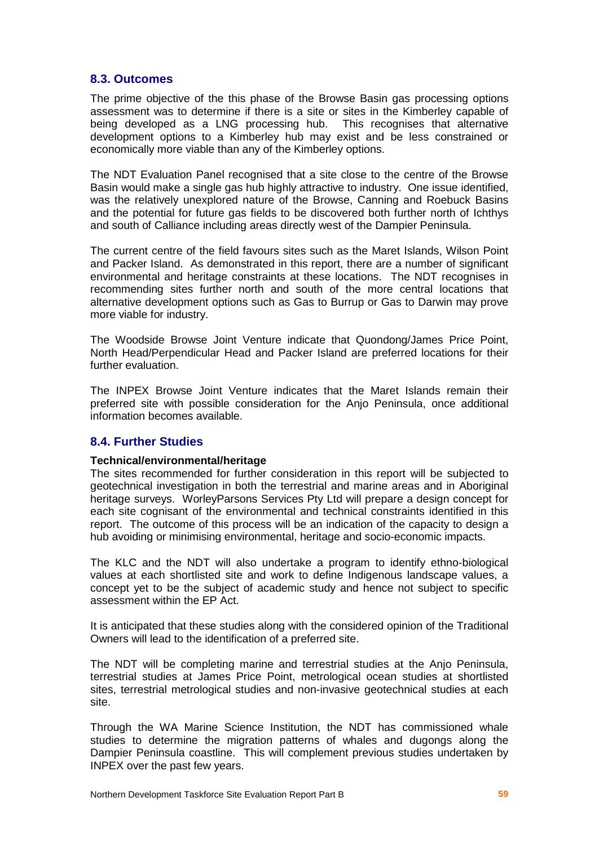## **8.3. Outcomes**

The prime objective of the this phase of the Browse Basin gas processing options assessment was to determine if there is a site or sites in the Kimberley capable of being developed as a LNG processing hub. This recognises that alternative development options to a Kimberley hub may exist and be less constrained or economically more viable than any of the Kimberley options.

The NDT Evaluation Panel recognised that a site close to the centre of the Browse Basin would make a single gas hub highly attractive to industry. One issue identified, was the relatively unexplored nature of the Browse, Canning and Roebuck Basins and the potential for future gas fields to be discovered both further north of Ichthys and south of Calliance including areas directly west of the Dampier Peninsula.

The current centre of the field favours sites such as the Maret Islands, Wilson Point and Packer Island. As demonstrated in this report, there are a number of significant environmental and heritage constraints at these locations. The NDT recognises in recommending sites further north and south of the more central locations that alternative development options such as Gas to Burrup or Gas to Darwin may prove more viable for industry.

The Woodside Browse Joint Venture indicate that Quondong/James Price Point, North Head/Perpendicular Head and Packer Island are preferred locations for their further evaluation.

The INPEX Browse Joint Venture indicates that the Maret Islands remain their preferred site with possible consideration for the Anjo Peninsula, once additional information becomes available.

## **8.4. Further Studies**

#### **Technical/environmental/heritage**

The sites recommended for further consideration in this report will be subjected to geotechnical investigation in both the terrestrial and marine areas and in Aboriginal heritage surveys. WorleyParsons Services Pty Ltd will prepare a design concept for each site cognisant of the environmental and technical constraints identified in this report. The outcome of this process will be an indication of the capacity to design a hub avoiding or minimising environmental, heritage and socio-economic impacts.

The KLC and the NDT will also undertake a program to identify ethno-biological values at each shortlisted site and work to define Indigenous landscape values, a concept yet to be the subject of academic study and hence not subject to specific assessment within the EP Act.

It is anticipated that these studies along with the considered opinion of the Traditional Owners will lead to the identification of a preferred site.

The NDT will be completing marine and terrestrial studies at the Anjo Peninsula, terrestrial studies at James Price Point, metrological ocean studies at shortlisted sites, terrestrial metrological studies and non-invasive geotechnical studies at each site.

Through the WA Marine Science Institution, the NDT has commissioned whale studies to determine the migration patterns of whales and dugongs along the Dampier Peninsula coastline. This will complement previous studies undertaken by INPEX over the past few years.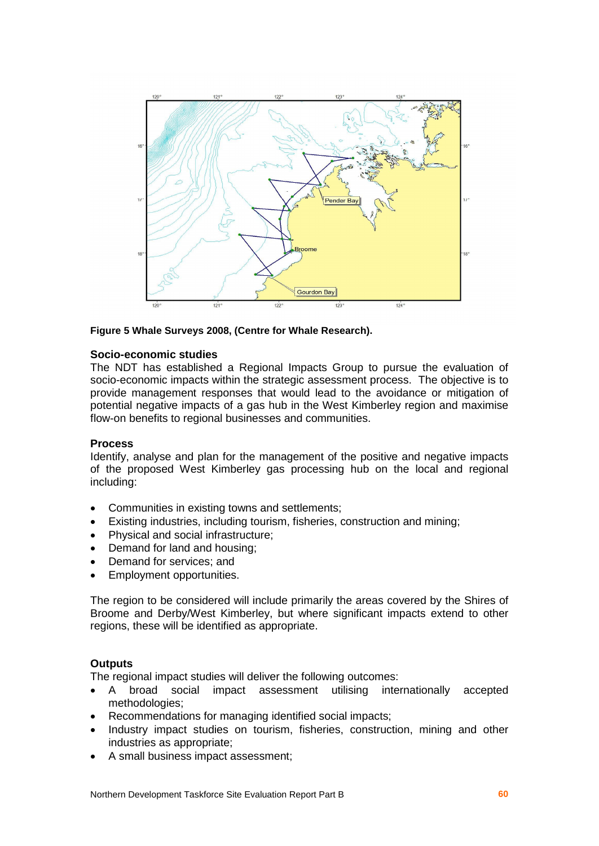

#### **Figure 5 Whale Surveys 2008, (Centre for Whale Research).**

#### **Socio-economic studies**

The NDT has established a Regional Impacts Group to pursue the evaluation of socio-economic impacts within the strategic assessment process. The objective is to provide management responses that would lead to the avoidance or mitigation of potential negative impacts of a gas hub in the West Kimberley region and maximise flow-on benefits to regional businesses and communities.

#### **Process**

Identify, analyse and plan for the management of the positive and negative impacts of the proposed West Kimberley gas processing hub on the local and regional including:

- Communities in existing towns and settlements;
- Existing industries, including tourism, fisheries, construction and mining;
- Physical and social infrastructure;
- Demand for land and housing;
- Demand for services: and
- Employment opportunities.

The region to be considered will include primarily the areas covered by the Shires of Broome and Derby/West Kimberley, but where significant impacts extend to other regions, these will be identified as appropriate.

## **Outputs**

The regional impact studies will deliver the following outcomes:

- A broad social impact assessment utilising internationally accepted methodologies;
- Recommendations for managing identified social impacts;
- Industry impact studies on tourism, fisheries, construction, mining and other industries as appropriate;
- A small business impact assessment;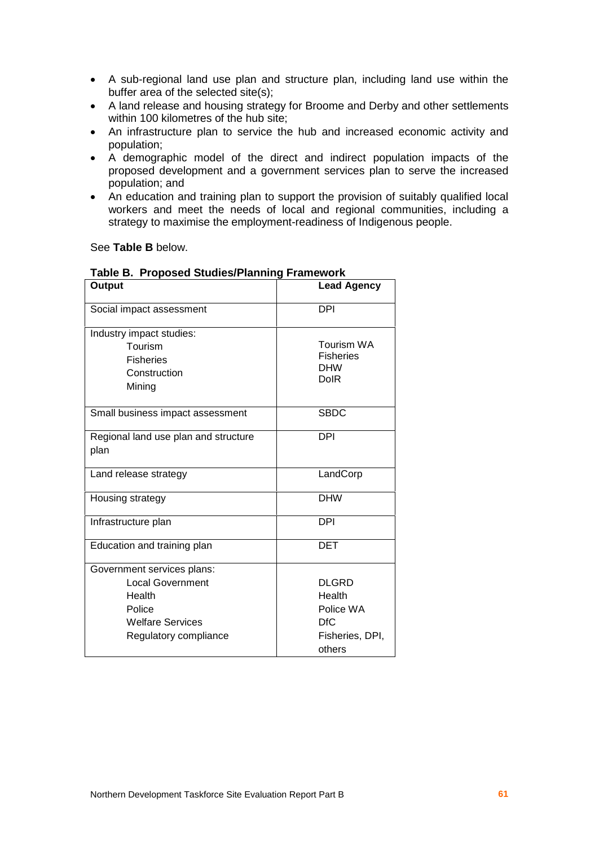- A sub-regional land use plan and structure plan, including land use within the buffer area of the selected site(s);
- A land release and housing strategy for Broome and Derby and other settlements within 100 kilometres of the hub site;
- An infrastructure plan to service the hub and increased economic activity and population;
- A demographic model of the direct and indirect population impacts of the proposed development and a government services plan to serve the increased population; and
- An education and training plan to support the provision of suitably qualified local workers and meet the needs of local and regional communities, including a strategy to maximise the employment-readiness of Indigenous people.

See **Table B** below.

| Output                               | <b>Lead Agency</b>        |
|--------------------------------------|---------------------------|
| Social impact assessment             | DPI                       |
| Industry impact studies:             |                           |
| Tourism                              | <b>Tourism WA</b>         |
| <b>Fisheries</b>                     | <b>Fisheries</b>          |
| Construction                         | <b>DHW</b><br><b>DolR</b> |
| Mining                               |                           |
| Small business impact assessment     | <b>SBDC</b>               |
| Regional land use plan and structure | <b>DPI</b>                |
| plan                                 |                           |
| Land release strategy                | LandCorp                  |
| Housing strategy                     | <b>DHW</b>                |
| Infrastructure plan                  | <b>DPI</b>                |
| Education and training plan          | DET                       |
| Government services plans:           |                           |
| <b>Local Government</b>              | <b>DLGRD</b>              |
| Health                               | Health                    |
| Police                               | Police WA                 |
| <b>Welfare Services</b>              | <b>DfC</b>                |
| Regulatory compliance                | Fisheries, DPI,           |
|                                      | others                    |

#### **Table B. Proposed Studies/Planning Framework**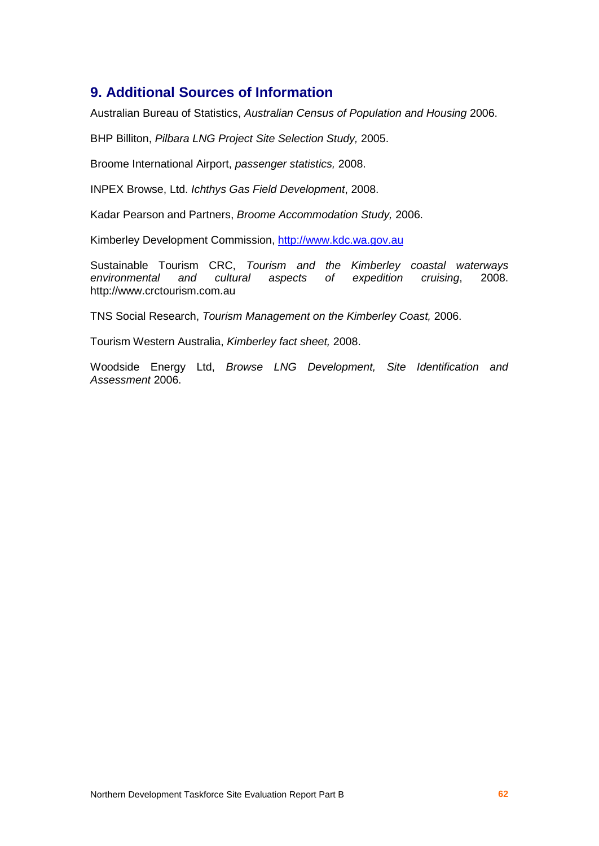## **9. Additional Sources of Information**

Australian Bureau of Statistics, Australian Census of Population and Housing 2006.

BHP Billiton, Pilbara LNG Project Site Selection Study, 2005.

Broome International Airport, passenger statistics, 2008.

INPEX Browse, Ltd. Ichthys Gas Field Development, 2008.

Kadar Pearson and Partners, Broome Accommodation Study, 2006.

Kimberley Development Commission, <http://www.kdc.wa.gov.au>

Sustainable Tourism CRC, Tourism and the Kimberley coastal waterways environmental and cultural aspects of expedition cruising, 2008. <http://www.crctourism.com.au>

TNS Social Research, Tourism Management on the Kimberley Coast, 2006.

Tourism Western Australia, Kimberley fact sheet, 2008.

Woodside Energy Ltd, Browse LNG Development, Site Identification and Assessment 2006.